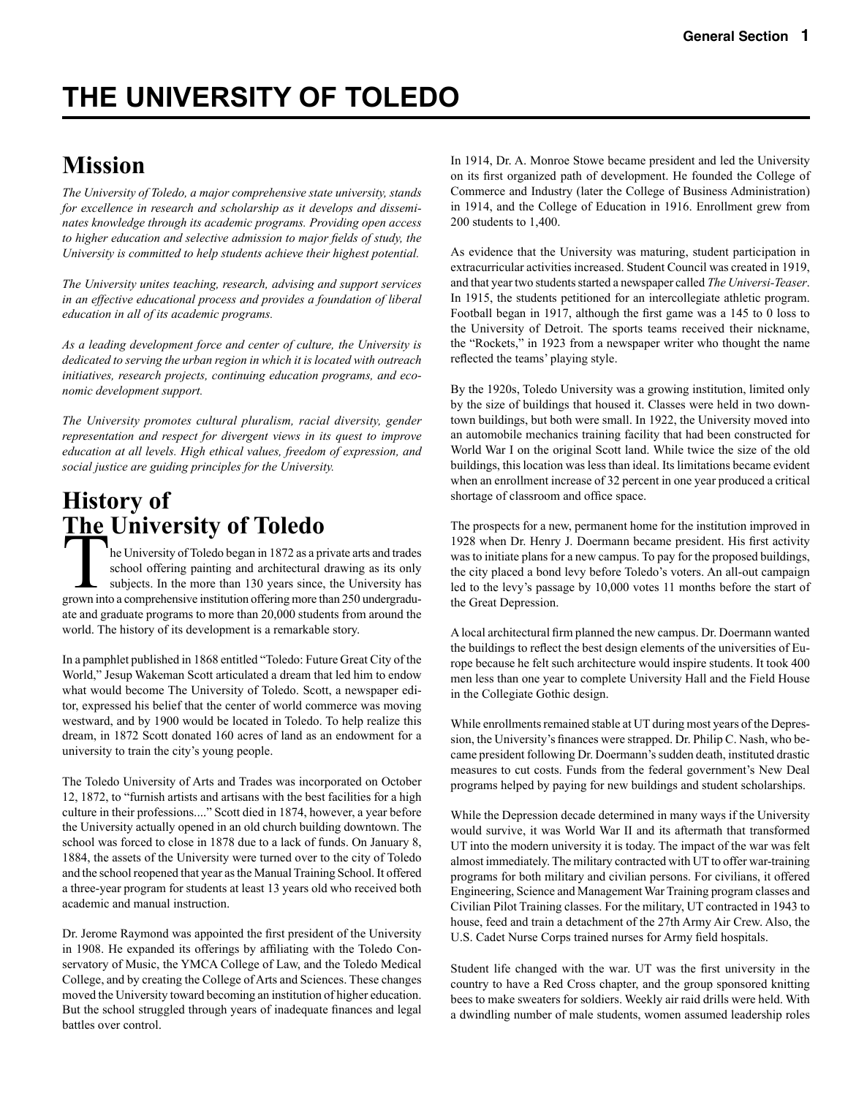# **THE UNIVERSITY OF TOLEDO**

# **Mission**

*The University of Toledo, a major comprehensive state university, stands for excellence in research and scholarship as it develops and disseminates knowledge through its academic programs. Providing open access to higher education and selective admission to major fields of study, the University is committed to help students achieve their highest potential.*

*The University unites teaching, research, advising and support services in an effective educational process and provides a foundation of liberal education in all of its academic programs.* 

*As a leading development force and center of culture, the University is dedicated to serving the urban region in which it is located with outreach initiatives, research projects, continuing education programs, and economic development support.*

*The University promotes cultural pluralism, racial diversity, gender representation and respect for divergent views in its quest to improve education at all levels. High ethical values, freedom of expression, and social justice are guiding principles for the University.*

# **History of The University of Toledo**

The University of Toledo began in 1872 as a private arts and trades school offering painting and architectural drawing as its only subjects. In the more than 130 years since, the University has grown into a comprehensive institution offering more than 250 undergraduate and graduate programs to more than 20,000 students from around the world. The history of its development is a remarkable story.

In a pamphlet published in 1868 entitled "Toledo: Future Great City of the World," Jesup Wakeman Scott articulated a dream that led him to endow what would become The University of Toledo. Scott, a newspaper editor, expressed his belief that the center of world commerce was moving westward, and by 1900 would be located in Toledo. To help realize this dream, in 1872 Scott donated 160 acres of land as an endowment for a university to train the city's young people.

The Toledo University of Arts and Trades was incorporated on October 12, 1872, to "furnish artists and artisans with the best facilities for a high culture in their professions...." Scott died in 1874, however, a year before the University actually opened in an old church building downtown. The school was forced to close in 1878 due to a lack of funds. On January 8, 1884, the assets of the University were turned over to the city of Toledo and the school reopened that year as the Manual Training School. It offered a three-year program for students at least 13 years old who received both academic and manual instruction.

Dr. Jerome Raymond was appointed the first president of the University in 1908. He expanded its offerings by affiliating with the Toledo Conservatory of Music, the YMCA College of Law, and the Toledo Medical College, and by creating the College of Arts and Sciences. These changes moved the University toward becoming an institution of higher education. But the school struggled through years of inadequate finances and legal battles over control.

In 1914, Dr. A. Monroe Stowe became president and led the University on its first organized path of development. He founded the College of Commerce and Industry (later the College of Business Administration) in 1914, and the College of Education in 1916. Enrollment grew from 200 students to 1,400.

As evidence that the University was maturing, student participation in extracurricular activities increased. Student Council was created in 1919, and that year two students started a newspaper called *The Universi-Teaser*. In 1915, the students petitioned for an intercollegiate athletic program. Football began in 1917, although the first game was a 145 to 0 loss to the University of Detroit. The sports teams received their nickname, the "Rockets," in 1923 from a newspaper writer who thought the name reflected the teams' playing style.

By the 1920s, Toledo University was a growing institution, limited only by the size of buildings that housed it. Classes were held in two downtown buildings, but both were small. In 1922, the University moved into an automobile mechanics training facility that had been constructed for World War I on the original Scott land. While twice the size of the old buildings, this location was less than ideal. Its limitations became evident when an enrollment increase of 32 percent in one year produced a critical shortage of classroom and office space.

The prospects for a new, permanent home for the institution improved in 1928 when Dr. Henry J. Doermann became president. His first activity was to initiate plans for a new campus. To pay for the proposed buildings, the city placed a bond levy before Toledo's voters. An all-out campaign led to the levy's passage by 10,000 votes 11 months before the start of the Great Depression.

A local architectural firm planned the new campus. Dr. Doermann wanted the buildings to reflect the best design elements of the universities of Europe because he felt such architecture would inspire students. It took 400 men less than one year to complete University Hall and the Field House in the Collegiate Gothic design.

While enrollments remained stable at UT during most years of the Depression, the University's finances were strapped. Dr. Philip C. Nash, who became president following Dr. Doermann's sudden death, instituted drastic measures to cut costs. Funds from the federal government's New Deal programs helped by paying for new buildings and student scholarships.

While the Depression decade determined in many ways if the University would survive, it was World War II and its aftermath that transformed UT into the modern university it is today. The impact of the war was felt almost immediately. The military contracted with UT to offer war-training programs for both military and civilian persons. For civilians, it offered Engineering, Science and Management War Training program classes and Civilian Pilot Training classes. For the military, UT contracted in 1943 to house, feed and train a detachment of the 27th Army Air Crew. Also, the U.S. Cadet Nurse Corps trained nurses for Army field hospitals.

Student life changed with the war. UT was the first university in the country to have a Red Cross chapter, and the group sponsored knitting bees to make sweaters for soldiers. Weekly air raid drills were held. With a dwindling number of male students, women assumed leadership roles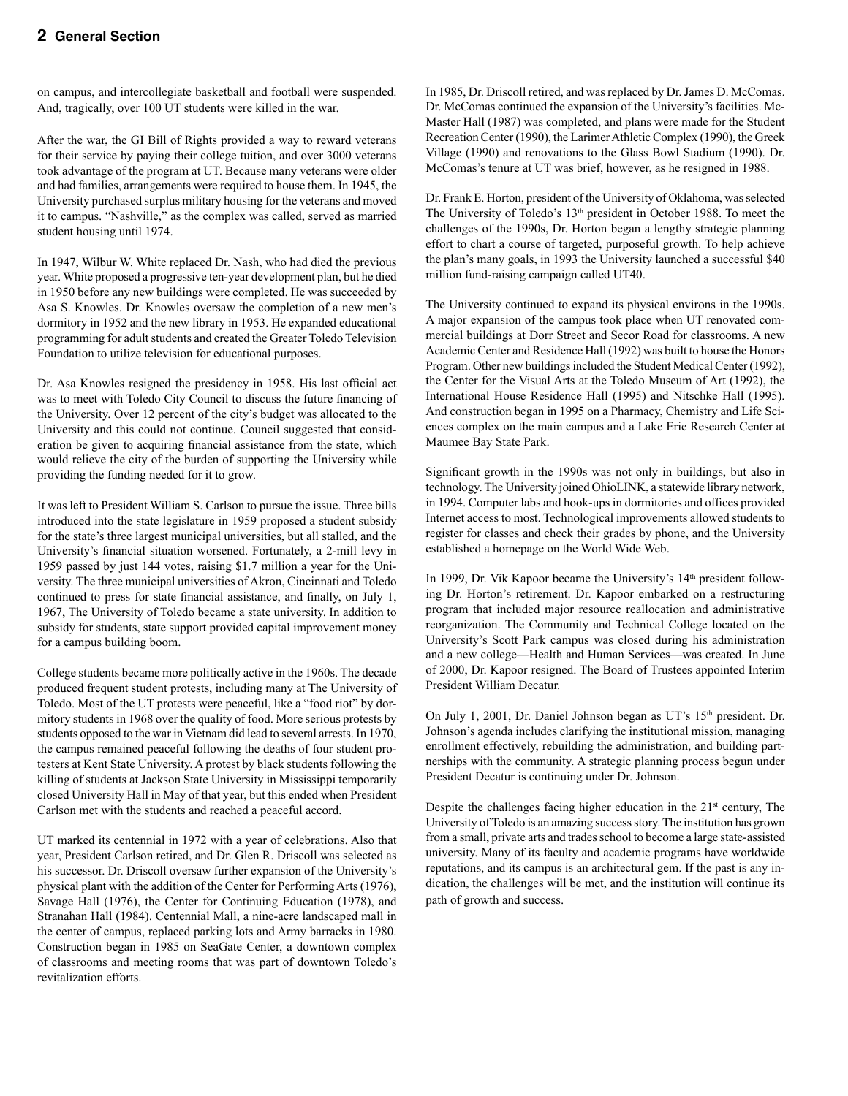on campus, and intercollegiate basketball and football were suspended. And, tragically, over 100 UT students were killed in the war.

After the war, the GI Bill of Rights provided a way to reward veterans for their service by paying their college tuition, and over 3000 veterans took advantage of the program at UT. Because many veterans were older and had families, arrangements were required to house them. In 1945, the University purchased surplus military housing for the veterans and moved it to campus. "Nashville," as the complex was called, served as married student housing until 1974.

In 1947, Wilbur W. White replaced Dr. Nash, who had died the previous year. White proposed a progressive ten-year development plan, but he died in 1950 before any new buildings were completed. He was succeeded by Asa S. Knowles. Dr. Knowles oversaw the completion of a new men's dormitory in 1952 and the new library in 1953. He expanded educational programming for adult students and created the Greater Toledo Television Foundation to utilize television for educational purposes.

Dr. Asa Knowles resigned the presidency in 1958. His last official act was to meet with Toledo City Council to discuss the future financing of the University. Over 12 percent of the city's budget was allocated to the University and this could not continue. Council suggested that consideration be given to acquiring financial assistance from the state, which would relieve the city of the burden of supporting the University while providing the funding needed for it to grow.

It was left to President William S. Carlson to pursue the issue. Three bills introduced into the state legislature in 1959 proposed a student subsidy for the state's three largest municipal universities, but all stalled, and the University's financial situation worsened. Fortunately, a 2-mill levy in 1959 passed by just 144 votes, raising \$1.7 million a year for the University. The three municipal universities of Akron, Cincinnati and Toledo continued to press for state financial assistance, and finally, on July 1, 1967, The University of Toledo became a state university. In addition to subsidy for students, state support provided capital improvement money for a campus building boom.

College students became more politically active in the 1960s. The decade produced frequent student protests, including many at The University of Toledo. Most of the UT protests were peaceful, like a "food riot" by dormitory students in 1968 over the quality of food. More serious protests by students opposed to the war in Vietnam did lead to several arrests. In 1970, the campus remained peaceful following the deaths of four student protesters at Kent State University. A protest by black students following the killing of students at Jackson State University in Mississippi temporarily closed University Hall in May of that year, but this ended when President Carlson met with the students and reached a peaceful accord.

UT marked its centennial in 1972 with a year of celebrations. Also that year, President Carlson retired, and Dr. Glen R. Driscoll was selected as his successor. Dr. Driscoll oversaw further expansion of the University's physical plant with the addition of the Center for Performing Arts (1976), Savage Hall (1976), the Center for Continuing Education (1978), and Stranahan Hall (1984). Centennial Mall, a nine-acre landscaped mall in the center of campus, replaced parking lots and Army barracks in 1980. Construction began in 1985 on SeaGate Center, a downtown complex of classrooms and meeting rooms that was part of downtown Toledo's revitalization efforts.

In 1985, Dr. Driscoll retired, and was replaced by Dr. James D. McComas. Dr. McComas continued the expansion of the University's facilities. Mc-Master Hall (1987) was completed, and plans were made for the Student Recreation Center (1990), the Larimer Athletic Complex (1990), the Greek Village (1990) and renovations to the Glass Bowl Stadium (1990). Dr. McComas's tenure at UT was brief, however, as he resigned in 1988.

Dr. Frank E. Horton, president of the University of Oklahoma, was selected The University of Toledo's 13<sup>th</sup> president in October 1988. To meet the challenges of the 1990s, Dr. Horton began a lengthy strategic planning effort to chart a course of targeted, purposeful growth. To help achieve the plan's many goals, in 1993 the University launched a successful \$40 million fund-raising campaign called UT40.

The University continued to expand its physical environs in the 1990s. A major expansion of the campus took place when UT renovated commercial buildings at Dorr Street and Secor Road for classrooms. A new Academic Center and Residence Hall (1992) was built to house the Honors Program. Other new buildings included the Student Medical Center (1992), the Center for the Visual Arts at the Toledo Museum of Art (1992), the International House Residence Hall (1995) and Nitschke Hall (1995). And construction began in 1995 on a Pharmacy, Chemistry and Life Sciences complex on the main campus and a Lake Erie Research Center at Maumee Bay State Park.

Significant growth in the 1990s was not only in buildings, but also in technology. The University joined OhioLINK, a statewide library network, in 1994. Computer labs and hook-ups in dormitories and offices provided Internet access to most. Technological improvements allowed students to register for classes and check their grades by phone, and the University established a homepage on the World Wide Web.

In 1999, Dr. Vik Kapoor became the University's 14<sup>th</sup> president following Dr. Horton's retirement. Dr. Kapoor embarked on a restructuring program that included major resource reallocation and administrative reorganization. The Community and Technical College located on the University's Scott Park campus was closed during his administration and a new college—Health and Human Services—was created. In June of 2000, Dr. Kapoor resigned. The Board of Trustees appointed Interim President William Decatur.

On July 1, 2001, Dr. Daniel Johnson began as UT's 15<sup>th</sup> president. Dr. Johnson's agenda includes clarifying the institutional mission, managing enrollment effectively, rebuilding the administration, and building partnerships with the community. A strategic planning process begun under President Decatur is continuing under Dr. Johnson.

Despite the challenges facing higher education in the 21<sup>st</sup> century, The University of Toledo is an amazing success story. The institution has grown from a small, private arts and trades school to become a large state-assisted university. Many of its faculty and academic programs have worldwide reputations, and its campus is an architectural gem. If the past is any indication, the challenges will be met, and the institution will continue its path of growth and success.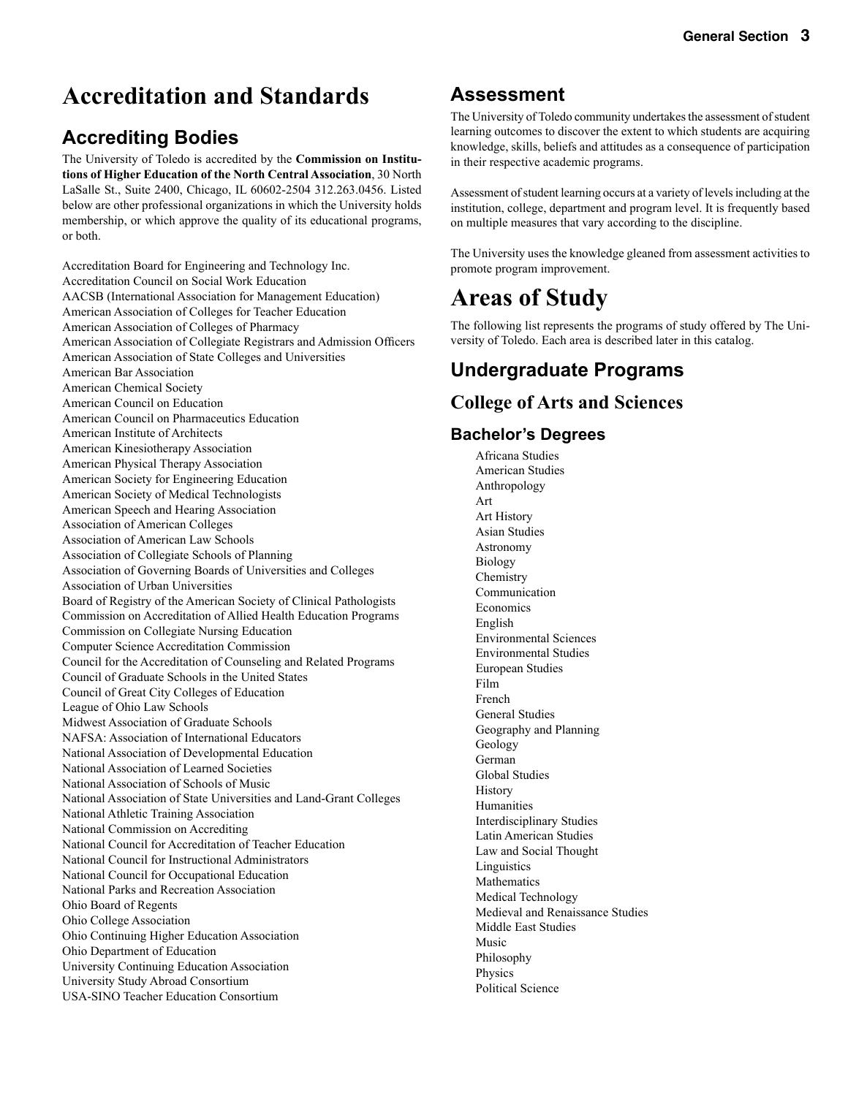# **Accreditation and Standards**

### **Accrediting Bodies**

The University of Toledo is accredited by the **Commission on Institutions of Higher Education of the North Central Association**, 30 North LaSalle St., Suite 2400, Chicago, IL 60602-2504 312.263.0456. Listed below are other professional organizations in which the University holds membership, or which approve the quality of its educational programs, or both.

Accreditation Board for Engineering and Technology Inc. Accreditation Council on Social Work Education AACSB (International Association for Management Education) American Association of Colleges for Teacher Education American Association of Colleges of Pharmacy American Association of Collegiate Registrars and Admission Officers American Association of State Colleges and Universities American Bar Association American Chemical Society American Council on Education American Council on Pharmaceutics Education American Institute of Architects American Kinesiotherapy Association American Physical Therapy Association American Society for Engineering Education American Society of Medical Technologists American Speech and Hearing Association Association of American Colleges Association of American Law Schools Association of Collegiate Schools of Planning Association of Governing Boards of Universities and Colleges Association of Urban Universities Board of Registry of the American Society of Clinical Pathologists Commission on Accreditation of Allied Health Education Programs Commission on Collegiate Nursing Education Computer Science Accreditation Commission Council for the Accreditation of Counseling and Related Programs Council of Graduate Schools in the United States Council of Great City Colleges of Education League of Ohio Law Schools Midwest Association of Graduate Schools NAFSA: Association of International Educators National Association of Developmental Education National Association of Learned Societies National Association of Schools of Music National Association of State Universities and Land-Grant Colleges National Athletic Training Association National Commission on Accrediting National Council for Accreditation of Teacher Education National Council for Instructional Administrators National Council for Occupational Education National Parks and Recreation Association Ohio Board of Regents Ohio College Association Ohio Continuing Higher Education Association Ohio Department of Education University Continuing Education Association University Study Abroad Consortium USA-SINO Teacher Education Consortium

### **Assessment**

The University of Toledo community undertakes the assessment of student learning outcomes to discover the extent to which students are acquiring knowledge, skills, beliefs and attitudes as a consequence of participation in their respective academic programs.

Assessment of student learning occurs at a variety of levels including at the institution, college, department and program level. It is frequently based on multiple measures that vary according to the discipline.

The University uses the knowledge gleaned from assessment activities to promote program improvement.

# **Areas of Study**

The following list represents the programs of study offered by The University of Toledo. Each area is described later in this catalog.

### **Undergraduate Programs**

### **College of Arts and Sciences**

#### **Bachelor's Degrees**

Africana Studies American Studies Anthropology Art Art History Asian Studies Astronomy Biology **Chemistry**  Communication Economics English Environmental Sciences Environmental Studies European Studies Film French General Studies Geography and Planning Geology German Global Studies History Humanities Interdisciplinary Studies Latin American Studies Law and Social Thought Linguistics Mathematics Medical Technology Medieval and Renaissance Studies Middle East Studies Music Philosophy Physics Political Science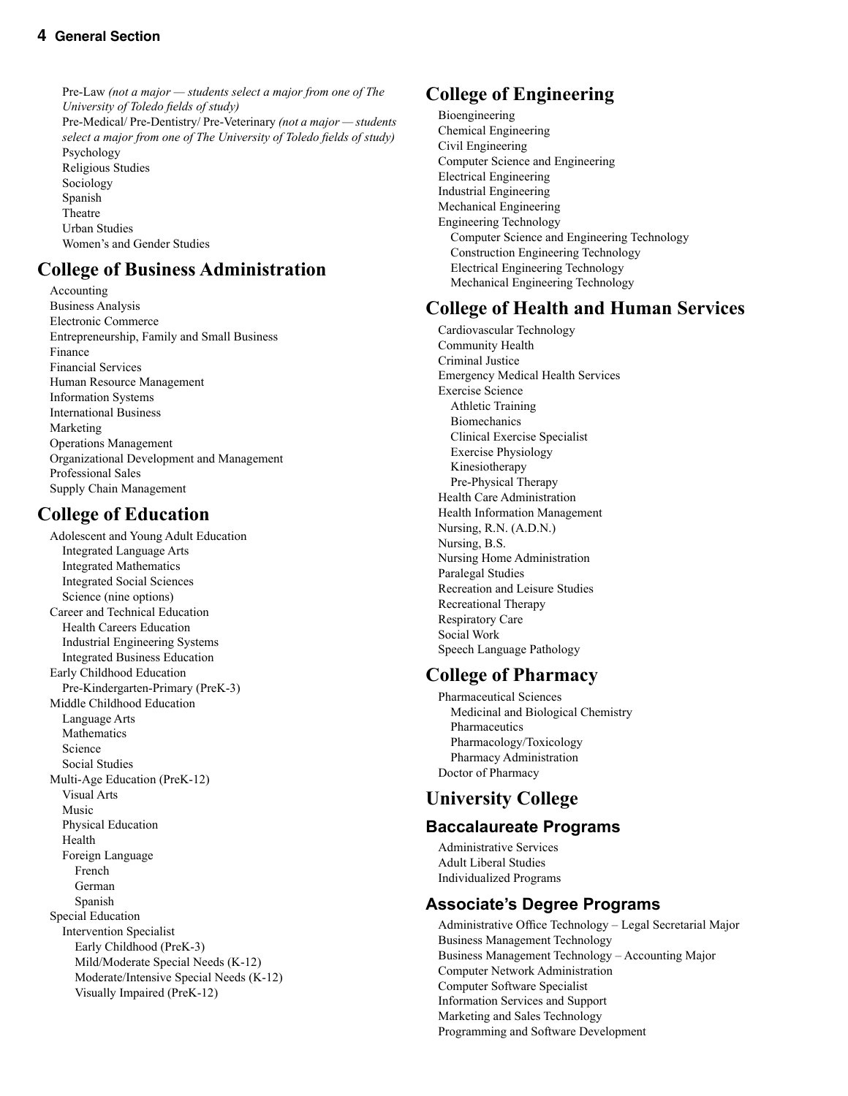Pre-Law *(not a major — students select a major from one of The University of Toledo fields of study)* Pre-Medical/ Pre-Dentistry/ Pre-Veterinary *(not a major — students select a major from one of The University of Toledo fields of study)* Psychology Religious Studies Sociology Spanish Theatre Urban Studies Women's and Gender Studies

### **College of Business Administration**

 Accounting Business Analysis Electronic Commerce Entrepreneurship, Family and Small Business Finance Financial Services Human Resource Management Information Systems International Business Marketing Operations Management Organizational Development and Management Professional Sales Supply Chain Management

### **College of Education**

 Adolescent and Young Adult Education Integrated Language Arts Integrated Mathematics Integrated Social Sciences Science (nine options) Career and Technical Education Health Careers Education Industrial Engineering Systems Integrated Business Education Early Childhood Education Pre-Kindergarten-Primary (PreK-3) Middle Childhood Education Language Arts Mathematics Science Social Studies Multi-Age Education (PreK-12) Visual Arts Music Physical Education Health Foreign Language French German Spanish Special Education Intervention Specialist Early Childhood (PreK-3) Mild/Moderate Special Needs (K-12) Moderate/Intensive Special Needs (K-12) Visually Impaired (PreK-12)

### **College of Engineering**

 Bioengineering Chemical Engineering Civil Engineering Computer Science and Engineering Electrical Engineering Industrial Engineering Mechanical Engineering Engineering Technology Computer Science and Engineering Technology Construction Engineering Technology Electrical Engineering Technology Mechanical Engineering Technology

### **College of Health and Human Services**

 Cardiovascular Technology Community Health Criminal Justice Emergency Medical Health Services Exercise Science Athletic Training **Biomechanics**  Clinical Exercise Specialist Exercise Physiology Kinesiotherapy Pre-Physical Therapy Health Care Administration Health Information Management Nursing, R.N. (A.D.N.) Nursing, B.S. Nursing Home Administration Paralegal Studies Recreation and Leisure Studies Recreational Therapy Respiratory Care Social Work Speech Language Pathology

### **College of Pharmacy**

 Pharmaceutical Sciences Medicinal and Biological Chemistry Pharmaceutics Pharmacology/Toxicology Pharmacy Administration Doctor of Pharmacy

### **University College**

### **Baccalaureate Programs**

 Administrative Services Adult Liberal Studies Individualized Programs

### **Associate's Degree Programs**

 Administrative Office Technology – Legal Secretarial Major Business Management Technology Business Management Technology – Accounting Major Computer Network Administration Computer Software Specialist Information Services and Support Marketing and Sales Technology Programming and Software Development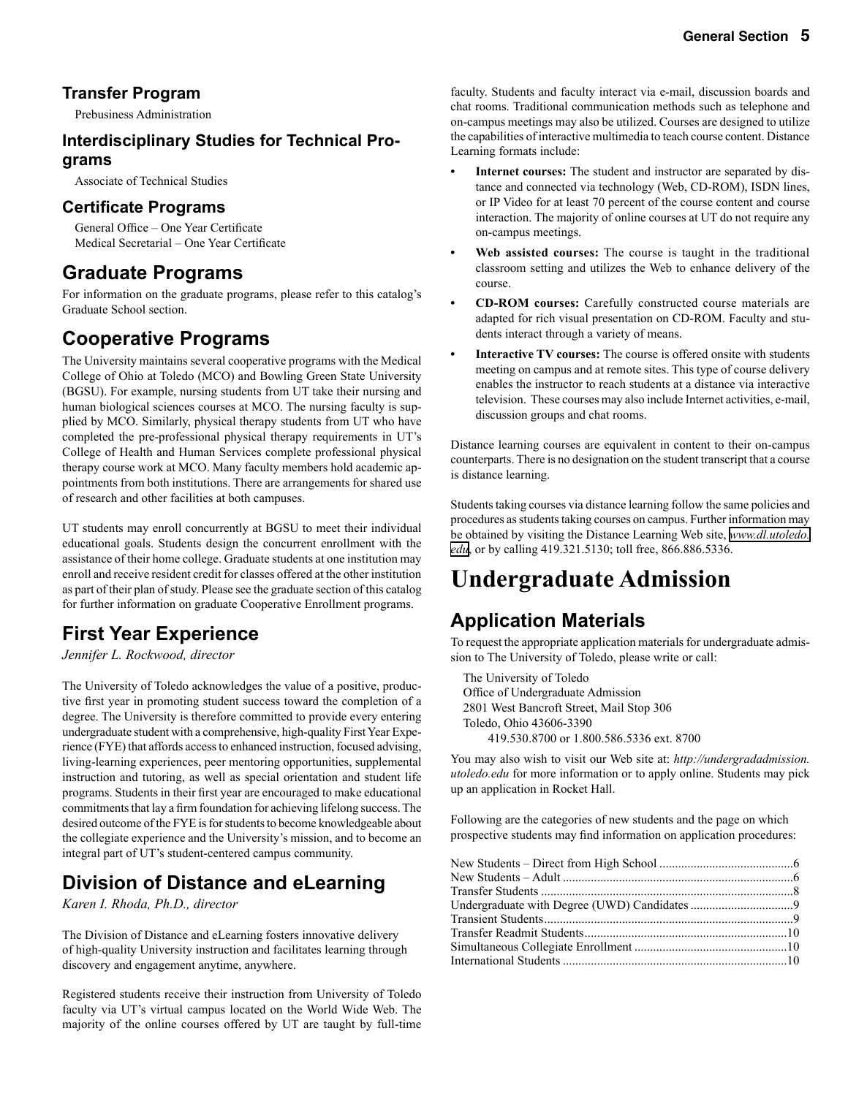#### **Transfer Program**

Prebusiness Administration

#### **Interdisciplinary Studies for Technical Programs**

Associate of Technical Studies

#### **Certificate Programs**

 General Office – One Year Certificate Medical Secretarial – One Year Certificate

### **Graduate Programs**

For information on the graduate programs, please refer to this catalog's Graduate School section.

### **Cooperative Programs**

The University maintains several cooperative programs with the Medical College of Ohio at Toledo (MCO) and Bowling Green State University (BGSU). For example, nursing students from UT take their nursing and human biological sciences courses at MCO. The nursing faculty is supplied by MCO. Similarly, physical therapy students from UT who have completed the pre-professional physical therapy requirements in UT's College of Health and Human Services complete professional physical therapy course work at MCO. Many faculty members hold academic appointments from both institutions. There are arrangements for shared use of research and other facilities at both campuses.

UT students may enroll concurrently at BGSU to meet their individual educational goals. Students design the concurrent enrollment with the assistance of their home college. Graduate students at one institution may enroll and receive resident credit for classes offered at the other institution as part of their plan of study. Please see the graduate section of this catalog for further information on graduate Cooperative Enrollment programs.

### **First Year Experience**

*Jennifer L. Rockwood, director*

The University of Toledo acknowledges the value of a positive, productive first year in promoting student success toward the completion of a degree. The University is therefore committed to provide every entering undergraduate student with a comprehensive, high-quality First Year Experience (FYE) that affords access to enhanced instruction, focused advising, living-learning experiences, peer mentoring opportunities, supplemental instruction and tutoring, as well as special orientation and student life programs. Students in their first year are encouraged to make educational commitments that lay a firm foundation for achieving lifelong success. The desired outcome of the FYE is for students to become knowledgeable about the collegiate experience and the University's mission, and to become an integral part of UT's student-centered campus community.

### **Division of Distance and eLearning**

*Karen I. Rhoda, Ph.D., director*

The Division of Distance and eLearning fosters innovative delivery of high-quality University instruction and facilitates learning through discovery and engagement anytime, anywhere.

Registered students receive their instruction from University of Toledo faculty via UT's virtual campus located on the World Wide Web. The majority of the online courses offered by UT are taught by full-time

faculty. Students and faculty interact via e-mail, discussion boards and chat rooms. Traditional communication methods such as telephone and on-campus meetings may also be utilized. Courses are designed to utilize the capabilities of interactive multimedia to teach course content. Distance Learning formats include:

- **Internet courses:** The student and instructor are separated by distance and connected via technology (Web, CD-ROM), ISDN lines, or IP Video for at least 70 percent of the course content and course interaction. The majority of online courses at UT do not require any on-campus meetings.
- **Web assisted courses:** The course is taught in the traditional classroom setting and utilizes the Web to enhance delivery of the course.
- **CD-ROM courses:** Carefully constructed course materials are adapted for rich visual presentation on CD-ROM. Faculty and students interact through a variety of means.
- **• Interactive TV courses:** The course is offered onsite with students meeting on campus and at remote sites. This type of course delivery enables the instructor to reach students at a distance via interactive television. These courses may also include Internet activities, e-mail, discussion groups and chat rooms.

Distance learning courses are equivalent in content to their on-campus counterparts. There is no designation on the student transcript that a course is distance learning.

Students taking courses via distance learning follow the same policies and procedures as students taking courses on campus. Further information may be obtained by visiting the Distance Learning Web site, *[www.dl.utoledo.](http://www.dl.utoledo.edu) [edu](http://www.dl.utoledo.edu)*, or by calling 419.321.5130; toll free, 866.886.5336.

# **Undergraduate Admission**

### **Application Materials**

To request the appropriate application materials for undergraduate admission to The University of Toledo, please write or call:

 The University of Toledo Office of Undergraduate Admission 2801 West Bancroft Street, Mail Stop 306 Toledo, Ohio 43606-3390 419.530.8700 or 1.800.586.5336 ext. 8700

You may also wish to visit our Web site at: *http://undergradadmission. utoledo.edu* for more information or to apply online. Students may pick up an application in Rocket Hall.

Following are the categories of new students and the page on which prospective students may find information on application procedures: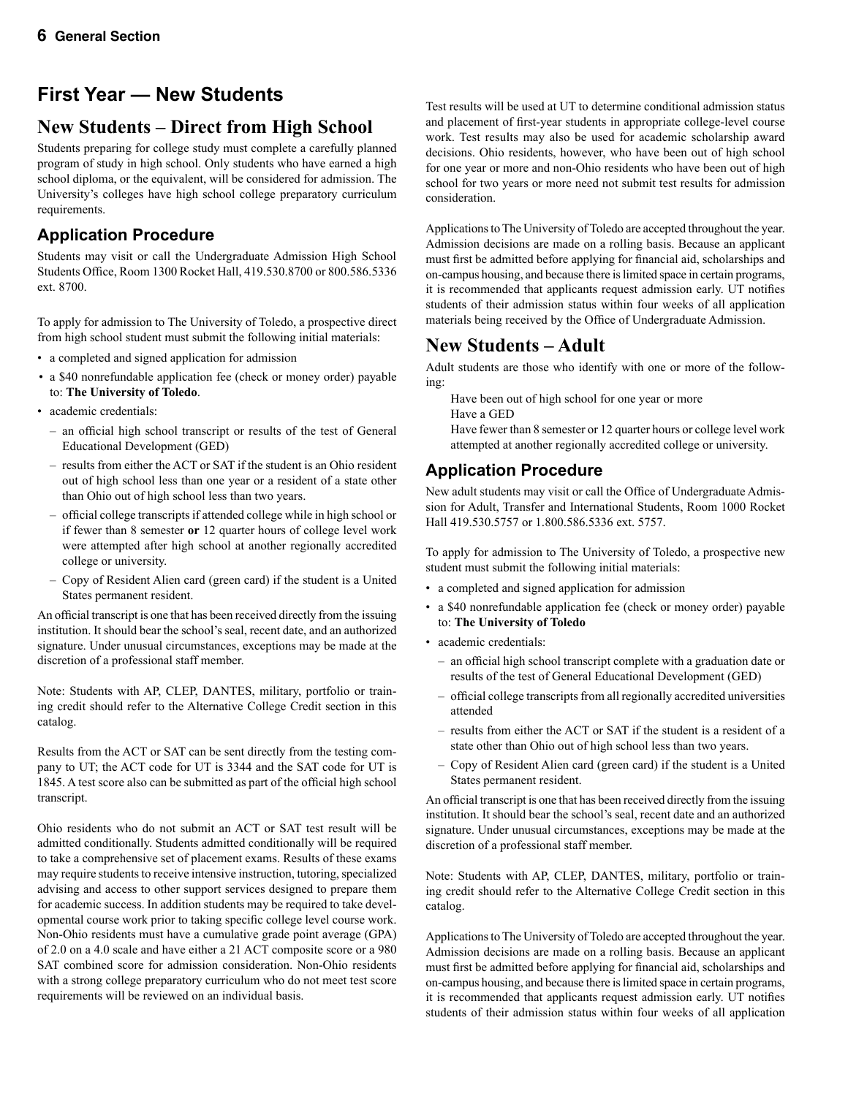### **First Year — New Students**

### **New Students – Direct from High School**

Students preparing for college study must complete a carefully planned program of study in high school. Only students who have earned a high school diploma, or the equivalent, will be considered for admission. The University's colleges have high school college preparatory curriculum requirements.

### **Application Procedure**

Students may visit or call the Undergraduate Admission High School Students Office, Room 1300 Rocket Hall, 419.530.8700 or 800.586.5336 ext. 8700.

To apply for admission to The University of Toledo, a prospective direct from high school student must submit the following initial materials:

- a completed and signed application for admission
- a \$40 nonrefundable application fee (check or money order) payable to: **The University of Toledo**.
- academic credentials:
	- an official high school transcript or results of the test of General Educational Development (GED)
	- results from either the ACT or SAT if the student is an Ohio resident out of high school less than one year or a resident of a state other than Ohio out of high school less than two years.
	- official college transcripts if attended college while in high school or if fewer than 8 semester **or** 12 quarter hours of college level work were attempted after high school at another regionally accredited college or university.
	- Copy of Resident Alien card (green card) if the student is a United States permanent resident.

An official transcript is one that has been received directly from the issuing institution. It should bear the school's seal, recent date, and an authorized signature. Under unusual circumstances, exceptions may be made at the discretion of a professional staff member.

Note: Students with AP, CLEP, DANTES, military, portfolio or training credit should refer to the Alternative College Credit section in this catalog.

Results from the ACT or SAT can be sent directly from the testing company to UT; the ACT code for UT is 3344 and the SAT code for UT is 1845. A test score also can be submitted as part of the official high school transcript.

Ohio residents who do not submit an ACT or SAT test result will be admitted conditionally. Students admitted conditionally will be required to take a comprehensive set of placement exams. Results of these exams may require students to receive intensive instruction, tutoring, specialized advising and access to other support services designed to prepare them for academic success. In addition students may be required to take developmental course work prior to taking specific college level course work. Non-Ohio residents must have a cumulative grade point average (GPA) of 2.0 on a 4.0 scale and have either a 21 ACT composite score or a 980 SAT combined score for admission consideration. Non-Ohio residents with a strong college preparatory curriculum who do not meet test score requirements will be reviewed on an individual basis.

Test results will be used at UT to determine conditional admission status and placement of first-year students in appropriate college-level course work. Test results may also be used for academic scholarship award decisions. Ohio residents, however, who have been out of high school for one year or more and non-Ohio residents who have been out of high school for two years or more need not submit test results for admission consideration.

Applications to The University of Toledo are accepted throughout the year. Admission decisions are made on a rolling basis. Because an applicant must first be admitted before applying for financial aid, scholarships and on-campus housing, and because there is limited space in certain programs, it is recommended that applicants request admission early. UT notifies students of their admission status within four weeks of all application materials being received by the Office of Undergraduate Admission.

### **New Students – Adult**

Adult students are those who identify with one or more of the following:

Have been out of high school for one year or more

Have a GED

 Have fewer than 8 semester or 12 quarter hours or college level work attempted at another regionally accredited college or university.

### **Application Procedure**

New adult students may visit or call the Office of Undergraduate Admission for Adult, Transfer and International Students, Room 1000 Rocket Hall 419.530.5757 or 1.800.586.5336 ext. 5757.

To apply for admission to The University of Toledo, a prospective new student must submit the following initial materials:

- a completed and signed application for admission
- a \$40 nonrefundable application fee (check or money order) payable to: **The University of Toledo**
- academic credentials:
	- an official high school transcript complete with a graduation date or results of the test of General Educational Development (GED)
	- official college transcripts from all regionally accredited universities attended
	- results from either the ACT or SAT if the student is a resident of a state other than Ohio out of high school less than two years.
	- Copy of Resident Alien card (green card) if the student is a United States permanent resident.

An official transcript is one that has been received directly from the issuing institution. It should bear the school's seal, recent date and an authorized signature. Under unusual circumstances, exceptions may be made at the discretion of a professional staff member.

Note: Students with AP, CLEP, DANTES, military, portfolio or training credit should refer to the Alternative College Credit section in this catalog.

Applications to The University of Toledo are accepted throughout the year. Admission decisions are made on a rolling basis. Because an applicant must first be admitted before applying for financial aid, scholarships and on-campus housing, and because there is limited space in certain programs, it is recommended that applicants request admission early. UT notifies students of their admission status within four weeks of all application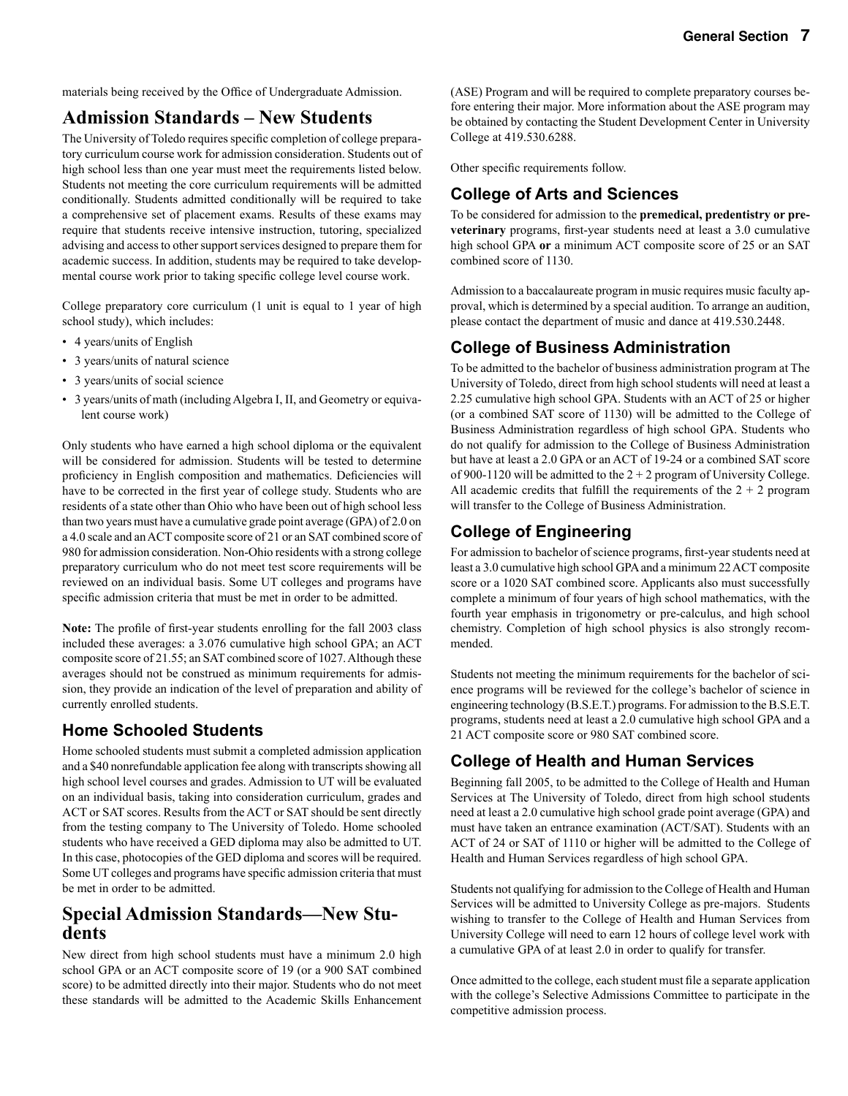materials being received by the Office of Undergraduate Admission.

### **Admission Standards – New Students**

The University of Toledo requires specific completion of college preparatory curriculum course work for admission consideration. Students out of high school less than one year must meet the requirements listed below. Students not meeting the core curriculum requirements will be admitted conditionally. Students admitted conditionally will be required to take a comprehensive set of placement exams. Results of these exams may require that students receive intensive instruction, tutoring, specialized advising and access to other support services designed to prepare them for academic success. In addition, students may be required to take developmental course work prior to taking specific college level course work.

College preparatory core curriculum (1 unit is equal to 1 year of high school study), which includes:

- 4 years/units of English
- 3 years/units of natural science
- 3 years/units of social science
- 3 years/units of math (including Algebra I, II, and Geometry or equivalent course work)

Only students who have earned a high school diploma or the equivalent will be considered for admission. Students will be tested to determine proficiency in English composition and mathematics. Deficiencies will have to be corrected in the first year of college study. Students who are residents of a state other than Ohio who have been out of high school less than two years must have a cumulative grade point average (GPA) of 2.0 on a 4.0 scale and an ACT composite score of 21 or an SAT combined score of 980 for admission consideration. Non-Ohio residents with a strong college preparatory curriculum who do not meet test score requirements will be reviewed on an individual basis. Some UT colleges and programs have specific admission criteria that must be met in order to be admitted.

**Note:** The profile of first-year students enrolling for the fall 2003 class included these averages: a 3.076 cumulative high school GPA; an ACT composite score of 21.55; an SAT combined score of 1027. Although these averages should not be construed as minimum requirements for admission, they provide an indication of the level of preparation and ability of currently enrolled students.

### **Home Schooled Students**

Home schooled students must submit a completed admission application and a \$40 nonrefundable application fee along with transcripts showing all high school level courses and grades. Admission to UT will be evaluated on an individual basis, taking into consideration curriculum, grades and ACT or SAT scores. Results from the ACT or SAT should be sent directly from the testing company to The University of Toledo. Home schooled students who have received a GED diploma may also be admitted to UT. In this case, photocopies of the GED diploma and scores will be required. Some UT colleges and programs have specific admission criteria that must be met in order to be admitted.

# **Special Admission Standards—New Stu- dents**

New direct from high school students must have a minimum 2.0 high school GPA or an ACT composite score of 19 (or a 900 SAT combined score) to be admitted directly into their major. Students who do not meet these standards will be admitted to the Academic Skills Enhancement (ASE) Program and will be required to complete preparatory courses before entering their major. More information about the ASE program may be obtained by contacting the Student Development Center in University College at 419.530.6288.

Other specific requirements follow.

### **College of Arts and Sciences**

To be considered for admission to the **premedical, predentistry or preveterinary** programs, first-year students need at least a 3.0 cumulative high school GPA **or** a minimum ACT composite score of 25 or an SAT combined score of 1130.

Admission to a baccalaureate program in music requires music faculty approval, which is determined by a special audition. To arrange an audition, please contact the department of music and dance at 419.530.2448.

#### **College of Business Administration**

To be admitted to the bachelor of business administration program at The University of Toledo, direct from high school students will need at least a 2.25 cumulative high school GPA. Students with an ACT of 25 or higher (or a combined SAT score of 1130) will be admitted to the College of Business Administration regardless of high school GPA. Students who do not qualify for admission to the College of Business Administration but have at least a 2.0 GPA or an ACT of 19-24 or a combined SAT score of 900-1120 will be admitted to the  $2 + 2$  program of University College. All academic credits that fulfill the requirements of the  $2 + 2$  program will transfer to the College of Business Administration.

#### **College of Engineering**

For admission to bachelor of science programs, first-year students need at least a 3.0 cumulative high school GPA and a minimum 22 ACT composite score or a 1020 SAT combined score. Applicants also must successfully complete a minimum of four years of high school mathematics, with the fourth year emphasis in trigonometry or pre-calculus, and high school chemistry. Completion of high school physics is also strongly recommended.

Students not meeting the minimum requirements for the bachelor of science programs will be reviewed for the college's bachelor of science in engineering technology (B.S.E.T.) programs. For admission to the B.S.E.T. programs, students need at least a 2.0 cumulative high school GPA and a 21 ACT composite score or 980 SAT combined score.

### **College of Health and Human Services**

Beginning fall 2005, to be admitted to the College of Health and Human Services at The University of Toledo, direct from high school students need at least a 2.0 cumulative high school grade point average (GPA) and must have taken an entrance examination (ACT/SAT). Students with an ACT of 24 or SAT of 1110 or higher will be admitted to the College of Health and Human Services regardless of high school GPA.

Students not qualifying for admission to the College of Health and Human Services will be admitted to University College as pre-majors. Students wishing to transfer to the College of Health and Human Services from University College will need to earn 12 hours of college level work with a cumulative GPA of at least 2.0 in order to qualify for transfer.

Once admitted to the college, each student must file a separate application with the college's Selective Admissions Committee to participate in the competitive admission process.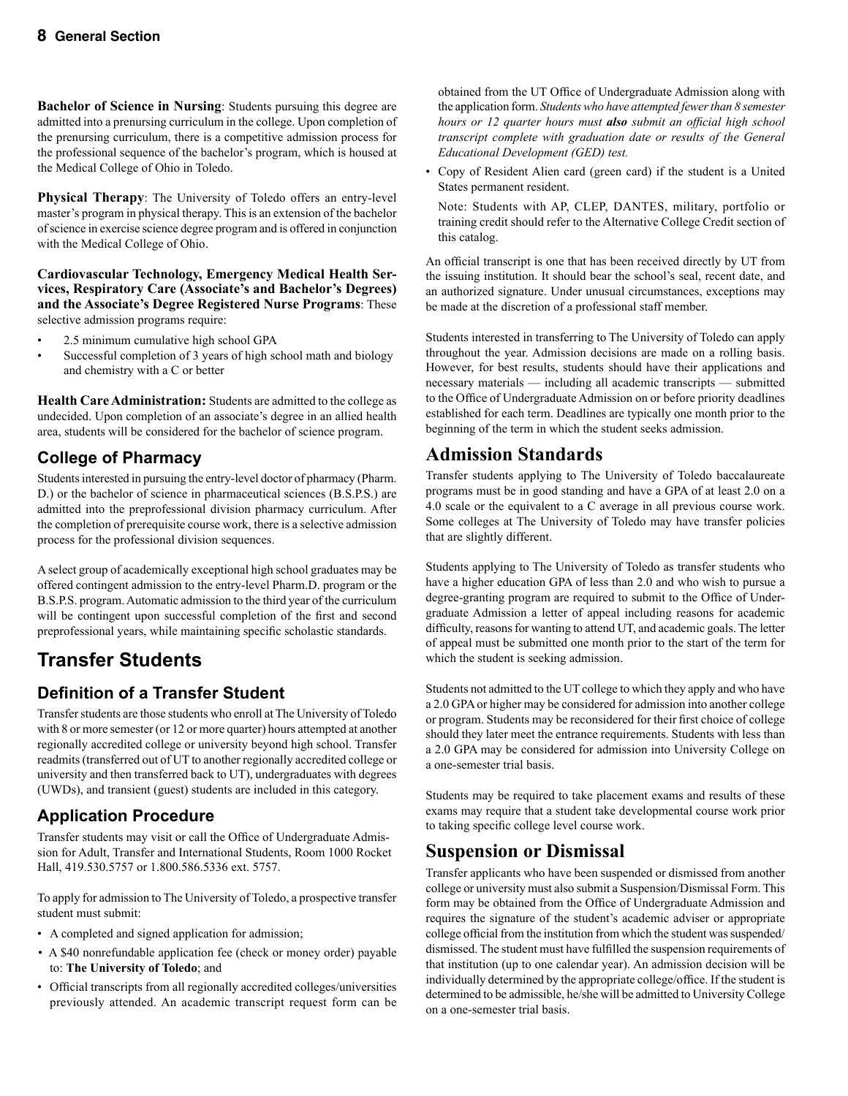**Bachelor of Science in Nursing**: Students pursuing this degree are admitted into a prenursing curriculum in the college. Upon completion of the prenursing curriculum, there is a competitive admission process for the professional sequence of the bachelor's program, which is housed at the Medical College of Ohio in Toledo.

**Physical Therapy**: The University of Toledo offers an entry-level master's program in physical therapy. This is an extension of the bachelor of science in exercise science degree program and is offered in conjunction with the Medical College of Ohio.

**Cardiovascular Technology, Emergency Medical Health Services, Respiratory Care (Associate's and Bachelor's Degrees) and the Associate's Degree Registered Nurse Programs**: These selective admission programs require:

- 2.5 minimum cumulative high school GPA
- Successful completion of 3 years of high school math and biology and chemistry with a C or better

**Health Care Administration:** Students are admitted to the college as undecided. Upon completion of an associate's degree in an allied health area, students will be considered for the bachelor of science program.

### **College of Pharmacy**

Students interested in pursuing the entry-level doctor of pharmacy (Pharm. D.) or the bachelor of science in pharmaceutical sciences (B.S.P.S.) are admitted into the preprofessional division pharmacy curriculum. After the completion of prerequisite course work, there is a selective admission process for the professional division sequences.

A select group of academically exceptional high school graduates may be offered contingent admission to the entry-level Pharm.D. program or the B.S.P.S. program. Automatic admission to the third year of the curriculum will be contingent upon successful completion of the first and second preprofessional years, while maintaining specific scholastic standards.

### **Transfer Students**

### **Definition of a Transfer Student**

Transfer students are those students who enroll at The University of Toledo with 8 or more semester (or 12 or more quarter) hours attempted at another regionally accredited college or university beyond high school. Transfer readmits (transferred out of UT to another regionally accredited college or university and then transferred back to UT), undergraduates with degrees (UWDs), and transient (guest) students are included in this category.

### **Application Procedure**

Transfer students may visit or call the Office of Undergraduate Admission for Adult, Transfer and International Students, Room 1000 Rocket Hall, 419.530.5757 or 1.800.586.5336 ext. 5757.

To apply for admission to The University of Toledo, a prospective transfer student must submit:

- A completed and signed application for admission;
- A \$40 nonrefundable application fee (check or money order) payable to: **The University of Toledo**; and
- Official transcripts from all regionally accredited colleges/universities previously attended. An academic transcript request form can be

 obtained from the UT Office of Undergraduate Admission along with the application form. *Students who have attempted fewer than 8 semester hours or 12 quarter hours must also submit an official high school transcript complete with graduation date or results of the General Educational Development (GED) test.*

• Copy of Resident Alien card (green card) if the student is a United States permanent resident.

 Note: Students with AP, CLEP, DANTES, military, portfolio or training credit should refer to the Alternative College Credit section of this catalog.

An official transcript is one that has been received directly by UT from the issuing institution. It should bear the school's seal, recent date, and an authorized signature. Under unusual circumstances, exceptions may be made at the discretion of a professional staff member.

Students interested in transferring to The University of Toledo can apply throughout the year. Admission decisions are made on a rolling basis. However, for best results, students should have their applications and necessary materials — including all academic transcripts — submitted to the Office of Undergraduate Admission on or before priority deadlines established for each term. Deadlines are typically one month prior to the beginning of the term in which the student seeks admission.

### **Admission Standards**

Transfer students applying to The University of Toledo baccalaureate programs must be in good standing and have a GPA of at least 2.0 on a 4.0 scale or the equivalent to a C average in all previous course work. Some colleges at The University of Toledo may have transfer policies that are slightly different.

Students applying to The University of Toledo as transfer students who have a higher education GPA of less than 2.0 and who wish to pursue a degree-granting program are required to submit to the Office of Undergraduate Admission a letter of appeal including reasons for academic difficulty, reasons for wanting to attend UT, and academic goals. The letter of appeal must be submitted one month prior to the start of the term for which the student is seeking admission.

Students not admitted to the UT college to which they apply and who have a 2.0 GPA or higher may be considered for admission into another college or program. Students may be reconsidered for their first choice of college should they later meet the entrance requirements. Students with less than a 2.0 GPA may be considered for admission into University College on a one-semester trial basis.

Students may be required to take placement exams and results of these exams may require that a student take developmental course work prior to taking specific college level course work.

### **Suspension or Dismissal**

Transfer applicants who have been suspended or dismissed from another college or university must also submit a Suspension/Dismissal Form. This form may be obtained from the Office of Undergraduate Admission and requires the signature of the student's academic adviser or appropriate college official from the institution from which the student was suspended/ dismissed. The student must have fulfilled the suspension requirements of that institution (up to one calendar year). An admission decision will be individually determined by the appropriate college/office. If the student is determined to be admissible, he/she will be admitted to University College on a one-semester trial basis.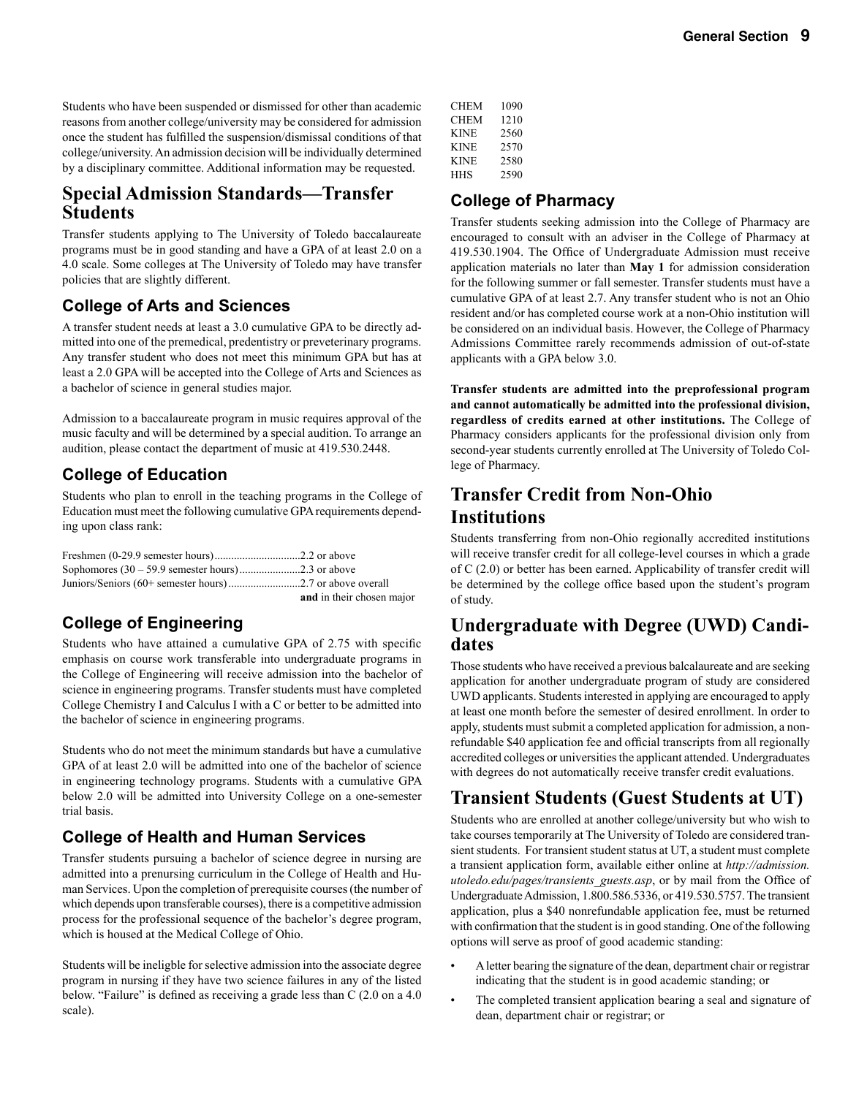Students who have been suspended or dismissed for other than academic reasons from another college/university may be considered for admission once the student has fulfilled the suspension/dismissal conditions of that college/university. An admission decision will be individually determined by a disciplinary committee. Additional information may be requested.

### **Special Admission Standards—Transfer Students**

Transfer students applying to The University of Toledo baccalaureate programs must be in good standing and have a GPA of at least 2.0 on a 4.0 scale. Some colleges at The University of Toledo may have transfer policies that are slightly different.

#### **College of Arts and Sciences**

A transfer student needs at least a 3.0 cumulative GPA to be directly admitted into one of the premedical, predentistry or preveterinary programs. Any transfer student who does not meet this minimum GPA but has at least a 2.0 GPA will be accepted into the College of Arts and Sciences as a bachelor of science in general studies major.

Admission to a baccalaureate program in music requires approval of the music faculty and will be determined by a special audition. To arrange an audition, please contact the department of music at 419.530.2448.

### **College of Education**

Students who plan to enroll in the teaching programs in the College of Education must meet the following cumulative GPA requirements depending upon class rank:

| and in their chosen major |
|---------------------------|

### **College of Engineering**

Students who have attained a cumulative GPA of 2.75 with specific emphasis on course work transferable into undergraduate programs in the College of Engineering will receive admission into the bachelor of science in engineering programs. Transfer students must have completed College Chemistry I and Calculus I with a C or better to be admitted into the bachelor of science in engineering programs.

Students who do not meet the minimum standards but have a cumulative GPA of at least 2.0 will be admitted into one of the bachelor of science in engineering technology programs. Students with a cumulative GPA below 2.0 will be admitted into University College on a one-semester trial basis.

### **College of Health and Human Services**

Transfer students pursuing a bachelor of science degree in nursing are admitted into a prenursing curriculum in the College of Health and Human Services. Upon the completion of prerequisite courses (the number of which depends upon transferable courses), there is a competitive admission process for the professional sequence of the bachelor's degree program, which is housed at the Medical College of Ohio.

Students will be ineligble for selective admission into the associate degree program in nursing if they have two science failures in any of the listed below. "Failure" is defined as receiving a grade less than C (2.0 on a 4.0 scale).

| CHEM        | 1090 |
|-------------|------|
| CHEM        | 1210 |
| <b>KINE</b> | 2560 |
| <b>KINE</b> | 2570 |
| <b>KINE</b> | 2580 |
| HHS         | 2590 |
|             |      |

### **College of Pharmacy**

Transfer students seeking admission into the College of Pharmacy are encouraged to consult with an adviser in the College of Pharmacy at 419.530.1904. The Office of Undergraduate Admission must receive application materials no later than **May 1** for admission consideration for the following summer or fall semester. Transfer students must have a cumulative GPA of at least 2.7. Any transfer student who is not an Ohio resident and/or has completed course work at a non-Ohio institution will be considered on an individual basis. However, the College of Pharmacy Admissions Committee rarely recommends admission of out-of-state applicants with a GPA below 3.0.

**Transfer students are admitted into the preprofessional program and cannot automatically be admitted into the professional division, regardless of credits earned at other institutions.** The College of Pharmacy considers applicants for the professional division only from second-year students currently enrolled at The University of Toledo College of Pharmacy.

### **Transfer Credit from Non-Ohio Institutions**

Students transferring from non-Ohio regionally accredited institutions will receive transfer credit for all college-level courses in which a grade of C (2.0) or better has been earned. Applicability of transfer credit will be determined by the college office based upon the student's program of study.

# **Undergraduate with Degree (UWD) Candi- dates**

Those students who have received a previous balcalaureate and are seeking application for another undergraduate program of study are considered UWD applicants. Students interested in applying are encouraged to apply at least one month before the semester of desired enrollment. In order to apply, students must submit a completed application for admission, a nonrefundable \$40 application fee and official transcripts from all regionally accredited colleges or universities the applicant attended. Undergraduates with degrees do not automatically receive transfer credit evaluations.

### **Transient Students (Guest Students at UT)**

Students who are enrolled at another college/university but who wish to take courses temporarily at The University of Toledo are considered transient students. For transient student status at UT, a student must complete a transient application form, available either online at *http://admission. utoledo.edu/pages/transients\_guests.asp*, or by mail from the Office of Undergraduate Admission, 1.800.586.5336, or 419.530.5757. The transient application, plus a \$40 nonrefundable application fee, must be returned with confirmation that the student is in good standing. One of the following options will serve as proof of good academic standing:

- A letter bearing the signature of the dean, department chair or registrar indicating that the student is in good academic standing; or
- The completed transient application bearing a seal and signature of dean, department chair or registrar; or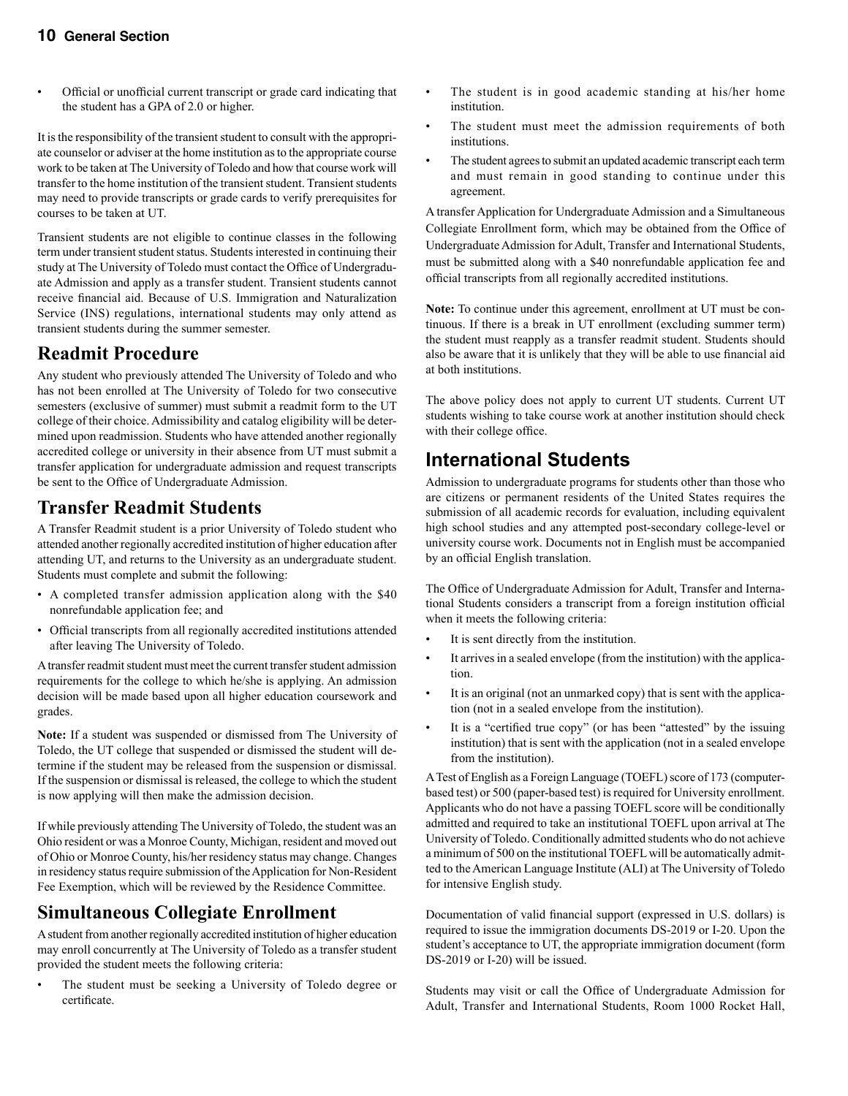• Official or unofficial current transcript or grade card indicating that the student has a GPA of 2.0 or higher.

It is the responsibility of the transient student to consult with the appropriate counselor or adviser at the home institution as to the appropriate course work to be taken at The University of Toledo and how that course work will transfer to the home institution of the transient student. Transient students may need to provide transcripts or grade cards to verify prerequisites for courses to be taken at UT.

Transient students are not eligible to continue classes in the following term under transient student status. Students interested in continuing their study at The University of Toledo must contact the Office of Undergraduate Admission and apply as a transfer student. Transient students cannot receive financial aid. Because of U.S. Immigration and Naturalization Service (INS) regulations, international students may only attend as transient students during the summer semester.

### **Readmit Procedure**

Any student who previously attended The University of Toledo and who has not been enrolled at The University of Toledo for two consecutive semesters (exclusive of summer) must submit a readmit form to the UT college of their choice. Admissibility and catalog eligibility will be determined upon readmission. Students who have attended another regionally accredited college or university in their absence from UT must submit a transfer application for undergraduate admission and request transcripts be sent to the Office of Undergraduate Admission.

### **Transfer Readmit Students**

A Transfer Readmit student is a prior University of Toledo student who attended another regionally accredited institution of higher education after attending UT, and returns to the University as an undergraduate student. Students must complete and submit the following:

- A completed transfer admission application along with the \$40 nonrefundable application fee; and
- Official transcripts from all regionally accredited institutions attended after leaving The University of Toledo.

A transfer readmit student must meet the current transfer student admission requirements for the college to which he/she is applying. An admission decision will be made based upon all higher education coursework and grades.

**Note:** If a student was suspended or dismissed from The University of Toledo, the UT college that suspended or dismissed the student will determine if the student may be released from the suspension or dismissal. If the suspension or dismissal is released, the college to which the student is now applying will then make the admission decision.

If while previously attending The University of Toledo, the student was an Ohio resident or was a Monroe County, Michigan, resident and moved out of Ohio or Monroe County, his/her residency status may change. Changes in residency status require submission of the Application for Non-Resident Fee Exemption, which will be reviewed by the Residence Committee.

### **Simultaneous Collegiate Enrollment**

A student from another regionally accredited institution of higher education may enroll concurrently at The University of Toledo as a transfer student provided the student meets the following criteria:

The student must be seeking a University of Toledo degree or certificate.

- The student is in good academic standing at his/her home institution.
- The student must meet the admission requirements of both institutions.
- The student agrees to submit an updated academic transcript each term and must remain in good standing to continue under this agreement.

A transfer Application for Undergraduate Admission and a Simultaneous Collegiate Enrollment form, which may be obtained from the Office of Undergraduate Admission for Adult, Transfer and International Students, must be submitted along with a \$40 nonrefundable application fee and official transcripts from all regionally accredited institutions.

**Note:** To continue under this agreement, enrollment at UT must be continuous. If there is a break in UT enrollment (excluding summer term) the student must reapply as a transfer readmit student. Students should also be aware that it is unlikely that they will be able to use financial aid at both institutions.

The above policy does not apply to current UT students. Current UT students wishing to take course work at another institution should check with their college office.

### **International Students**

Admission to undergraduate programs for students other than those who are citizens or permanent residents of the United States requires the submission of all academic records for evaluation, including equivalent high school studies and any attempted post-secondary college-level or university course work. Documents not in English must be accompanied by an official English translation.

The Office of Undergraduate Admission for Adult, Transfer and International Students considers a transcript from a foreign institution official when it meets the following criteria:

- It is sent directly from the institution.
- It arrives in a sealed envelope (from the institution) with the application.
- It is an original (not an unmarked copy) that is sent with the application (not in a sealed envelope from the institution).
- It is a "certified true copy" (or has been "attested" by the issuing institution) that is sent with the application (not in a sealed envelope from the institution).

A Test of English as a Foreign Language (TOEFL) score of 173 (computerbased test) or 500 (paper-based test) is required for University enrollment. Applicants who do not have a passing TOEFL score will be conditionally admitted and required to take an institutional TOEFL upon arrival at The University of Toledo. Conditionally admitted students who do not achieve a minimum of 500 on the institutional TOEFL will be automatically admitted to the American Language Institute (ALI) at The University of Toledo for intensive English study.

Documentation of valid financial support (expressed in U.S. dollars) is required to issue the immigration documents DS-2019 or I-20. Upon the student's acceptance to UT, the appropriate immigration document (form DS-2019 or I-20) will be issued.

Students may visit or call the Office of Undergraduate Admission for Adult, Transfer and International Students, Room 1000 Rocket Hall,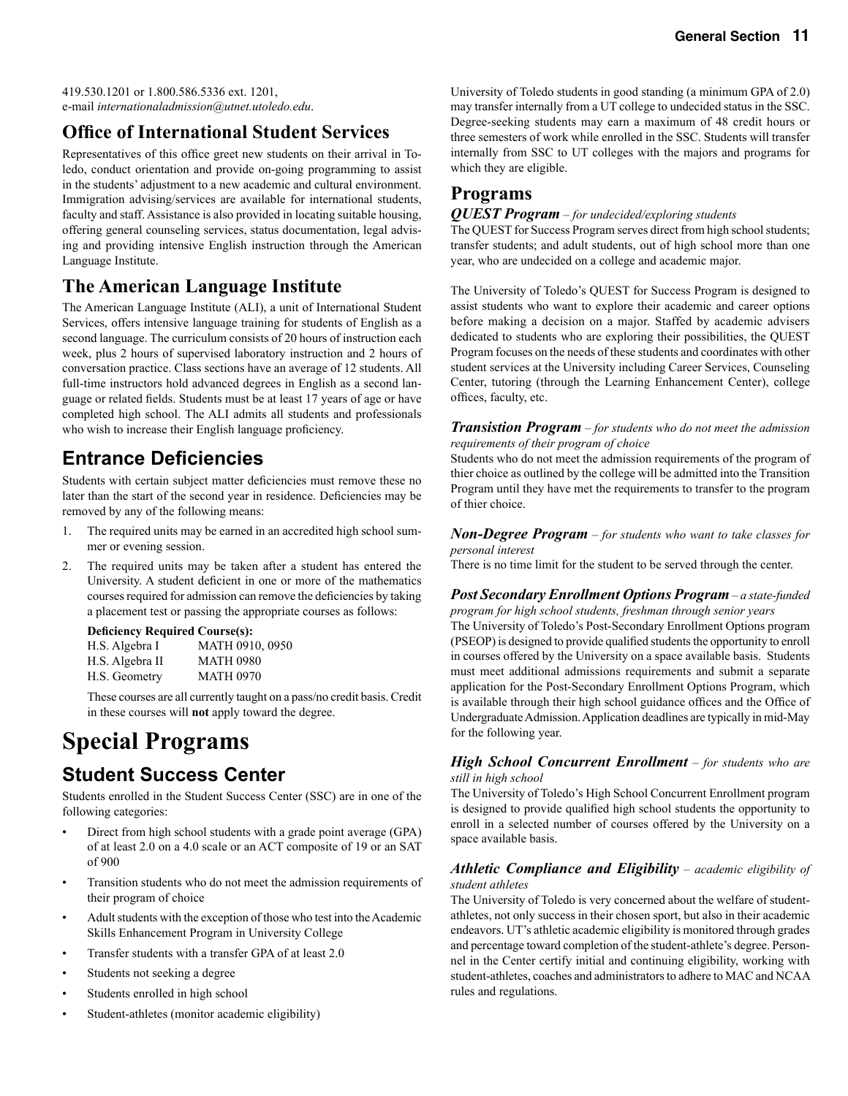419.530.1201 or 1.800.586.5336 ext. 1201, e-mail *internationaladmission@utnet.utoledo.edu*.

### **Office of International Student Services**

Representatives of this office greet new students on their arrival in Toledo, conduct orientation and provide on-going programming to assist in the students' adjustment to a new academic and cultural environment. Immigration advising/services are available for international students, faculty and staff. Assistance is also provided in locating suitable housing, offering general counseling services, status documentation, legal advising and providing intensive English instruction through the American Language Institute.

### **The American Language Institute**

The American Language Institute (ALI), a unit of International Student Services, offers intensive language training for students of English as a second language. The curriculum consists of 20 hours of instruction each week, plus 2 hours of supervised laboratory instruction and 2 hours of conversation practice. Class sections have an average of 12 students. All full-time instructors hold advanced degrees in English as a second language or related fields. Students must be at least 17 years of age or have completed high school. The ALI admits all students and professionals who wish to increase their English language proficiency.

### **Entrance Deficiencies**

Students with certain subject matter deficiencies must remove these no later than the start of the second year in residence. Deficiencies may be removed by any of the following means:

- 1. The required units may be earned in an accredited high school summer or evening session.
- 2. The required units may be taken after a student has entered the University. A student deficient in one or more of the mathematics courses required for admission can remove the deficiencies by taking a placement test or passing the appropriate courses as follows:

#### **Deficiency Required Course(s):**

| MATH 0910, 0950  |
|------------------|
| <b>MATH 0980</b> |
| <b>MATH 0970</b> |
|                  |

 These courses are all currently taught on a pass/no credit basis. Credit in these courses will **not** apply toward the degree.

# **Special Programs**

### **Student Success Center**

Students enrolled in the Student Success Center (SSC) are in one of the following categories:

- Direct from high school students with a grade point average (GPA) of at least 2.0 on a 4.0 scale or an ACT composite of 19 or an SAT of 900
- Transition students who do not meet the admission requirements of their program of choice
- Adult students with the exception of those who test into the Academic Skills Enhancement Program in University College
- Transfer students with a transfer GPA of at least 2.0
- Students not seeking a degree
- Students enrolled in high school
- Student-athletes (monitor academic eligibility)

University of Toledo students in good standing (a minimum GPA of 2.0) may transfer internally from a UT college to undecided status in the SSC. Degree-seeking students may earn a maximum of 48 credit hours or three semesters of work while enrolled in the SSC. Students will transfer internally from SSC to UT colleges with the majors and programs for which they are eligible.

### **Programs**

#### *QUEST Program* – *for undecided/exploring students*

The QUEST for Success Program serves direct from high school students; transfer students; and adult students, out of high school more than one year, who are undecided on a college and academic major.

The University of Toledo's QUEST for Success Program is designed to assist students who want to explore their academic and career options before making a decision on a major. Staffed by academic advisers dedicated to students who are exploring their possibilities, the QUEST Program focuses on the needs of these students and coordinates with other student services at the University including Career Services, Counseling Center, tutoring (through the Learning Enhancement Center), college offices, faculty, etc.

#### *Transistion Program* – *for students who do not meet the admission requirements of their program of choice*

Students who do not meet the admission requirements of the program of thier choice as outlined by the college will be admitted into the Transition Program until they have met the requirements to transfer to the program of thier choice.

#### *Non-Degree Program* – *for students who want to take classes for personal interest*

There is no time limit for the student to be served through the center.

#### *Post Secondary Enrollment Options Program* – *a state-funded*

*program for high school students, freshman through senior years* The University of Toledo's Post-Secondary Enrollment Options program (PSEOP) is designed to provide qualified students the opportunity to enroll in courses offered by the University on a space available basis. Students must meet additional admissions requirements and submit a separate application for the Post-Secondary Enrollment Options Program, which is available through their high school guidance offices and the Office of Undergraduate Admission. Application deadlines are typically in mid-May for the following year.

#### *High School Concurrent Enrollment* – *for students who are still in high school*

The University of Toledo's High School Concurrent Enrollment program is designed to provide qualified high school students the opportunity to enroll in a selected number of courses offered by the University on a space available basis.

#### *Athletic Compliance and Eligibility* – *academic eligibility of student athletes*

The University of Toledo is very concerned about the welfare of studentathletes, not only success in their chosen sport, but also in their academic endeavors. UT's athletic academic eligibility is monitored through grades and percentage toward completion of the student-athlete's degree. Personnel in the Center certify initial and continuing eligibility, working with student-athletes, coaches and administrators to adhere to MAC and NCAA rules and regulations.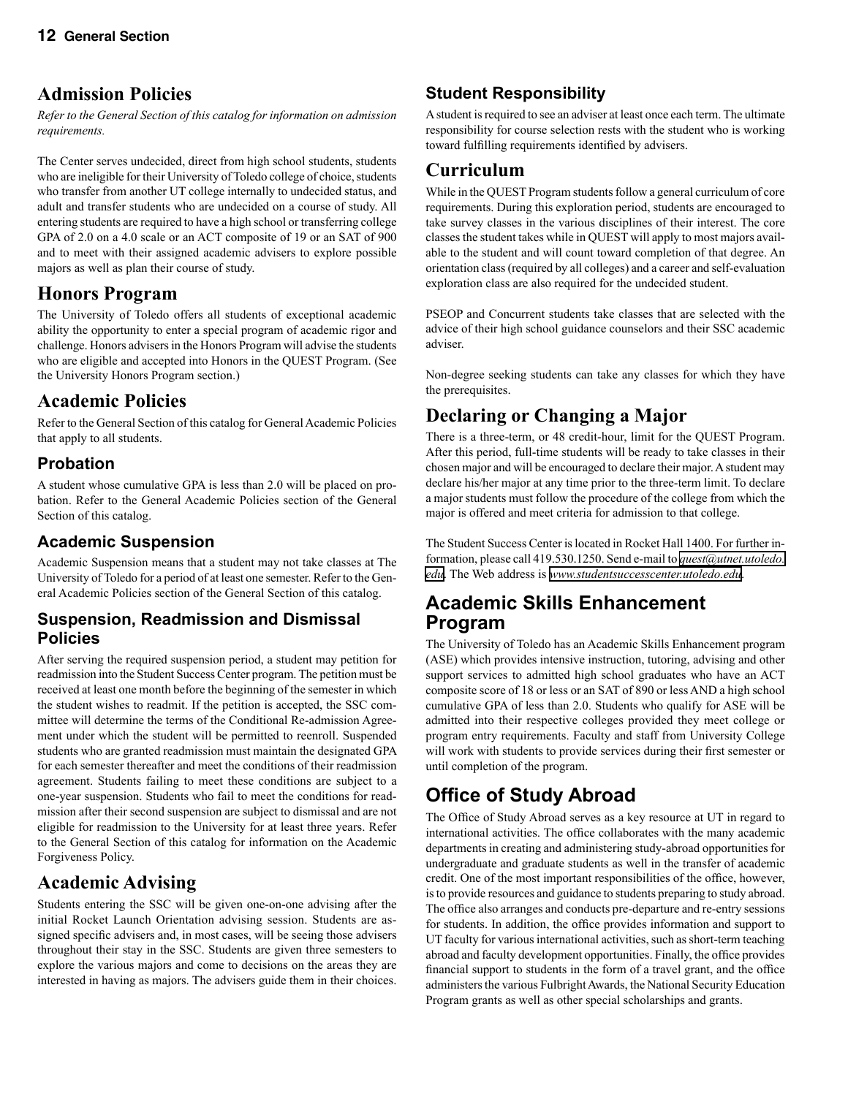### **Admission Policies**

*Refer to the General Section of this catalog for information on admission requirements.*

The Center serves undecided, direct from high school students, students who are ineligible for their University of Toledo college of choice, students who transfer from another UT college internally to undecided status, and adult and transfer students who are undecided on a course of study. All entering students are required to have a high school or transferring college GPA of 2.0 on a 4.0 scale or an ACT composite of 19 or an SAT of 900 and to meet with their assigned academic advisers to explore possible majors as well as plan their course of study.

### **Honors Program**

The University of Toledo offers all students of exceptional academic ability the opportunity to enter a special program of academic rigor and challenge. Honors advisers in the Honors Program will advise the students who are eligible and accepted into Honors in the QUEST Program. (See the University Honors Program section.)

### **Academic Policies**

Refer to the General Section of this catalog for General Academic Policies that apply to all students.

### **Probation**

A student whose cumulative GPA is less than 2.0 will be placed on probation. Refer to the General Academic Policies section of the General Section of this catalog.

### **Academic Suspension**

Academic Suspension means that a student may not take classes at The University of Toledo for a period of at least one semester. Refer to the General Academic Policies section of the General Section of this catalog.

#### **Suspension, Readmission and Dismissal Policies**

After serving the required suspension period, a student may petition for readmission into the Student Success Center program. The petition must be received at least one month before the beginning of the semester in which the student wishes to readmit. If the petition is accepted, the SSC committee will determine the terms of the Conditional Re-admission Agreement under which the student will be permitted to reenroll. Suspended students who are granted readmission must maintain the designated GPA for each semester thereafter and meet the conditions of their readmission agreement. Students failing to meet these conditions are subject to a one-year suspension. Students who fail to meet the conditions for readmission after their second suspension are subject to dismissal and are not eligible for readmission to the University for at least three years. Refer to the General Section of this catalog for information on the Academic Forgiveness Policy.

### **Academic Advising**

Students entering the SSC will be given one-on-one advising after the initial Rocket Launch Orientation advising session. Students are assigned specific advisers and, in most cases, will be seeing those advisers throughout their stay in the SSC. Students are given three semesters to explore the various majors and come to decisions on the areas they are interested in having as majors. The advisers guide them in their choices.

### **Student Responsibility**

A student is required to see an adviser at least once each term. The ultimate responsibility for course selection rests with the student who is working toward fulfilling requirements identified by advisers.

### **Curriculum**

While in the QUEST Program students follow a general curriculum of core requirements. During this exploration period, students are encouraged to take survey classes in the various disciplines of their interest. The core classes the student takes while in QUEST will apply to most majors available to the student and will count toward completion of that degree. An orientation class (required by all colleges) and a career and self-evaluation exploration class are also required for the undecided student.

PSEOP and Concurrent students take classes that are selected with the advice of their high school guidance counselors and their SSC academic adviser.

Non-degree seeking students can take any classes for which they have the prerequisites.

### **Declaring or Changing a Major**

There is a three-term, or 48 credit-hour, limit for the QUEST Program. After this period, full-time students will be ready to take classes in their chosen major and will be encouraged to declare their major. A student may declare his/her major at any time prior to the three-term limit. To declare a major students must follow the procedure of the college from which the major is offered and meet criteria for admission to that college.

The Student Success Center is located in Rocket Hall 1400. For further information, please call 419.530.1250. Send e-mail to *[quest@utnet.utoledo.](mailto:quest@utnet.utoledo.edu) [edu](mailto:quest@utnet.utoledo.edu)*. The Web address is *[www.studentsuccesscenter.utoledo.edu](http://www.studentsuccesscenter.utoledo.edu/)*.

### **Academic Skills Enhancement Program**

The University of Toledo has an Academic Skills Enhancement program (ASE) which provides intensive instruction, tutoring, advising and other support services to admitted high school graduates who have an ACT composite score of 18 or less or an SAT of 890 or less AND a high school cumulative GPA of less than 2.0. Students who qualify for ASE will be admitted into their respective colleges provided they meet college or program entry requirements. Faculty and staff from University College will work with students to provide services during their first semester or until completion of the program.

## **Office of Study Abroad**

The Office of Study Abroad serves as a key resource at UT in regard to international activities. The office collaborates with the many academic departments in creating and administering study-abroad opportunities for undergraduate and graduate students as well in the transfer of academic credit. One of the most important responsibilities of the office, however, is to provide resources and guidance to students preparing to study abroad. The office also arranges and conducts pre-departure and re-entry sessions for students. In addition, the office provides information and support to UT faculty for various international activities, such as short-term teaching abroad and faculty development opportunities. Finally, the office provides financial support to students in the form of a travel grant, and the office administers the various Fulbright Awards, the National Security Education Program grants as well as other special scholarships and grants.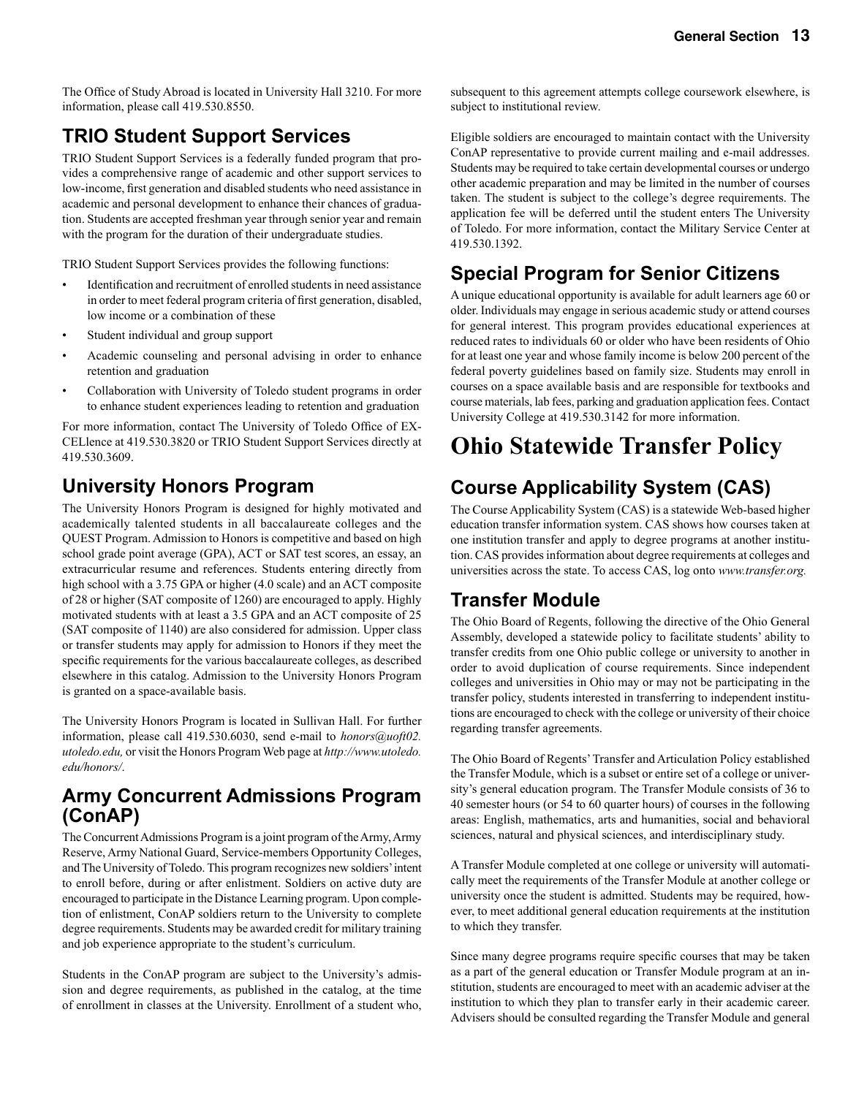The Office of Study Abroad is located in University Hall 3210. For more information, please call 419.530.8550.

### **TRIO Student Support Services**

TRIO Student Support Services is a federally funded program that provides a comprehensive range of academic and other support services to low-income, first generation and disabled students who need assistance in academic and personal development to enhance their chances of graduation. Students are accepted freshman year through senior year and remain with the program for the duration of their undergraduate studies.

TRIO Student Support Services provides the following functions:

- Identification and recruitment of enrolled students in need assistance in order to meet federal program criteria of first generation, disabled, low income or a combination of these
- Student individual and group support
- Academic counseling and personal advising in order to enhance retention and graduation
- Collaboration with University of Toledo student programs in order to enhance student experiences leading to retention and graduation

For more information, contact The University of Toledo Office of EX-CELlence at 419.530.3820 or TRIO Student Support Services directly at 419.530.3609.

### **University Honors Program**

The University Honors Program is designed for highly motivated and academically talented students in all baccalaureate colleges and the QUEST Program. Admission to Honors is competitive and based on high school grade point average (GPA), ACT or SAT test scores, an essay, an extracurricular resume and references. Students entering directly from high school with a 3.75 GPA or higher (4.0 scale) and an ACT composite of 28 or higher (SAT composite of 1260) are encouraged to apply. Highly motivated students with at least a 3.5 GPA and an ACT composite of 25 (SAT composite of 1140) are also considered for admission. Upper class or transfer students may apply for admission to Honors if they meet the specific requirements for the various baccalaureate colleges, as described elsewhere in this catalog. Admission to the University Honors Program is granted on a space-available basis.

The University Honors Program is located in Sullivan Hall. For further information, please call 419.530.6030, send e-mail to *honors@uoft02. utoledo.edu,* or visit the Honors Program Web page at *http://www.utoledo. edu/honors/*.

### **Army Concurrent Admissions Program (ConAP)**

The Concurrent Admissions Program is a joint program of the Army, Army Reserve, Army National Guard, Service-members Opportunity Colleges, and The University of Toledo. This program recognizes new soldiers' intent to enroll before, during or after enlistment. Soldiers on active duty are encouraged to participate in the Distance Learning program. Upon completion of enlistment, ConAP soldiers return to the University to complete degree requirements. Students may be awarded credit for military training and job experience appropriate to the student's curriculum.

Students in the ConAP program are subject to the University's admission and degree requirements, as published in the catalog, at the time of enrollment in classes at the University. Enrollment of a student who,

subsequent to this agreement attempts college coursework elsewhere, is subject to institutional review.

Eligible soldiers are encouraged to maintain contact with the University ConAP representative to provide current mailing and e-mail addresses. Students may be required to take certain developmental courses or undergo other academic preparation and may be limited in the number of courses taken. The student is subject to the college's degree requirements. The application fee will be deferred until the student enters The University of Toledo. For more information, contact the Military Service Center at 419.530.1392.

### **Special Program for Senior Citizens**

A unique educational opportunity is available for adult learners age 60 or older. Individuals may engage in serious academic study or attend courses for general interest. This program provides educational experiences at reduced rates to individuals 60 or older who have been residents of Ohio for at least one year and whose family income is below 200 percent of the federal poverty guidelines based on family size. Students may enroll in courses on a space available basis and are responsible for textbooks and course materials, lab fees, parking and graduation application fees. Contact University College at 419.530.3142 for more information.

# **Ohio Statewide Transfer Policy**

### **Course Applicability System (CAS)**

The Course Applicability System (CAS) is a statewide Web-based higher education transfer information system. CAS shows how courses taken at one institution transfer and apply to degree programs at another institution. CAS provides information about degree requirements at colleges and universities across the state. To access CAS, log onto *www.transfer.org.*

### **Transfer Module**

The Ohio Board of Regents, following the directive of the Ohio General Assembly, developed a statewide policy to facilitate students' ability to transfer credits from one Ohio public college or university to another in order to avoid duplication of course requirements. Since independent colleges and universities in Ohio may or may not be participating in the transfer policy, students interested in transferring to independent institutions are encouraged to check with the college or university of their choice regarding transfer agreements.

The Ohio Board of Regents' Transfer and Articulation Policy established the Transfer Module, which is a subset or entire set of a college or university's general education program. The Transfer Module consists of 36 to 40 semester hours (or 54 to 60 quarter hours) of courses in the following areas: English, mathematics, arts and humanities, social and behavioral sciences, natural and physical sciences, and interdisciplinary study.

A Transfer Module completed at one college or university will automatically meet the requirements of the Transfer Module at another college or university once the student is admitted. Students may be required, however, to meet additional general education requirements at the institution to which they transfer.

Since many degree programs require specific courses that may be taken as a part of the general education or Transfer Module program at an institution, students are encouraged to meet with an academic adviser at the institution to which they plan to transfer early in their academic career. Advisers should be consulted regarding the Transfer Module and general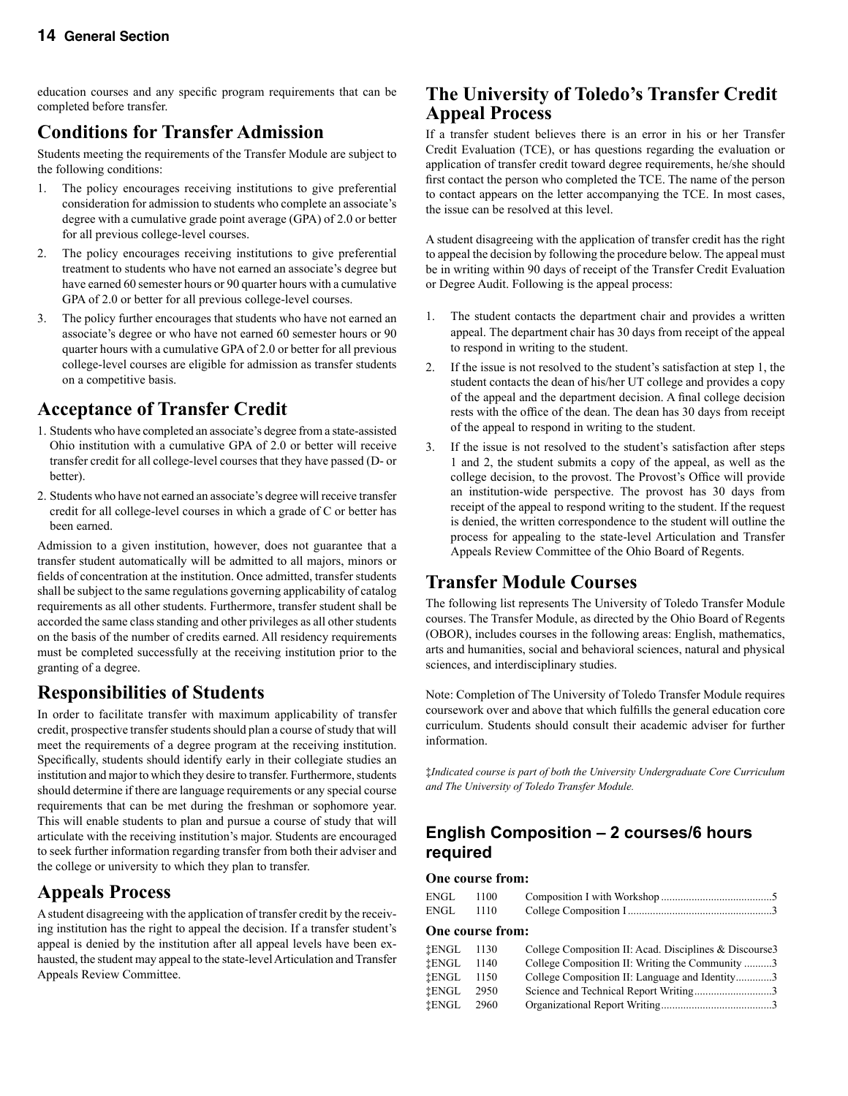education courses and any specific program requirements that can be completed before transfer.

### **Conditions for Transfer Admission**

Students meeting the requirements of the Transfer Module are subject to the following conditions:

- 1. The policy encourages receiving institutions to give preferential consideration for admission to students who complete an associate's degree with a cumulative grade point average (GPA) of 2.0 or better for all previous college-level courses.
- 2. The policy encourages receiving institutions to give preferential treatment to students who have not earned an associate's degree but have earned 60 semester hours or 90 quarter hours with a cumulative GPA of 2.0 or better for all previous college-level courses.
- 3. The policy further encourages that students who have not earned an associate's degree or who have not earned 60 semester hours or 90 quarter hours with a cumulative GPA of 2.0 or better for all previous college-level courses are eligible for admission as transfer students on a competitive basis.

### **Acceptance of Transfer Credit**

- 1. Students who have completed an associate's degree from a state-assisted Ohio institution with a cumulative GPA of 2.0 or better will receive transfer credit for all college-level courses that they have passed (D- or better).
- 2. Students who have not earned an associate's degree will receive transfer credit for all college-level courses in which a grade of C or better has been earned.

Admission to a given institution, however, does not guarantee that a transfer student automatically will be admitted to all majors, minors or fields of concentration at the institution. Once admitted, transfer students shall be subject to the same regulations governing applicability of catalog requirements as all other students. Furthermore, transfer student shall be accorded the same class standing and other privileges as all other students on the basis of the number of credits earned. All residency requirements must be completed successfully at the receiving institution prior to the granting of a degree.

### **Responsibilities of Students**

In order to facilitate transfer with maximum applicability of transfer credit, prospective transfer students should plan a course of study that will meet the requirements of a degree program at the receiving institution. Specifically, students should identify early in their collegiate studies an institution and major to which they desire to transfer. Furthermore, students should determine if there are language requirements or any special course requirements that can be met during the freshman or sophomore year. This will enable students to plan and pursue a course of study that will articulate with the receiving institution's major. Students are encouraged to seek further information regarding transfer from both their adviser and the college or university to which they plan to transfer.

### **Appeals Process**

A student disagreeing with the application of transfer credit by the receiving institution has the right to appeal the decision. If a transfer student's appeal is denied by the institution after all appeal levels have been exhausted, the student may appeal to the state-level Articulation and Transfer Appeals Review Committee.

### **The University of Toledo's Transfer Credit Appeal Process**

If a transfer student believes there is an error in his or her Transfer Credit Evaluation (TCE), or has questions regarding the evaluation or application of transfer credit toward degree requirements, he/she should first contact the person who completed the TCE. The name of the person to contact appears on the letter accompanying the TCE. In most cases, the issue can be resolved at this level.

A student disagreeing with the application of transfer credit has the right to appeal the decision by following the procedure below. The appeal must be in writing within 90 days of receipt of the Transfer Credit Evaluation or Degree Audit. Following is the appeal process:

- 1. The student contacts the department chair and provides a written appeal. The department chair has 30 days from receipt of the appeal to respond in writing to the student.
- 2. If the issue is not resolved to the student's satisfaction at step 1, the student contacts the dean of his/her UT college and provides a copy of the appeal and the department decision. A final college decision rests with the office of the dean. The dean has 30 days from receipt of the appeal to respond in writing to the student.
- 3. If the issue is not resolved to the student's satisfaction after steps 1 and 2, the student submits a copy of the appeal, as well as the college decision, to the provost. The Provost's Office will provide an institution-wide perspective. The provost has 30 days from receipt of the appeal to respond writing to the student. If the request is denied, the written correspondence to the student will outline the process for appealing to the state-level Articulation and Transfer Appeals Review Committee of the Ohio Board of Regents.

### **Transfer Module Courses**

The following list represents The University of Toledo Transfer Module courses. The Transfer Module, as directed by the Ohio Board of Regents (OBOR), includes courses in the following areas: English, mathematics, arts and humanities, social and behavioral sciences, natural and physical sciences, and interdisciplinary studies.

Note: Completion of The University of Toledo Transfer Module requires coursework over and above that which fulfills the general education core curriculum. Students should consult their academic adviser for further information.

‡*Indicated course is part of both the University Undergraduate Core Curriculum and The University of Toledo Transfer Module.*

### **English Composition – 2 courses/6 hours required**

#### **One course from:**

| ENGL 1100 |  |  |
|-----------|--|--|
| ENGL 1110 |  |  |

#### **One course from:**

| <b>İENGL</b> | 1130 | College Composition II: Acad. Disciplines & Discourse 3 |
|--------------|------|---------------------------------------------------------|
| <b>İENGL</b> | 1140 | College Composition II: Writing the Community 3         |
| <b>İENGL</b> | 1150 | College Composition II: Language and Identity3          |
| <b>İENGL</b> | 2950 | Science and Technical Report Writing3                   |
| <b>İENGL</b> | 2960 |                                                         |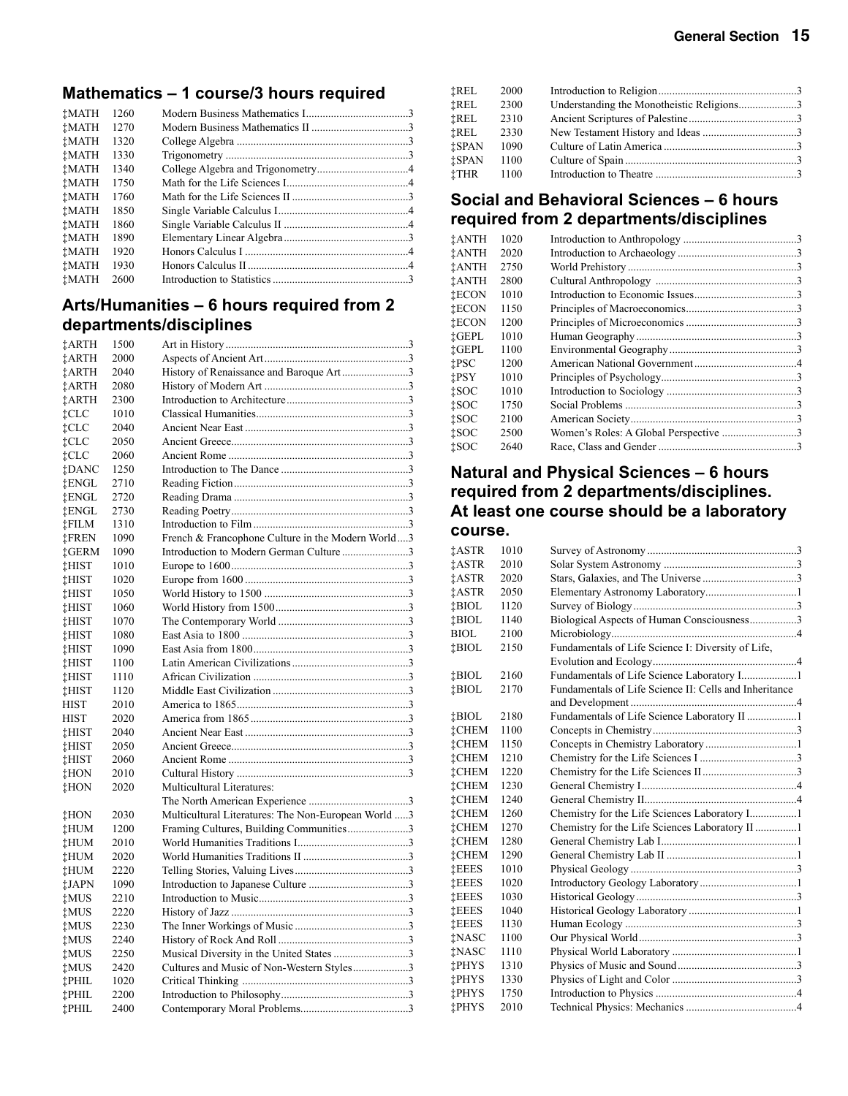### **Mathematics – 1 course/3 hours required**

| <b>TMATH</b> | 1260 |  |
|--------------|------|--|
| <b>İMATH</b> | 1270 |  |
| <b>TMATH</b> | 1320 |  |
| <b>TMATH</b> | 1330 |  |
| <b>TMATH</b> | 1340 |  |
| <b>TMATH</b> | 1750 |  |
| <b>TMATH</b> | 1760 |  |
| <b>TMATH</b> | 1850 |  |
| <b>TMATH</b> | 1860 |  |
| <b>TMATH</b> | 1890 |  |
| <b>TMATH</b> | 1920 |  |
| <b>TMATH</b> | 1930 |  |
| <b>†MATH</b> | 2600 |  |
|              |      |  |

### **Arts/Humanities – 6 hours required from 2 departments/disciplines**

| ‡ARTH        | 1500 |                                                     |  |
|--------------|------|-----------------------------------------------------|--|
| <b>İARTH</b> | 2000 |                                                     |  |
| <b>†ARTH</b> | 2040 | History of Renaissance and Baroque Art3             |  |
| <b>†ARTH</b> | 2080 |                                                     |  |
| <b>İARTH</b> | 2300 |                                                     |  |
| ‡CLC         | 1010 |                                                     |  |
| ‡CLC         | 2040 |                                                     |  |
| ‡CLC         | 2050 |                                                     |  |
| ‡CLC         | 2060 |                                                     |  |
| ‡DANC        | 1250 |                                                     |  |
| ‡ENGL        | 2710 |                                                     |  |
| ‡ENGL        | 2720 |                                                     |  |
| ‡ENGL        | 2730 |                                                     |  |
| ‡FILM        | 1310 |                                                     |  |
| <b>İFREN</b> | 1090 | French & Francophone Culture in the Modern World3   |  |
| †GERM        | 1090 | Introduction to Modern German Culture 3             |  |
| ‡HIST        | 1010 |                                                     |  |
| ‡HIST        | 1020 |                                                     |  |
| ‡HIST        | 1050 |                                                     |  |
| <b>THIST</b> | 1060 |                                                     |  |
| ‡HIST        | 1070 |                                                     |  |
| ‡HIST        | 1080 |                                                     |  |
| ‡HIST        | 1090 |                                                     |  |
| <b>İHIST</b> | 1100 |                                                     |  |
| ‡HIST        | 1110 |                                                     |  |
| ‡HIST        | 1120 |                                                     |  |
| <b>HIST</b>  | 2010 |                                                     |  |
| <b>HIST</b>  | 2020 |                                                     |  |
| <b>İHIST</b> | 2040 |                                                     |  |
| <b>THIST</b> | 2050 |                                                     |  |
| ‡HIST        | 2060 |                                                     |  |
| ‡HON         | 2010 |                                                     |  |
| ‡HON         | 2020 | Multicultural Literatures:                          |  |
|              |      |                                                     |  |
| ‡HON         | 2030 | Multicultural Literatures: The Non-European World 3 |  |
| ‡HUM         | 1200 | Framing Cultures, Building Communities3             |  |
| ‡HUM         | 2010 |                                                     |  |
| †HUM         | 2020 |                                                     |  |
| ‡HUM         | 2220 |                                                     |  |
| ‡JAPN        | 1090 |                                                     |  |
| <b>†MUS</b>  | 2210 |                                                     |  |
| <b>†MUS</b>  | 2220 |                                                     |  |
| <b>†MUS</b>  | 2230 |                                                     |  |
| ‡MUS         | 2240 |                                                     |  |
| ‡MUS         | 2250 | Musical Diversity in the United States 3            |  |
| ‡MUS         | 2420 | Cultures and Music of Non-Western Styles3           |  |
| ‡PHIL        | 1020 |                                                     |  |
| <b>†PHIL</b> | 2200 |                                                     |  |
| <b>†PHIL</b> | 2400 |                                                     |  |

| ‡REL         | 2000 |                                           |  |
|--------------|------|-------------------------------------------|--|
| ‡REL         | 2300 | Understanding the Monotheistic Religions3 |  |
| ‡REL         | 2310 |                                           |  |
| <b>İREL</b>  | 2330 |                                           |  |
| <b>İSPAN</b> | 1090 |                                           |  |
| <b>İSPAN</b> | 1100 |                                           |  |
| ‡THR         | 1100 |                                           |  |
|              |      |                                           |  |

#### **Social and Behavioral Sciences – 6 hours required from 2 departments/disciplines**

| †ANTH        | 1020 |                                       |  |
|--------------|------|---------------------------------------|--|
| <b>†ANTH</b> | 2020 |                                       |  |
| ‡ANTH        | 2750 |                                       |  |
| †ANTH        | 2800 |                                       |  |
| İECON        | 1010 |                                       |  |
| ‡ECON        | 1150 |                                       |  |
| İECON        | 1200 |                                       |  |
| iGEPL        | 1010 |                                       |  |
| iGEPL        | 1100 |                                       |  |
| †PSC         | 1200 |                                       |  |
| †PSY         | 1010 |                                       |  |
| †SOC         | 1010 |                                       |  |
| †SOC         | 1750 |                                       |  |
| †SOC         | 2100 |                                       |  |
| †SOC         | 2500 | Women's Roles: A Global Perspective 3 |  |
| ‡SOC         | 2640 |                                       |  |
|              |      |                                       |  |

#### **Natural and Physical Sciences – 6 hours required from 2 departments/disciplines. At least one course should be a laboratory course.**

| ‡ASTR        | 1010 |                                                        |  |
|--------------|------|--------------------------------------------------------|--|
| iASTR        | 2010 |                                                        |  |
| ‡ASTR        | 2020 |                                                        |  |
| ‡ASTR        | 2050 |                                                        |  |
| <b>İBIOL</b> | 1120 |                                                        |  |
| ‡BIOL        | 1140 | Biological Aspects of Human Consciousness3             |  |
| BIOL.        | 2100 |                                                        |  |
| <b>İBIOL</b> | 2150 | Fundamentals of Life Science I: Diversity of Life,     |  |
|              |      |                                                        |  |
| <b>İBIOL</b> | 2160 | Fundamentals of Life Science Laboratory I1             |  |
| <b>İBIOL</b> | 2170 | Fundamentals of Life Science II: Cells and Inheritance |  |
|              |      |                                                        |  |
| †BIOL        | 2180 |                                                        |  |
| <b>İCHEM</b> | 1100 |                                                        |  |
| †CHEM        | 1150 |                                                        |  |
| <b>†CHEM</b> | 1210 |                                                        |  |
| <b>İCHEM</b> | 1220 |                                                        |  |
| †CHEM        | 1230 |                                                        |  |
| <b>İCHEM</b> | 1240 |                                                        |  |
| <b>†CHEM</b> | 1260 | Chemistry for the Life Sciences Laboratory I1          |  |
| †CHEM        | 1270 | Chemistry for the Life Sciences Laboratory II 1        |  |
| <b>İCHEM</b> | 1280 |                                                        |  |
| <b>İCHEM</b> | 1290 |                                                        |  |
| İEEES        | 1010 |                                                        |  |
| İEEES        | 1020 |                                                        |  |
| <b>İEEES</b> | 1030 |                                                        |  |
| <b>İEEES</b> | 1040 |                                                        |  |
| <b>İEEES</b> | 1130 |                                                        |  |
| <b>İNASC</b> | 1100 |                                                        |  |
| ‡NASC        | 1110 |                                                        |  |
| ‡PHYS        | 1310 |                                                        |  |
| ‡PHYS        | 1330 |                                                        |  |
| ‡PHYS        | 1750 |                                                        |  |
| ‡PHYS        | 2010 |                                                        |  |
|              |      |                                                        |  |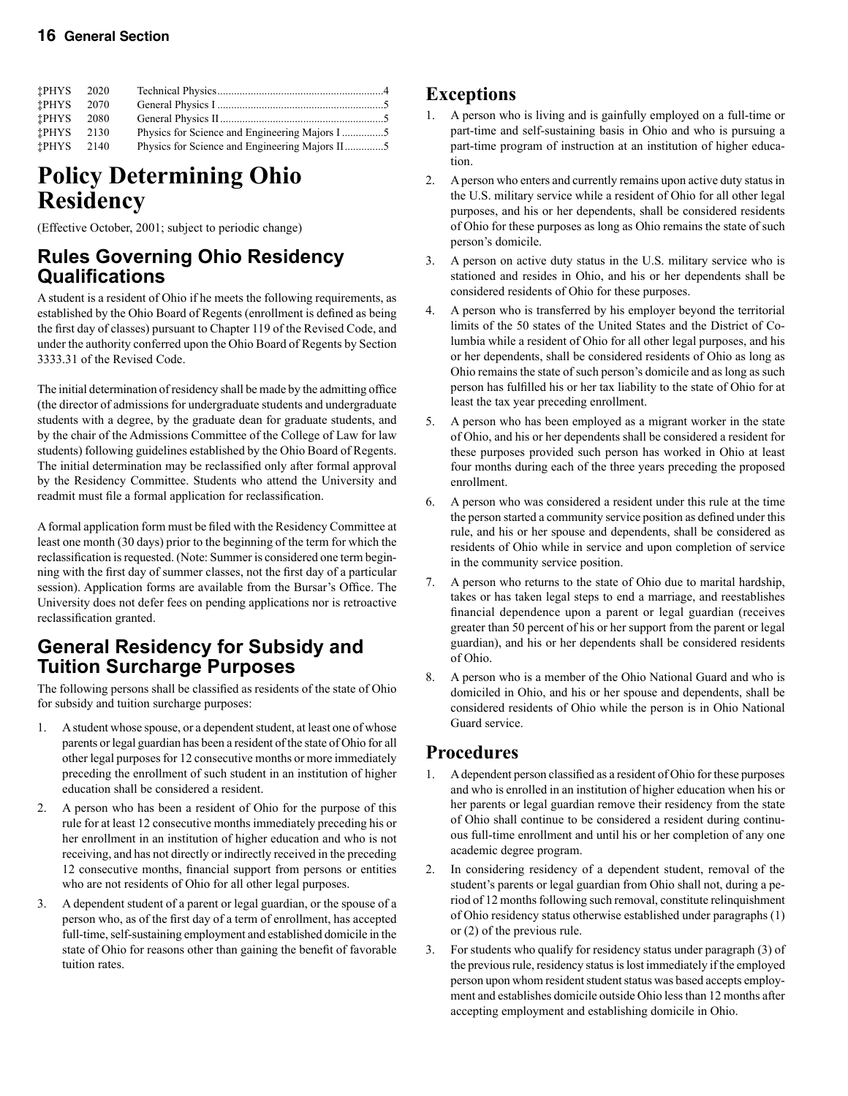#### **16 General Section**

| <b>†PHYS</b> | - 2020 |                                                |  |
|--------------|--------|------------------------------------------------|--|
| <b>†PHYS</b> | 2070   |                                                |  |
| †PHYS        | 2080   |                                                |  |
| †PHYS        | 2130   |                                                |  |
| †PHYS        | 2140   | Physics for Science and Engineering Majors II5 |  |

## **Policy Determining Ohio Residency**

(Effective October, 2001; subject to periodic change)

### **Rules Governing Ohio Residency Qualifications**

A student is a resident of Ohio if he meets the following requirements, as established by the Ohio Board of Regents (enrollment is defined as being the first day of classes) pursuant to Chapter 119 of the Revised Code, and under the authority conferred upon the Ohio Board of Regents by Section 3333.31 of the Revised Code.

The initial determination of residency shall be made by the admitting office (the director of admissions for undergraduate students and undergraduate students with a degree, by the graduate dean for graduate students, and by the chair of the Admissions Committee of the College of Law for law students) following guidelines established by the Ohio Board of Regents. The initial determination may be reclassified only after formal approval by the Residency Committee. Students who attend the University and readmit must file a formal application for reclassification.

A formal application form must be filed with the Residency Committee at least one month (30 days) prior to the beginning of the term for which the reclassification is requested. (Note: Summer is considered one term beginning with the first day of summer classes, not the first day of a particular session). Application forms are available from the Bursar's Office. The University does not defer fees on pending applications nor is retroactive reclassification granted.

### **General Residency for Subsidy and Tuition Surcharge Purposes**

The following persons shall be classified as residents of the state of Ohio for subsidy and tuition surcharge purposes:

- 1. A student whose spouse, or a dependent student, at least one of whose parents or legal guardian has been a resident of the state of Ohio for all other legal purposes for 12 consecutive months or more immediately preceding the enrollment of such student in an institution of higher education shall be considered a resident.
- 2. A person who has been a resident of Ohio for the purpose of this rule for at least 12 consecutive months immediately preceding his or her enrollment in an institution of higher education and who is not receiving, and has not directly or indirectly received in the preceding 12 consecutive months, financial support from persons or entities who are not residents of Ohio for all other legal purposes.
- 3. A dependent student of a parent or legal guardian, or the spouse of a person who, as of the first day of a term of enrollment, has accepted full-time, self-sustaining employment and established domicile in the state of Ohio for reasons other than gaining the benefit of favorable tuition rates.

### **Exceptions**

- 1. A person who is living and is gainfully employed on a full-time or part-time and self-sustaining basis in Ohio and who is pursuing a part-time program of instruction at an institution of higher education.
- 2. A person who enters and currently remains upon active duty status in the U.S. military service while a resident of Ohio for all other legal purposes, and his or her dependents, shall be considered residents of Ohio for these purposes as long as Ohio remains the state of such person's domicile.
- 3. A person on active duty status in the U.S. military service who is stationed and resides in Ohio, and his or her dependents shall be considered residents of Ohio for these purposes.
- 4. A person who is transferred by his employer beyond the territorial limits of the 50 states of the United States and the District of Columbia while a resident of Ohio for all other legal purposes, and his or her dependents, shall be considered residents of Ohio as long as Ohio remains the state of such person's domicile and as long as such person has fulfilled his or her tax liability to the state of Ohio for at least the tax year preceding enrollment.
- 5. A person who has been employed as a migrant worker in the state of Ohio, and his or her dependents shall be considered a resident for these purposes provided such person has worked in Ohio at least four months during each of the three years preceding the proposed enrollment.
- 6. A person who was considered a resident under this rule at the time the person started a community service position as defined under this rule, and his or her spouse and dependents, shall be considered as residents of Ohio while in service and upon completion of service in the community service position.
- 7. A person who returns to the state of Ohio due to marital hardship, takes or has taken legal steps to end a marriage, and reestablishes financial dependence upon a parent or legal guardian (receives greater than 50 percent of his or her support from the parent or legal guardian), and his or her dependents shall be considered residents of Ohio.
- 8. A person who is a member of the Ohio National Guard and who is domiciled in Ohio, and his or her spouse and dependents, shall be considered residents of Ohio while the person is in Ohio National Guard service.

### **Procedures**

- 1. A dependent person classified as a resident of Ohio for these purposes and who is enrolled in an institution of higher education when his or her parents or legal guardian remove their residency from the state of Ohio shall continue to be considered a resident during continuous full-time enrollment and until his or her completion of any one academic degree program.
- 2. In considering residency of a dependent student, removal of the student's parents or legal guardian from Ohio shall not, during a period of 12 months following such removal, constitute relinquishment of Ohio residency status otherwise established under paragraphs (1) or (2) of the previous rule.
- 3. For students who qualify for residency status under paragraph (3) of the previous rule, residency status is lost immediately if the employed person upon whom resident student status was based accepts employment and establishes domicile outside Ohio less than 12 months after accepting employment and establishing domicile in Ohio.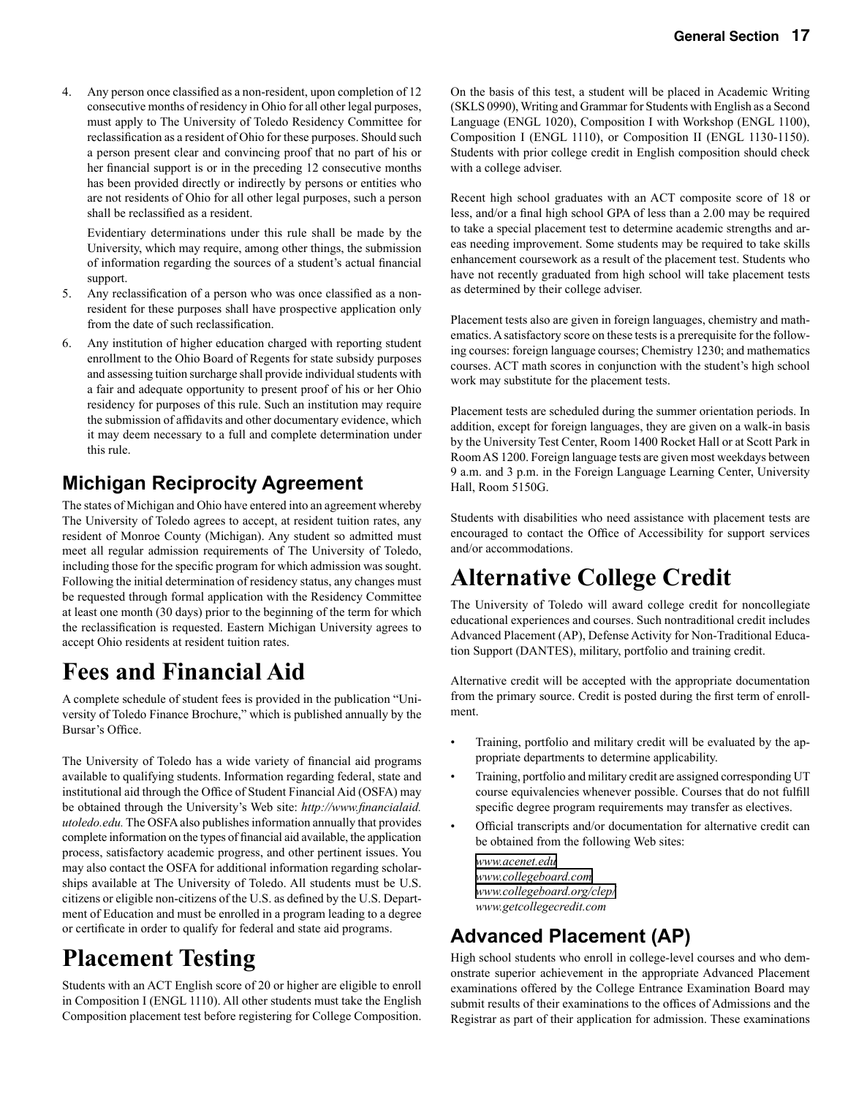4. Any person once classified as a non-resident, upon completion of 12 consecutive months of residency in Ohio for all other legal purposes, must apply to The University of Toledo Residency Committee for reclassification as a resident of Ohio for these purposes. Should such a person present clear and convincing proof that no part of his or her financial support is or in the preceding 12 consecutive months has been provided directly or indirectly by persons or entities who are not residents of Ohio for all other legal purposes, such a person shall be reclassified as a resident.

Evidentiary determinations under this rule shall be made by the University, which may require, among other things, the submission of information regarding the sources of a student's actual financial support.

- 5. Any reclassification of a person who was once classified as a nonresident for these purposes shall have prospective application only from the date of such reclassification.
- 6. Any institution of higher education charged with reporting student enrollment to the Ohio Board of Regents for state subsidy purposes and assessing tuition surcharge shall provide individual students with a fair and adequate opportunity to present proof of his or her Ohio residency for purposes of this rule. Such an institution may require the submission of affidavits and other documentary evidence, which it may deem necessary to a full and complete determination under this rule.

### **Michigan Reciprocity Agreement**

The states of Michigan and Ohio have entered into an agreement whereby The University of Toledo agrees to accept, at resident tuition rates, any resident of Monroe County (Michigan). Any student so admitted must meet all regular admission requirements of The University of Toledo, including those for the specific program for which admission was sought. Following the initial determination of residency status, any changes must be requested through formal application with the Residency Committee at least one month (30 days) prior to the beginning of the term for which the reclassification is requested. Eastern Michigan University agrees to accept Ohio residents at resident tuition rates.

# **Fees and Financial Aid**

A complete schedule of student fees is provided in the publication "University of Toledo Finance Brochure," which is published annually by the Bursar's Office.

The University of Toledo has a wide variety of financial aid programs available to qualifying students. Information regarding federal, state and institutional aid through the Office of Student Financial Aid (OSFA) may be obtained through the University's Web site: *http://www.financialaid. utoledo.edu.* The OSFA also publishes information annually that provides complete information on the types of financial aid available, the application process, satisfactory academic progress, and other pertinent issues. You may also contact the OSFA for additional information regarding scholarships available at The University of Toledo. All students must be U.S. citizens or eligible non-citizens of the U.S. as defined by the U.S. Department of Education and must be enrolled in a program leading to a degree or certificate in order to qualify for federal and state aid programs.

# **Placement Testing**

Students with an ACT English score of 20 or higher are eligible to enroll in Composition I (ENGL 1110). All other students must take the English Composition placement test before registering for College Composition.

On the basis of this test, a student will be placed in Academic Writing (SKLS 0990), Writing and Grammar for Students with English as a Second Language (ENGL 1020), Composition I with Workshop (ENGL 1100), Composition I (ENGL 1110), or Composition II (ENGL 1130-1150). Students with prior college credit in English composition should check with a college adviser.

Recent high school graduates with an ACT composite score of 18 or less, and/or a final high school GPA of less than a 2.00 may be required to take a special placement test to determine academic strengths and areas needing improvement. Some students may be required to take skills enhancement coursework as a result of the placement test. Students who have not recently graduated from high school will take placement tests as determined by their college adviser.

Placement tests also are given in foreign languages, chemistry and mathematics. A satisfactory score on these tests is a prerequisite for the following courses: foreign language courses; Chemistry 1230; and mathematics courses. ACT math scores in conjunction with the student's high school work may substitute for the placement tests.

Placement tests are scheduled during the summer orientation periods. In addition, except for foreign languages, they are given on a walk-in basis by the University Test Center, Room 1400 Rocket Hall or at Scott Park in Room AS 1200. Foreign language tests are given most weekdays between 9 a.m. and 3 p.m. in the Foreign Language Learning Center, University Hall, Room 5150G.

Students with disabilities who need assistance with placement tests are encouraged to contact the Office of Accessibility for support services and/or accommodations.

# **Alternative College Credit**

The University of Toledo will award college credit for noncollegiate educational experiences and courses. Such nontraditional credit includes Advanced Placement (AP), Defense Activity for Non-Traditional Education Support (DANTES), military, portfolio and training credit.

Alternative credit will be accepted with the appropriate documentation from the primary source. Credit is posted during the first term of enrollment.

- Training, portfolio and military credit will be evaluated by the appropriate departments to determine applicability.
- Training, portfolio and military credit are assigned corresponding UT course equivalencies whenever possible. Courses that do not fulfill specific degree program requirements may transfer as electives.
- Official transcripts and/or documentation for alternative credit can be obtained from the following Web sites:

*[www.acenet.edu](http://www.acenet.edu) [www.collegeboard.com](http://www.collegeboard.com) [www.collegeboard.org/clep/](http://www.collegeboard.org/clep/) www.getcollegecredit.com*

### **Advanced Placement (AP)**

High school students who enroll in college-level courses and who demonstrate superior achievement in the appropriate Advanced Placement examinations offered by the College Entrance Examination Board may submit results of their examinations to the offices of Admissions and the Registrar as part of their application for admission. These examinations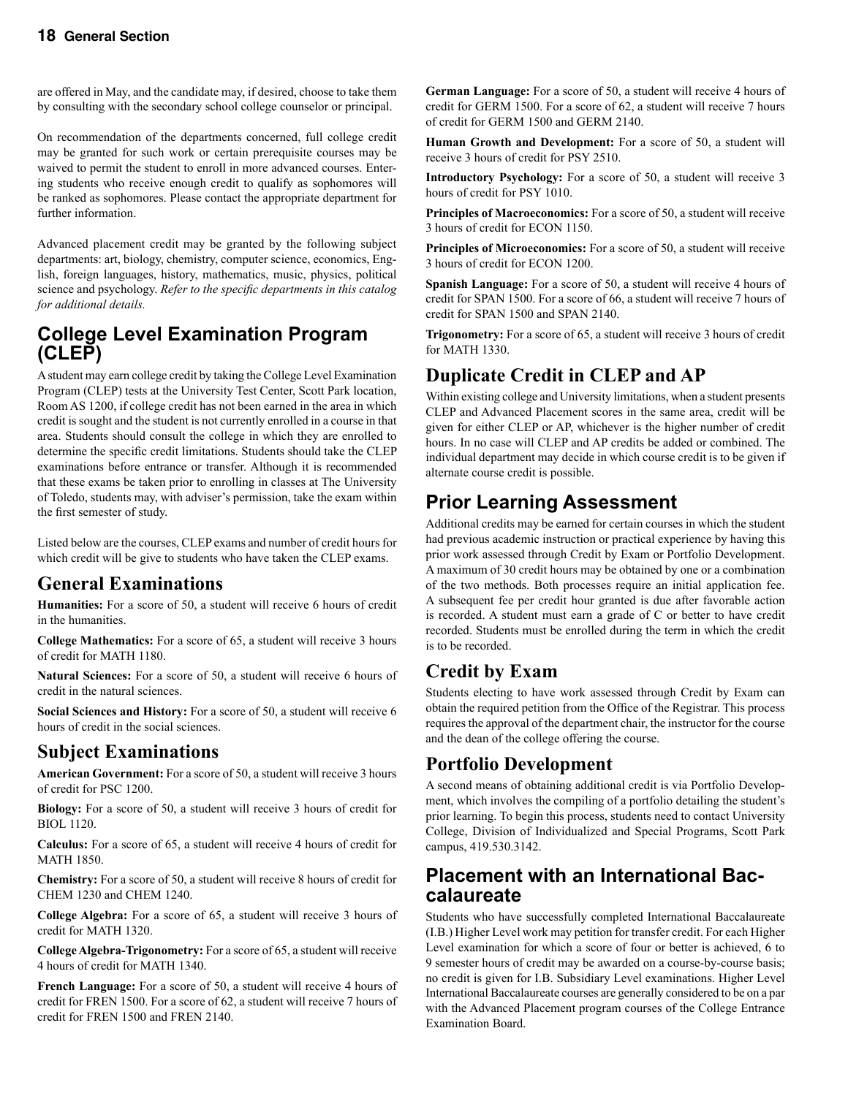are offered in May, and the candidate may, if desired, choose to take them by consulting with the secondary school college counselor or principal.

On recommendation of the departments concerned, full college credit may be granted for such work or certain prerequisite courses may be waived to permit the student to enroll in more advanced courses. Entering students who receive enough credit to qualify as sophomores will be ranked as sophomores. Please contact the appropriate department for further information.

Advanced placement credit may be granted by the following subject departments: art, biology, chemistry, computer science, economics, English, foreign languages, history, mathematics, music, physics, political science and psychology. *Refer to the specific departments in this catalog for additional details.*

### **College Level Examination Program (CLEP)**

A student may earn college credit by taking the College Level Examination Program (CLEP) tests at the University Test Center, Scott Park location, Room AS 1200, if college credit has not been earned in the area in which credit is sought and the student is not currently enrolled in a course in that area. Students should consult the college in which they are enrolled to determine the specific credit limitations. Students should take the CLEP examinations before entrance or transfer. Although it is recommended that these exams be taken prior to enrolling in classes at The University of Toledo, students may, with adviser's permission, take the exam within the first semester of study.

Listed below are the courses, CLEP exams and number of credit hours for which credit will be give to students who have taken the CLEP exams.

### **General Examinations**

**Humanities:** For a score of 50, a student will receive 6 hours of credit in the humanities.

**College Mathematics:** For a score of 65, a student will receive 3 hours of credit for MATH 1180.

**Natural Sciences:** For a score of 50, a student will receive 6 hours of credit in the natural sciences.

**Social Sciences and History:** For a score of 50, a student will receive 6 hours of credit in the social sciences.

### **Subject Examinations**

**American Government:** For a score of 50, a student will receive 3 hours of credit for PSC 1200.

**Biology:** For a score of 50, a student will receive 3 hours of credit for BIOL 1120.

**Calculus:** For a score of 65, a student will receive 4 hours of credit for MATH 1850.

**Chemistry:** For a score of 50, a student will receive 8 hours of credit for CHEM 1230 and CHEM 1240.

**College Algebra:** For a score of 65, a student will receive 3 hours of credit for MATH 1320.

**College Algebra-Trigonometry:** For a score of 65, a student will receive 4 hours of credit for MATH 1340.

**French Language:** For a score of 50, a student will receive 4 hours of credit for FREN 1500. For a score of 62, a student will receive 7 hours of credit for FREN 1500 and FREN 2140.

**German Language:** For a score of 50, a student will receive 4 hours of credit for GERM 1500. For a score of 62, a student will receive 7 hours of credit for GERM 1500 and GERM 2140.

**Human Growth and Development:** For a score of 50, a student will receive 3 hours of credit for PSY 2510.

**Introductory Psychology:** For a score of 50, a student will receive 3 hours of credit for PSY 1010.

**Principles of Macroeconomics:** For a score of 50, a student will receive 3 hours of credit for ECON 1150.

**Principles of Microeconomics:** For a score of 50, a student will receive 3 hours of credit for ECON 1200.

**Spanish Language:** For a score of 50, a student will receive 4 hours of credit for SPAN 1500. For a score of 66, a student will receive 7 hours of credit for SPAN 1500 and SPAN 2140.

**Trigonometry:** For a score of 65, a student will receive 3 hours of credit for MATH 1330.

### **Duplicate Credit in CLEP and AP**

Within existing college and University limitations, when a student presents CLEP and Advanced Placement scores in the same area, credit will be given for either CLEP or AP, whichever is the higher number of credit hours. In no case will CLEP and AP credits be added or combined. The individual department may decide in which course credit is to be given if alternate course credit is possible.

### **Prior Learning Assessment**

Additional credits may be earned for certain courses in which the student had previous academic instruction or practical experience by having this prior work assessed through Credit by Exam or Portfolio Development. A maximum of 30 credit hours may be obtained by one or a combination of the two methods. Both processes require an initial application fee. A subsequent fee per credit hour granted is due after favorable action is recorded. A student must earn a grade of C or better to have credit recorded. Students must be enrolled during the term in which the credit is to be recorded.

### **Credit by Exam**

Students electing to have work assessed through Credit by Exam can obtain the required petition from the Office of the Registrar. This process requires the approval of the department chair, the instructor for the course and the dean of the college offering the course.

### **Portfolio Development**

A second means of obtaining additional credit is via Portfolio Development, which involves the compiling of a portfolio detailing the student's prior learning. To begin this process, students need to contact University College, Division of Individualized and Special Programs, Scott Park campus, 419.530.3142.

# **Placement with an International Bac- calaureate**

Students who have successfully completed International Baccalaureate (I.B.) Higher Level work may petition for transfer credit. For each Higher Level examination for which a score of four or better is achieved, 6 to 9 semester hours of credit may be awarded on a course-by-course basis; no credit is given for I.B. Subsidiary Level examinations. Higher Level International Baccalaureate courses are generally considered to be on a par with the Advanced Placement program courses of the College Entrance Examination Board.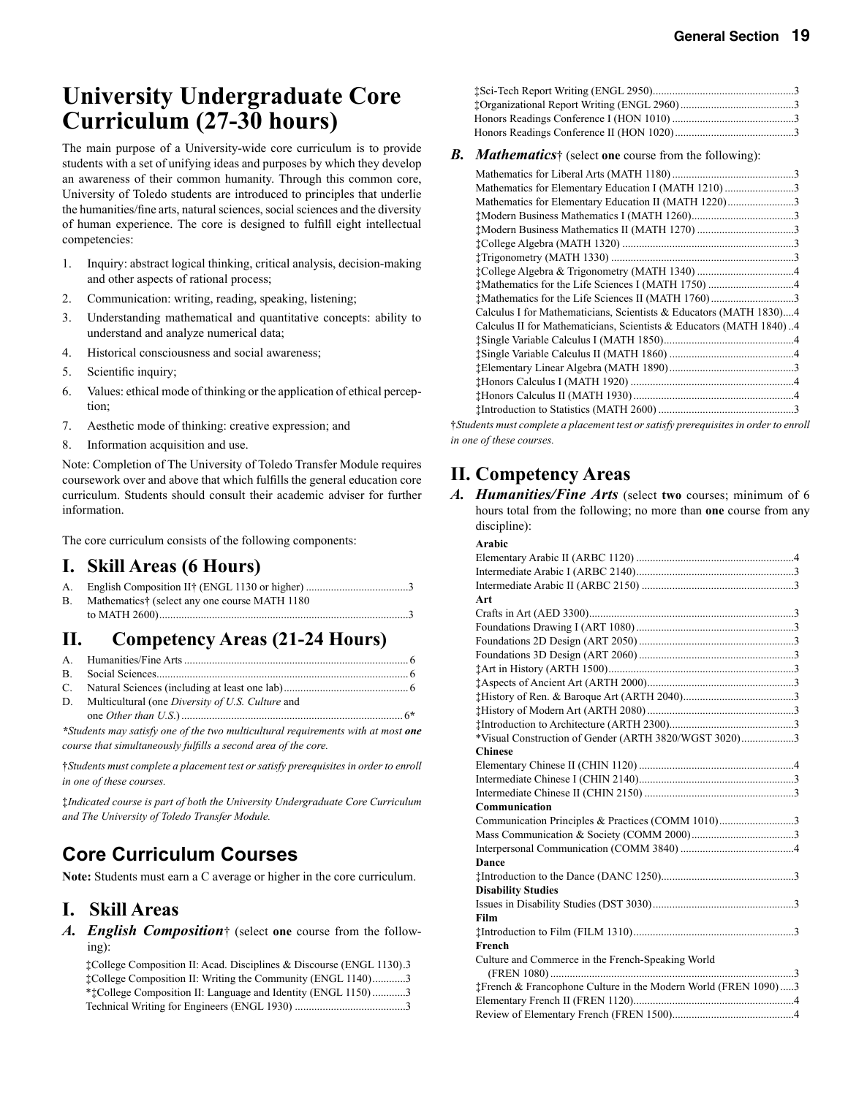# **University Undergraduate Core Curriculum (27-30 hours)**

The main purpose of a University-wide core curriculum is to provide students with a set of unifying ideas and purposes by which they develop an awareness of their common humanity. Through this common core, University of Toledo students are introduced to principles that underlie the humanities/fine arts, natural sciences, social sciences and the diversity of human experience. The core is designed to fulfill eight intellectual competencies:

- 1. Inquiry: abstract logical thinking, critical analysis, decision-making and other aspects of rational process;
- 2. Communication: writing, reading, speaking, listening;
- 3. Understanding mathematical and quantitative concepts: ability to understand and analyze numerical data;
- 4. Historical consciousness and social awareness;
- 5. Scientific inquiry;
- 6. Values: ethical mode of thinking or the application of ethical perception;
- 7. Aesthetic mode of thinking: creative expression; and
- 8. Information acquisition and use.

Note: Completion of The University of Toledo Transfer Module requires coursework over and above that which fulfills the general education core curriculum. Students should consult their academic adviser for further information.

The core curriculum consists of the following components:

#### **I. Skill Areas (6 Hours)**

| <b>B.</b> | Mathematics† (select any one course MATH 1180 |  |
|-----------|-----------------------------------------------|--|
|           |                                               |  |

### **II. Competency Areas (21-24 Hours)**

| D. Multicultural (one Diversity of U.S. Culture and |  |
|-----------------------------------------------------|--|
|                                                     |  |

*\*Students may satisfy one of the two multicultural requirements with at most one course that simultaneously fulfills a second area of the core.*

†*Students must complete a placement test or satisfy prerequisites in order to enroll in one of these courses.*

‡*Indicated course is part of both the University Undergraduate Core Curriculum and The University of Toledo Transfer Module.*

### **Core Curriculum Courses**

**Note:** Students must earn a C average or higher in the core curriculum.

#### **I. Skill Areas**

*A. English Composition*† (select **one** course from the following):

 ‡College Composition II: Acad. Disciplines & Discourse (ENGL 1130) .3 ‡College Composition II: Writing the Community (ENGL 1140) ............3 \*‡College Composition II: Language and Identity (ENGL 1150) ............3 Technical Writing for Engineers (ENGL 1930) ........................................3  ‡Sci-Tech Report Writing (ENGL 2950) ...................................................3 ‡Organizational Report Writing (ENGL 2960) .........................................3 Honors Readings Conference I (HON 1010) ............................................3 Honors Readings Conference II (HON 1020) ...........................................3

#### *B. Mathematics*† (select **one** course from the following):

| Mathematics for Elementary Education I (MATH 1210) 3                |  |
|---------------------------------------------------------------------|--|
| Mathematics for Elementary Education II (MATH 1220)3                |  |
|                                                                     |  |
|                                                                     |  |
|                                                                     |  |
|                                                                     |  |
|                                                                     |  |
|                                                                     |  |
|                                                                     |  |
| Calculus I for Mathematicians, Scientists & Educators (MATH 1830)4  |  |
| Calculus II for Mathematicians, Scientists & Educators (MATH 1840)4 |  |
|                                                                     |  |
|                                                                     |  |
|                                                                     |  |
|                                                                     |  |
|                                                                     |  |
|                                                                     |  |
|                                                                     |  |

†*Students must complete a placement test or satisfy prerequisites in order to enroll in one of these courses.*

### **II. Competency Areas**

*A. Humanities/Fine Arts* (select **two** courses; minimum of 6 hours total from the following; no more than **one** course from any discipline):

| Arabic                                                         |  |
|----------------------------------------------------------------|--|
|                                                                |  |
|                                                                |  |
|                                                                |  |
| Art                                                            |  |
|                                                                |  |
|                                                                |  |
|                                                                |  |
|                                                                |  |
|                                                                |  |
|                                                                |  |
|                                                                |  |
|                                                                |  |
|                                                                |  |
| *Visual Construction of Gender (ARTH 3820/WGST 3020)3          |  |
| <b>Chinese</b>                                                 |  |
|                                                                |  |
|                                                                |  |
|                                                                |  |
| Communication                                                  |  |
| Communication Principles & Practices (COMM 1010)3              |  |
|                                                                |  |
|                                                                |  |
| Dance                                                          |  |
|                                                                |  |
| <b>Disability Studies</b>                                      |  |
|                                                                |  |
| Film                                                           |  |
|                                                                |  |
| French                                                         |  |
| Culture and Commerce in the French-Speaking World              |  |
|                                                                |  |
| #French & Francophone Culture in the Modern World (FREN 1090)3 |  |
|                                                                |  |
|                                                                |  |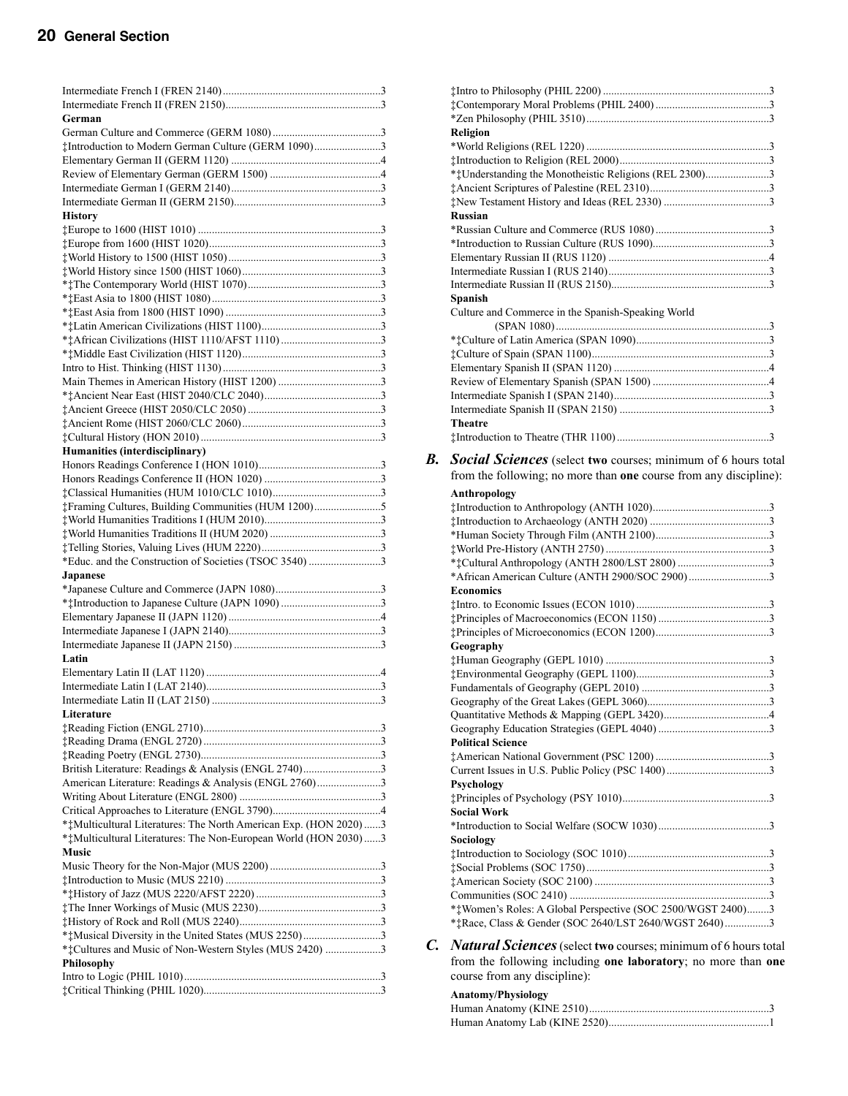| German                                                                           |  |
|----------------------------------------------------------------------------------|--|
|                                                                                  |  |
| #Introduction to Modern German Culture (GERM 1090)3                              |  |
|                                                                                  |  |
|                                                                                  |  |
|                                                                                  |  |
| <b>History</b>                                                                   |  |
|                                                                                  |  |
|                                                                                  |  |
|                                                                                  |  |
|                                                                                  |  |
|                                                                                  |  |
|                                                                                  |  |
|                                                                                  |  |
|                                                                                  |  |
|                                                                                  |  |
|                                                                                  |  |
|                                                                                  |  |
|                                                                                  |  |
|                                                                                  |  |
|                                                                                  |  |
|                                                                                  |  |
|                                                                                  |  |
| Humanities (interdisciplinary)                                                   |  |
|                                                                                  |  |
|                                                                                  |  |
| #Framing Cultures, Building Communities (HUM 1200)5                              |  |
|                                                                                  |  |
|                                                                                  |  |
|                                                                                  |  |
| *Educ. and the Construction of Societies (TSOC 3540) 3                           |  |
| Japanese                                                                         |  |
|                                                                                  |  |
|                                                                                  |  |
|                                                                                  |  |
|                                                                                  |  |
|                                                                                  |  |
| Latin                                                                            |  |
|                                                                                  |  |
|                                                                                  |  |
|                                                                                  |  |
| Literature                                                                       |  |
|                                                                                  |  |
|                                                                                  |  |
|                                                                                  |  |
| British Literature: Readings & Analysis (ENGL 2740)3                             |  |
| American Literature: Readings & Analysis (ENGL 2760)3                            |  |
|                                                                                  |  |
|                                                                                  |  |
| ***Multicultural Literatures: The North American Exp. (HON 2020)3                |  |
| ***Multicultural Literatures: The Non-European World (HON 2030)3<br><b>Music</b> |  |
|                                                                                  |  |
|                                                                                  |  |
|                                                                                  |  |
|                                                                                  |  |
|                                                                                  |  |
|                                                                                  |  |
| *** Cultures and Music of Non-Western Styles (MUS 2420) 3                        |  |
| Philosophy                                                                       |  |
|                                                                                  |  |
|                                                                                  |  |

|    | <b>Religion</b>                                                      |
|----|----------------------------------------------------------------------|
|    |                                                                      |
|    | ***Understanding the Monotheistic Religions (REL 2300)3              |
|    |                                                                      |
|    |                                                                      |
|    | <b>Russian</b>                                                       |
|    |                                                                      |
|    |                                                                      |
|    |                                                                      |
|    |                                                                      |
|    |                                                                      |
|    | Spanish<br>Culture and Commerce in the Spanish-Speaking World        |
|    |                                                                      |
|    |                                                                      |
|    |                                                                      |
|    |                                                                      |
|    |                                                                      |
|    |                                                                      |
|    |                                                                      |
|    | <b>Theatre</b>                                                       |
|    |                                                                      |
| В. | <b>Social Sciences</b> (select two courses; minimum of 6 hours total |
|    | from the following; no more than one course from any discipline):    |
|    | Anthropology                                                         |
|    |                                                                      |
|    |                                                                      |
|    |                                                                      |
|    |                                                                      |
|    | *African American Culture (ANTH 2900/SOC 2900)3                      |
|    | <b>Economics</b>                                                     |
|    |                                                                      |
|    |                                                                      |
|    |                                                                      |
|    | Geography                                                            |
|    |                                                                      |
|    |                                                                      |
|    |                                                                      |
|    |                                                                      |
|    |                                                                      |
|    | <b>Political Science</b>                                             |
|    |                                                                      |
|    |                                                                      |
|    | Psychology                                                           |
|    |                                                                      |
|    | <b>Social Work</b>                                                   |
|    |                                                                      |
|    | Sociology                                                            |
|    |                                                                      |
|    |                                                                      |
|    |                                                                      |
|    | *** Women's Roles: A Global Perspective (SOC 2500/WGST 2400)3        |
|    | ***Race, Class & Gender (SOC 2640/LST 2640/WGST 2640)3               |

*C. Natural Sciences*(select **two** courses; minimum of 6 hours total from the following including **one laboratory**; no more than **one** course from any discipline):

#### **Anatomy/Physiology**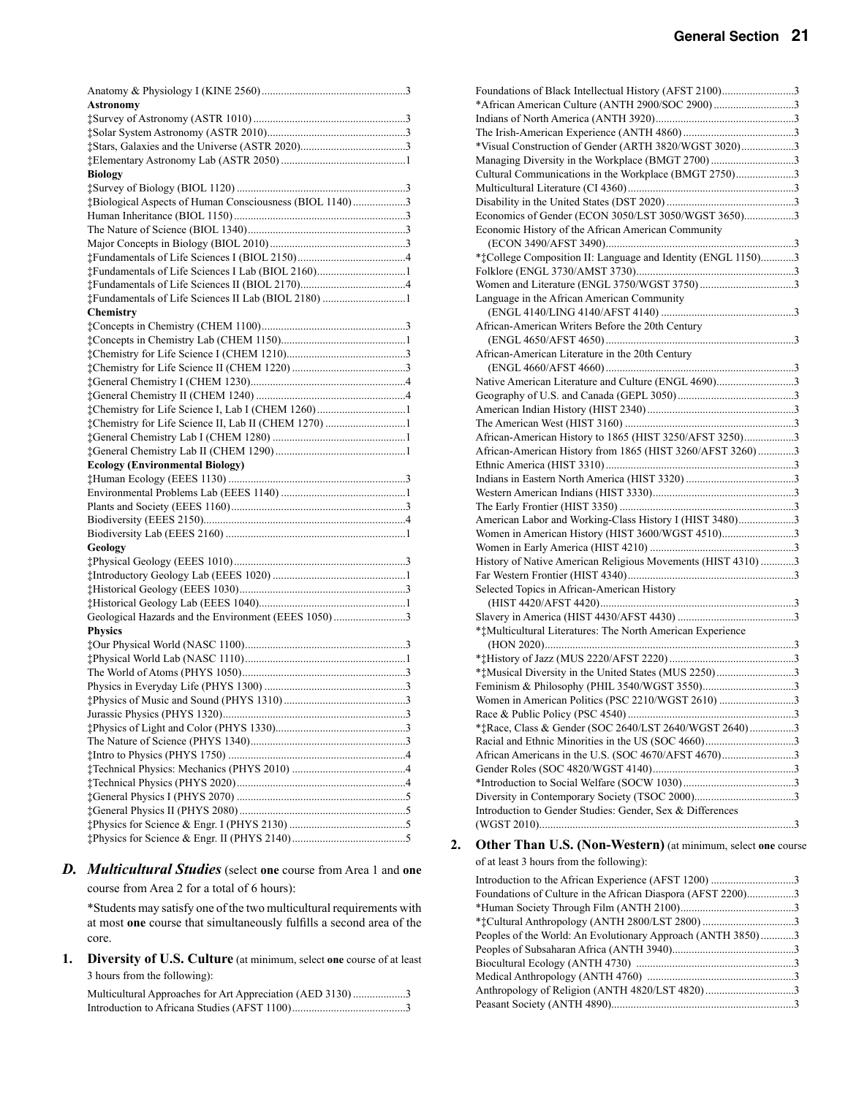| <b>Astronomy</b>                                        |  |
|---------------------------------------------------------|--|
|                                                         |  |
|                                                         |  |
|                                                         |  |
|                                                         |  |
| <b>Biology</b>                                          |  |
|                                                         |  |
| #Biological Aspects of Human Consciousness (BIOL 1140)3 |  |
|                                                         |  |
|                                                         |  |
|                                                         |  |
|                                                         |  |
| #Fundamentals of Life Sciences I Lab (BIOL 2160)1       |  |
|                                                         |  |
| #Fundamentals of Life Sciences II Lab (BIOL 2180) 1     |  |
| <b>Chemistry</b>                                        |  |
|                                                         |  |
|                                                         |  |
|                                                         |  |
|                                                         |  |
|                                                         |  |
|                                                         |  |
|                                                         |  |
|                                                         |  |
|                                                         |  |
|                                                         |  |
| <b>Ecology (Environmental Biology)</b>                  |  |
|                                                         |  |
|                                                         |  |
|                                                         |  |
|                                                         |  |
|                                                         |  |
| Geology                                                 |  |
|                                                         |  |
|                                                         |  |
|                                                         |  |
|                                                         |  |
| Geological Hazards and the Environment (EEES 1050)3     |  |
| <b>Physics</b>                                          |  |
|                                                         |  |
|                                                         |  |
|                                                         |  |
|                                                         |  |
|                                                         |  |
|                                                         |  |
|                                                         |  |
|                                                         |  |
|                                                         |  |
|                                                         |  |
|                                                         |  |
|                                                         |  |
|                                                         |  |
|                                                         |  |
|                                                         |  |

#### *D. Multicultural Studies* (select **one** course from Area 1 and **one**  course from Area 2 for a total of 6 hours):

 \*Students may satisfy one of the two multicultural requirements with at most **one** course that simultaneously fulfills a second area of the core.

**1. Diversity of U.S. Culture** (at minimum, select **one** course of at least 3 hours from the following):

| Multicultural Approaches for Art Appreciation (AED 3130)3 |  |
|-----------------------------------------------------------|--|
|                                                           |  |

| Foundations of Black Intellectual History (AFST 2100)3<br>*African American Culture (ANTH 2900/SOC 2900)3 |  |
|-----------------------------------------------------------------------------------------------------------|--|
|                                                                                                           |  |
|                                                                                                           |  |
| *Visual Construction of Gender (ARTH 3820/WGST 3020)3                                                     |  |
|                                                                                                           |  |
| Managing Diversity in the Workplace (BMGT 2700)3                                                          |  |
| Cultural Communications in the Workplace (BMGT 2750)3                                                     |  |
|                                                                                                           |  |
|                                                                                                           |  |
| Economics of Gender (ECON 3050/LST 3050/WGST 3650)3                                                       |  |
| Economic History of the African American Community                                                        |  |
|                                                                                                           |  |
| ***College Composition II: Language and Identity (ENGL 1150)3                                             |  |
|                                                                                                           |  |
|                                                                                                           |  |
| Language in the African American Community                                                                |  |
|                                                                                                           |  |
| African-American Writers Before the 20th Century                                                          |  |
|                                                                                                           |  |
| African-American Literature in the 20th Century                                                           |  |
|                                                                                                           |  |
| Native American Literature and Culture (ENGL 4690)3                                                       |  |
|                                                                                                           |  |
|                                                                                                           |  |
|                                                                                                           |  |
| African-American History to 1865 (HIST 3250/AFST 3250)3                                                   |  |
| African-American History from 1865 (HIST 3260/AFST 3260) 3                                                |  |
|                                                                                                           |  |
|                                                                                                           |  |
|                                                                                                           |  |
|                                                                                                           |  |
| American Labor and Working-Class History I (HIST 3480)3                                                   |  |
| Women in American History (HIST 3600/WGST 4510)3                                                          |  |
|                                                                                                           |  |
| History of Native American Religious Movements (HIST 4310) 3                                              |  |
|                                                                                                           |  |
| Selected Topics in African-American History                                                               |  |
|                                                                                                           |  |
|                                                                                                           |  |
| ** Multicultural Literatures: The North American Experience                                               |  |
|                                                                                                           |  |
|                                                                                                           |  |
|                                                                                                           |  |
|                                                                                                           |  |
| Women in American Politics (PSC 2210/WGST 2610) 3                                                         |  |
|                                                                                                           |  |
| ***Race, Class & Gender (SOC 2640/LST 2640/WGST 2640)3                                                    |  |
|                                                                                                           |  |
|                                                                                                           |  |
|                                                                                                           |  |
|                                                                                                           |  |
|                                                                                                           |  |
| Introduction to Gender Studies: Gender, Sex & Differences                                                 |  |
|                                                                                                           |  |
|                                                                                                           |  |

#### **2. Other Than U.S. (Non-Western)** (at minimum, select **one** course

of at least 3 hours from the following):

| Introduction to the African Experience (AFST 1200) 3        |  |
|-------------------------------------------------------------|--|
| Foundations of Culture in the African Diaspora (AFST 2200)3 |  |
|                                                             |  |
|                                                             |  |
| Peoples of the World: An Evolutionary Approach (ANTH 3850)3 |  |
|                                                             |  |
|                                                             |  |
|                                                             |  |
|                                                             |  |
|                                                             |  |
|                                                             |  |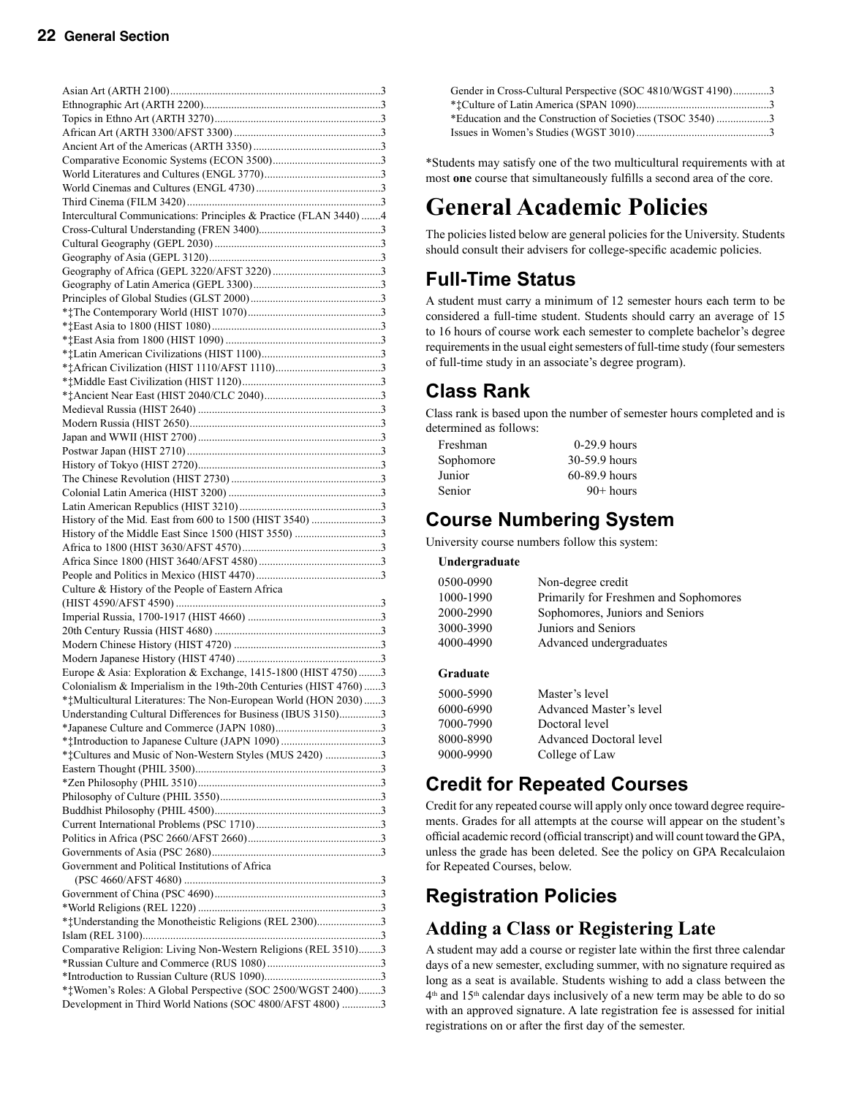| Intercultural Communications: Principles & Practice (FLAN 3440)4  |  |
|-------------------------------------------------------------------|--|
|                                                                   |  |
|                                                                   |  |
|                                                                   |  |
|                                                                   |  |
|                                                                   |  |
|                                                                   |  |
|                                                                   |  |
|                                                                   |  |
|                                                                   |  |
|                                                                   |  |
|                                                                   |  |
|                                                                   |  |
|                                                                   |  |
|                                                                   |  |
|                                                                   |  |
|                                                                   |  |
|                                                                   |  |
|                                                                   |  |
|                                                                   |  |
|                                                                   |  |
|                                                                   |  |
|                                                                   |  |
| History of the Mid. East from 600 to 1500 (HIST 3540) 3           |  |
|                                                                   |  |
|                                                                   |  |
|                                                                   |  |
|                                                                   |  |
| Culture & History of the People of Eastern Africa                 |  |
|                                                                   |  |
|                                                                   |  |
|                                                                   |  |
|                                                                   |  |
|                                                                   |  |
| Europe & Asia: Exploration & Exchange, 1415-1800 (HIST 4750)3     |  |
| Colonialism & Imperialism in the 19th-20th Centuries (HIST 4760)3 |  |
| ***Multicultural Literatures: The Non-European World (HON 2030)3  |  |
| Understanding Cultural Differences for Business (IBUS 3150)3      |  |
|                                                                   |  |
|                                                                   |  |
| *** Cultures and Music of Non-Western Styles (MUS 2420) 3         |  |
|                                                                   |  |
|                                                                   |  |
|                                                                   |  |
|                                                                   |  |
|                                                                   |  |
|                                                                   |  |
|                                                                   |  |
| Government and Political Institutions of Africa                   |  |
|                                                                   |  |
|                                                                   |  |
|                                                                   |  |
| ***Understanding the Monotheistic Religions (REL 2300)3           |  |
|                                                                   |  |
| Comparative Religion: Living Non-Western Religions (REL 3510)3    |  |
|                                                                   |  |
|                                                                   |  |
| *** Women's Roles: A Global Perspective (SOC 2500/WGST 2400)3     |  |
| Development in Third World Nations (SOC 4800/AFST 4800) 3         |  |
|                                                                   |  |

| Gender in Cross-Cultural Perspective (SOC 4810/WGST 4190)3 |  |
|------------------------------------------------------------|--|
|                                                            |  |
| *Education and the Construction of Societies (TSOC 3540)3  |  |
|                                                            |  |

\*Students may satisfy one of the two multicultural requirements with at most **one** course that simultaneously fulfills a second area of the core.

# **General Academic Policies**

The policies listed below are general policies for the University. Students should consult their advisers for college-specific academic policies.

### **Full-Time Status**

A student must carry a minimum of 12 semester hours each term to be considered a full-time student. Students should carry an average of 15 to 16 hours of course work each semester to complete bachelor's degree requirements in the usual eight semesters of full-time study (four semesters of full-time study in an associate's degree program).

### **Class Rank**

Class rank is based upon the number of semester hours completed and is determined as follows:

| Freshman  | $0-29.9$ hours  |
|-----------|-----------------|
| Sophomore | 30-59.9 hours   |
| Junior    | $60-89.9$ hours |
| Senior    | $90+$ hours     |

### **Course Numbering System**

University course numbers follow this system:

 **Undergraduate**

| 0500-0990 | Non-degree credit                     |
|-----------|---------------------------------------|
| 1000-1990 | Primarily for Freshmen and Sophomores |
| 2000-2990 | Sophomores, Juniors and Seniors       |
| 3000-3990 | Juniors and Seniors                   |
| 4000-4990 | Advanced undergraduates               |
|           |                                       |
| Graduate  |                                       |

| 5000-5990 | Master's level                 |
|-----------|--------------------------------|
| 6000-6990 | Advanced Master's level        |
| 7000-7990 | Doctoral level                 |
| 8000-8990 | <b>Advanced Doctoral level</b> |
| 9000-9990 | College of Law                 |
|           |                                |

### **Credit for Repeated Courses**

Credit for any repeated course will apply only once toward degree requirements. Grades for all attempts at the course will appear on the student's official academic record (official transcript) and will count toward the GPA, unless the grade has been deleted. See the policy on GPA Recalculaion for Repeated Courses, below.

## **Registration Policies**

### **Adding a Class or Registering Late**

A student may add a course or register late within the first three calendar days of a new semester, excluding summer, with no signature required as long as a seat is available. Students wishing to add a class between the 4th and 15th calendar days inclusively of a new term may be able to do so with an approved signature. A late registration fee is assessed for initial registrations on or after the first day of the semester.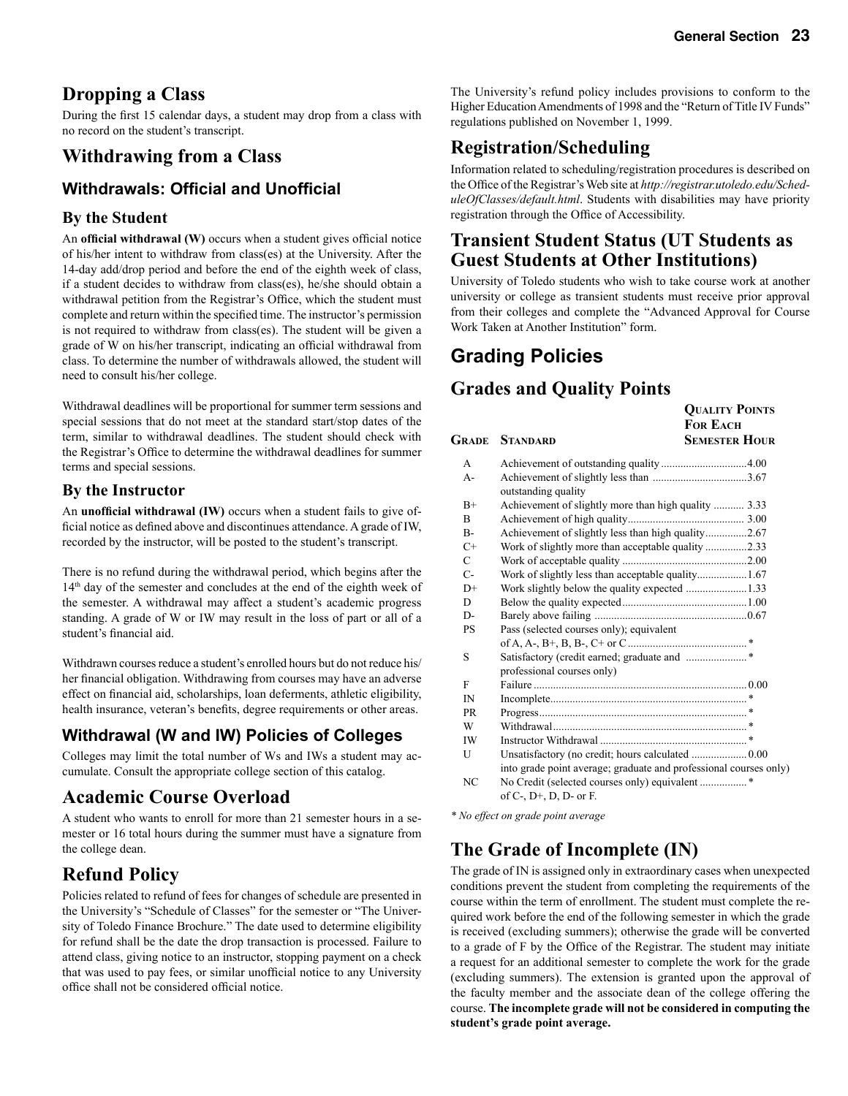**QUALITY POINTS**

### **Dropping a Class**

During the first 15 calendar days, a student may drop from a class with no record on the student's transcript.

### **Withdrawing from a Class**

### **Withdrawals: Official and Unofficial**

#### **By the Student**

An **official withdrawal (W)** occurs when a student gives official notice of his/her intent to withdraw from class(es) at the University. After the 14-day add/drop period and before the end of the eighth week of class, if a student decides to withdraw from class(es), he/she should obtain a withdrawal petition from the Registrar's Office, which the student must complete and return within the specified time. The instructor's permission is not required to withdraw from class(es). The student will be given a grade of W on his/her transcript, indicating an official withdrawal from class. To determine the number of withdrawals allowed, the student will need to consult his/her college.

Withdrawal deadlines will be proportional for summer term sessions and special sessions that do not meet at the standard start/stop dates of the term, similar to withdrawal deadlines. The student should check with the Registrar's Office to determine the withdrawal deadlines for summer terms and special sessions.

#### **By the Instructor**

An **unofficial withdrawal (IW)** occurs when a student fails to give official notice as defined above and discontinues attendance. A grade of IW, recorded by the instructor, will be posted to the student's transcript.

There is no refund during the withdrawal period, which begins after the 14th day of the semester and concludes at the end of the eighth week of the semester. A withdrawal may affect a student's academic progress standing. A grade of W or IW may result in the loss of part or all of a student's financial aid.

Withdrawn courses reduce a student's enrolled hours but do not reduce his/ her financial obligation. Withdrawing from courses may have an adverse effect on financial aid, scholarships, loan deferments, athletic eligibility, health insurance, veteran's benefits, degree requirements or other areas.

### **Withdrawal (W and IW) Policies of Colleges**

Colleges may limit the total number of Ws and IWs a student may accumulate. Consult the appropriate college section of this catalog.

### **Academic Course Overload**

A student who wants to enroll for more than 21 semester hours in a semester or 16 total hours during the summer must have a signature from the college dean.

### **Refund Policy**

Policies related to refund of fees for changes of schedule are presented in the University's "Schedule of Classes" for the semester or "The University of Toledo Finance Brochure." The date used to determine eligibility for refund shall be the date the drop transaction is processed. Failure to attend class, giving notice to an instructor, stopping payment on a check that was used to pay fees, or similar unofficial notice to any University office shall not be considered official notice.

The University's refund policy includes provisions to conform to the Higher Education Amendments of 1998 and the "Return of Title IV Funds" regulations published on November 1, 1999.

### **Registration/Scheduling**

Information related to scheduling/registration procedures is described on the Office of the Registrar's Web site at *http://registrar.utoledo.edu/ScheduleOfClasses/default.html*. Students with disabilities may have priority registration through the Office of Accessibility.

### **Transient Student Status (UT Students as Guest Students at Other Institutions)**

University of Toledo students who wish to take course work at another university or college as transient students must receive prior approval from their colleges and complete the "Advanced Approval for Course Work Taken at Another Institution" form.

### **Grading Policies**

### **Grades and Quality Points**

|              |                                                                                                            | <b>FOR EACH</b>      |
|--------------|------------------------------------------------------------------------------------------------------------|----------------------|
| Grade        | <b>STANDARD</b>                                                                                            | <b>SEMESTER HOUR</b> |
| $\mathsf{A}$ |                                                                                                            |                      |
| $A -$        | outstanding quality                                                                                        |                      |
| $B+$         | Achievement of slightly more than high quality  3.33                                                       |                      |
| B            |                                                                                                            |                      |
| $B -$        | Achievement of slightly less than high quality2.67                                                         |                      |
| $C+$         | Work of slightly more than acceptable quality 2.33                                                         |                      |
| C            |                                                                                                            |                      |
| $C-$         | Work of slightly less than acceptable quality1.67                                                          |                      |
| $D+$         | Work slightly below the quality expected 1.33                                                              |                      |
| D            |                                                                                                            |                      |
| $D-$         |                                                                                                            |                      |
| <b>PS</b>    | Pass (selected courses only); equivalent                                                                   |                      |
|              |                                                                                                            |                      |
| S            |                                                                                                            |                      |
| F            | professional courses only)                                                                                 |                      |
| IN           |                                                                                                            |                      |
| <b>PR</b>    |                                                                                                            |                      |
| W            |                                                                                                            |                      |
| IW           |                                                                                                            |                      |
| U            |                                                                                                            |                      |
|              | Unsatisfactory (no credit; hours calculated  0.00                                                          |                      |
| NC           | into grade point average; graduate and professional courses only)<br>of $C$ -, $D$ +, $D$ , $D$ - or $F$ . |                      |

*\* No effect on grade point average*

### **The Grade of Incomplete (IN)**

The grade of IN is assigned only in extraordinary cases when unexpected conditions prevent the student from completing the requirements of the course within the term of enrollment. The student must complete the required work before the end of the following semester in which the grade is received (excluding summers); otherwise the grade will be converted to a grade of F by the Office of the Registrar. The student may initiate a request for an additional semester to complete the work for the grade (excluding summers). The extension is granted upon the approval of the faculty member and the associate dean of the college offering the course. **The incomplete grade will not be considered in computing the student's grade point average.**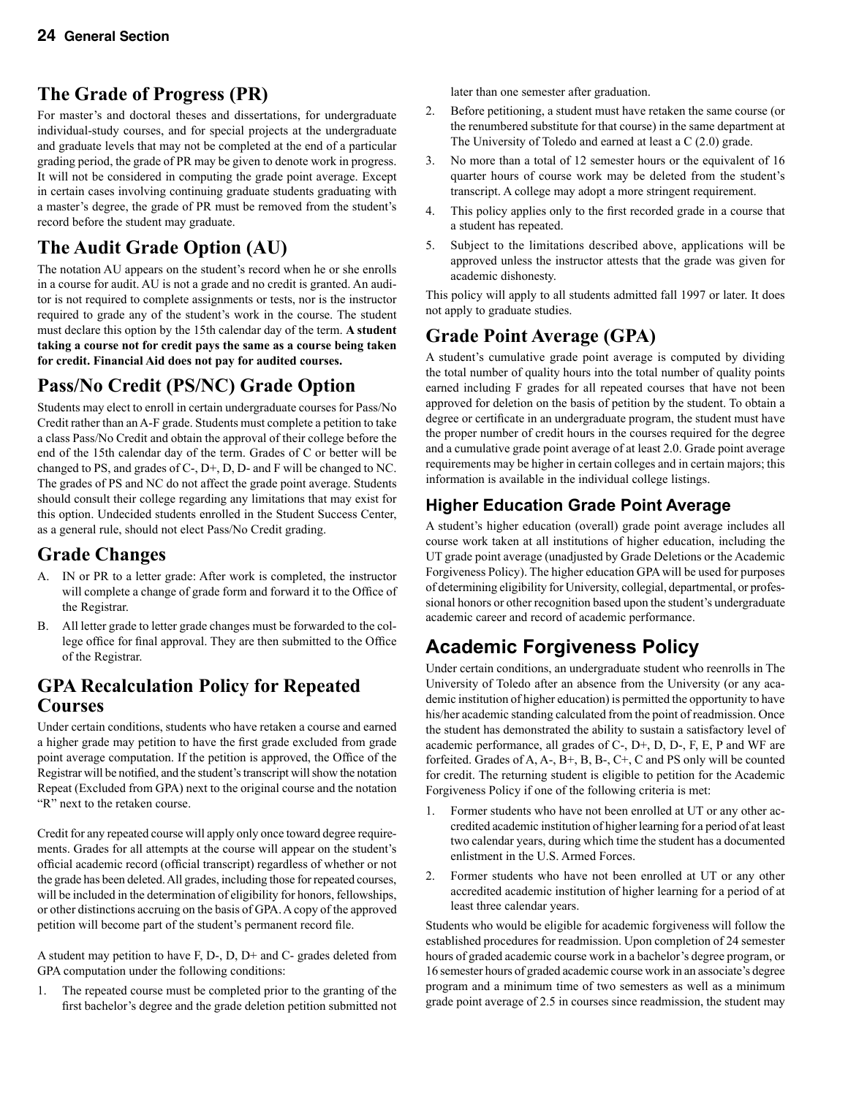### **The Grade of Progress (PR)**

For master's and doctoral theses and dissertations, for undergraduate individual-study courses, and for special projects at the undergraduate and graduate levels that may not be completed at the end of a particular grading period, the grade of PR may be given to denote work in progress. It will not be considered in computing the grade point average. Except in certain cases involving continuing graduate students graduating with a master's degree, the grade of PR must be removed from the student's record before the student may graduate.

### **The Audit Grade Option (AU)**

The notation AU appears on the student's record when he or she enrolls in a course for audit. AU is not a grade and no credit is granted. An auditor is not required to complete assignments or tests, nor is the instructor required to grade any of the student's work in the course. The student must declare this option by the 15th calendar day of the term. **A student taking a course not for credit pays the same as a course being taken for credit. Financial Aid does not pay for audited courses.**

## **Pass/No Credit (PS/NC) Grade Option**

Students may elect to enroll in certain undergraduate courses for Pass/No Credit rather than an A-F grade. Students must complete a petition to take a class Pass/No Credit and obtain the approval of their college before the end of the 15th calendar day of the term. Grades of C or better will be changed to PS, and grades of C-, D+, D, D- and F will be changed to NC. The grades of PS and NC do not affect the grade point average. Students should consult their college regarding any limitations that may exist for this option. Undecided students enrolled in the Student Success Center, as a general rule, should not elect Pass/No Credit grading.

### **Grade Changes**

- A. IN or PR to a letter grade: After work is completed, the instructor will complete a change of grade form and forward it to the Office of the Registrar.
- B. All letter grade to letter grade changes must be forwarded to the college office for final approval. They are then submitted to the Office of the Registrar.

### **GPA Recalculation Policy for Repeated Courses**

Under certain conditions, students who have retaken a course and earned a higher grade may petition to have the first grade excluded from grade point average computation. If the petition is approved, the Office of the Registrar will be notified, and the student's transcript will show the notation Repeat (Excluded from GPA) next to the original course and the notation "R" next to the retaken course.

Credit for any repeated course will apply only once toward degree requirements. Grades for all attempts at the course will appear on the student's official academic record (official transcript) regardless of whether or not the grade has been deleted. All grades, including those for repeated courses, will be included in the determination of eligibility for honors, fellowships, or other distinctions accruing on the basis of GPA. A copy of the approved petition will become part of the student's permanent record file.

A student may petition to have F, D-, D, D+ and C- grades deleted from GPA computation under the following conditions:

1. The repeated course must be completed prior to the granting of the first bachelor's degree and the grade deletion petition submitted not later than one semester after graduation.

- 2. Before petitioning, a student must have retaken the same course (or the renumbered substitute for that course) in the same department at The University of Toledo and earned at least a C (2.0) grade.
- 3. No more than a total of 12 semester hours or the equivalent of 16 quarter hours of course work may be deleted from the student's transcript. A college may adopt a more stringent requirement.
- 4. This policy applies only to the first recorded grade in a course that a student has repeated.
- 5. Subject to the limitations described above, applications will be approved unless the instructor attests that the grade was given for academic dishonesty.

This policy will apply to all students admitted fall 1997 or later. It does not apply to graduate studies.

### **Grade Point Average (GPA)**

A student's cumulative grade point average is computed by dividing the total number of quality hours into the total number of quality points earned including F grades for all repeated courses that have not been approved for deletion on the basis of petition by the student. To obtain a degree or certificate in an undergraduate program, the student must have the proper number of credit hours in the courses required for the degree and a cumulative grade point average of at least 2.0. Grade point average requirements may be higher in certain colleges and in certain majors; this information is available in the individual college listings.

### **Higher Education Grade Point Average**

A student's higher education (overall) grade point average includes all course work taken at all institutions of higher education, including the UT grade point average (unadjusted by Grade Deletions or the Academic Forgiveness Policy). The higher education GPA will be used for purposes of determining eligibility for University, collegial, departmental, or professional honors or other recognition based upon the student's undergraduate academic career and record of academic performance.

### **Academic Forgiveness Policy**

Under certain conditions, an undergraduate student who reenrolls in The University of Toledo after an absence from the University (or any academic institution of higher education) is permitted the opportunity to have his/her academic standing calculated from the point of readmission. Once the student has demonstrated the ability to sustain a satisfactory level of academic performance, all grades of  $C$ -,  $D$ +,  $D$ ,  $D$ -,  $F$ ,  $E$ ,  $P$  and WF are forfeited. Grades of A, A-, B+, B, B-, C+, C and PS only will be counted for credit. The returning student is eligible to petition for the Academic Forgiveness Policy if one of the following criteria is met:

- 1. Former students who have not been enrolled at UT or any other accredited academic institution of higher learning for a period of at least two calendar years, during which time the student has a documented enlistment in the U.S. Armed Forces.
- 2. Former students who have not been enrolled at UT or any other accredited academic institution of higher learning for a period of at least three calendar years.

Students who would be eligible for academic forgiveness will follow the established procedures for readmission. Upon completion of 24 semester hours of graded academic course work in a bachelor's degree program, or 16 semester hours of graded academic course work in an associate's degree program and a minimum time of two semesters as well as a minimum grade point average of 2.5 in courses since readmission, the student may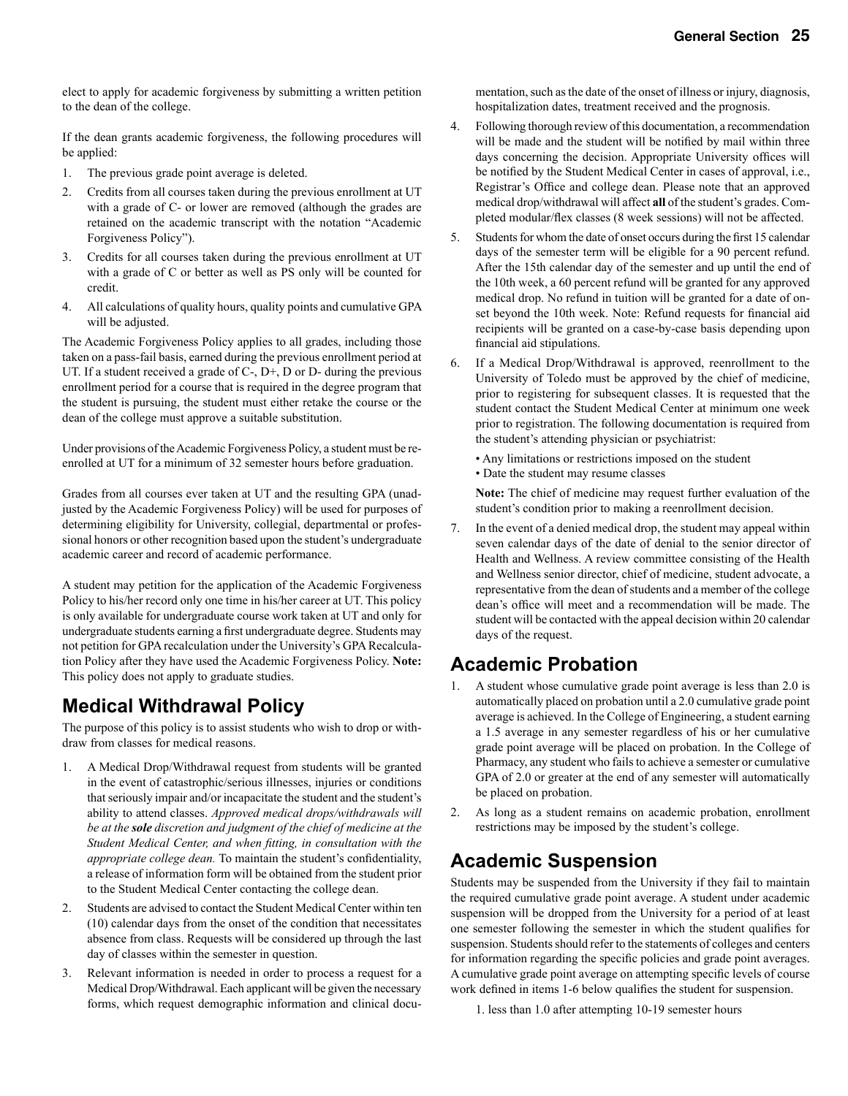elect to apply for academic forgiveness by submitting a written petition to the dean of the college.

If the dean grants academic forgiveness, the following procedures will be applied:

- 1. The previous grade point average is deleted.
- 2. Credits from all courses taken during the previous enrollment at UT with a grade of C- or lower are removed (although the grades are retained on the academic transcript with the notation "Academic Forgiveness Policy").
- 3. Credits for all courses taken during the previous enrollment at UT with a grade of C or better as well as PS only will be counted for credit.
- 4. All calculations of quality hours, quality points and cumulative GPA will be adjusted.

The Academic Forgiveness Policy applies to all grades, including those taken on a pass-fail basis, earned during the previous enrollment period at UT. If a student received a grade of  $C$ -,  $D$ +,  $D$  or  $D$ - during the previous enrollment period for a course that is required in the degree program that the student is pursuing, the student must either retake the course or the dean of the college must approve a suitable substitution.

Under provisions of the Academic Forgiveness Policy, a student must be reenrolled at UT for a minimum of 32 semester hours before graduation.

Grades from all courses ever taken at UT and the resulting GPA (unadjusted by the Academic Forgiveness Policy) will be used for purposes of determining eligibility for University, collegial, departmental or professional honors or other recognition based upon the student's undergraduate academic career and record of academic performance.

A student may petition for the application of the Academic Forgiveness Policy to his/her record only one time in his/her career at UT. This policy is only available for undergraduate course work taken at UT and only for undergraduate students earning a first undergraduate degree. Students may not petition for GPA recalculation under the University's GPA Recalculation Policy after they have used the Academic Forgiveness Policy. **Note:** This policy does not apply to graduate studies.

### **Medical Withdrawal Policy**

The purpose of this policy is to assist students who wish to drop or withdraw from classes for medical reasons.

- 1. A Medical Drop/Withdrawal request from students will be granted in the event of catastrophic/serious illnesses, injuries or conditions that seriously impair and/or incapacitate the student and the student's ability to attend classes. *Approved medical drops/withdrawals will be at the sole discretion and judgment of the chief of medicine at the Student Medical Center, and when fitting, in consultation with the appropriate college dean.* To maintain the student's confidentiality, a release of information form will be obtained from the student prior to the Student Medical Center contacting the college dean.
- 2. Students are advised to contact the Student Medical Center within ten (10) calendar days from the onset of the condition that necessitates absence from class. Requests will be considered up through the last day of classes within the semester in question.
- 3. Relevant information is needed in order to process a request for a Medical Drop/Withdrawal. Each applicant will be given the necessary forms, which request demographic information and clinical docu-

mentation, such as the date of the onset of illness or injury, diagnosis, hospitalization dates, treatment received and the prognosis.

- 4. Following thorough review of this documentation, a recommendation will be made and the student will be notified by mail within three days concerning the decision. Appropriate University offices will be notified by the Student Medical Center in cases of approval, i.e., Registrar's Office and college dean. Please note that an approved medical drop/withdrawal will affect **all** of the student's grades. Completed modular/flex classes (8 week sessions) will not be affected.
- 5. Students for whom the date of onset occurs during the first 15 calendar days of the semester term will be eligible for a 90 percent refund. After the 15th calendar day of the semester and up until the end of the 10th week, a 60 percent refund will be granted for any approved medical drop. No refund in tuition will be granted for a date of onset beyond the 10th week. Note: Refund requests for financial aid recipients will be granted on a case-by-case basis depending upon financial aid stipulations.
- 6. If a Medical Drop/Withdrawal is approved, reenrollment to the University of Toledo must be approved by the chief of medicine, prior to registering for subsequent classes. It is requested that the student contact the Student Medical Center at minimum one week prior to registration. The following documentation is required from the student's attending physician or psychiatrist:
	- Any limitations or restrictions imposed on the student
	- Date the student may resume classes

 **Note:** The chief of medicine may request further evaluation of the student's condition prior to making a reenrollment decision.

7. In the event of a denied medical drop, the student may appeal within seven calendar days of the date of denial to the senior director of Health and Wellness. A review committee consisting of the Health and Wellness senior director, chief of medicine, student advocate, a representative from the dean of students and a member of the college dean's office will meet and a recommendation will be made. The student will be contacted with the appeal decision within 20 calendar days of the request.

### **Academic Probation**

- 1. A student whose cumulative grade point average is less than 2.0 is automatically placed on probation until a 2.0 cumulative grade point average is achieved. In the College of Engineering, a student earning a 1.5 average in any semester regardless of his or her cumulative grade point average will be placed on probation. In the College of Pharmacy, any student who fails to achieve a semester or cumulative GPA of 2.0 or greater at the end of any semester will automatically be placed on probation.
- 2. As long as a student remains on academic probation, enrollment restrictions may be imposed by the student's college.

### **Academic Suspension**

Students may be suspended from the University if they fail to maintain the required cumulative grade point average. A student under academic suspension will be dropped from the University for a period of at least one semester following the semester in which the student qualifies for suspension. Students should refer to the statements of colleges and centers for information regarding the specific policies and grade point averages. A cumulative grade point average on attempting specific levels of course work defined in items 1-6 below qualifies the student for suspension.

1. less than 1.0 after attempting 10-19 semester hours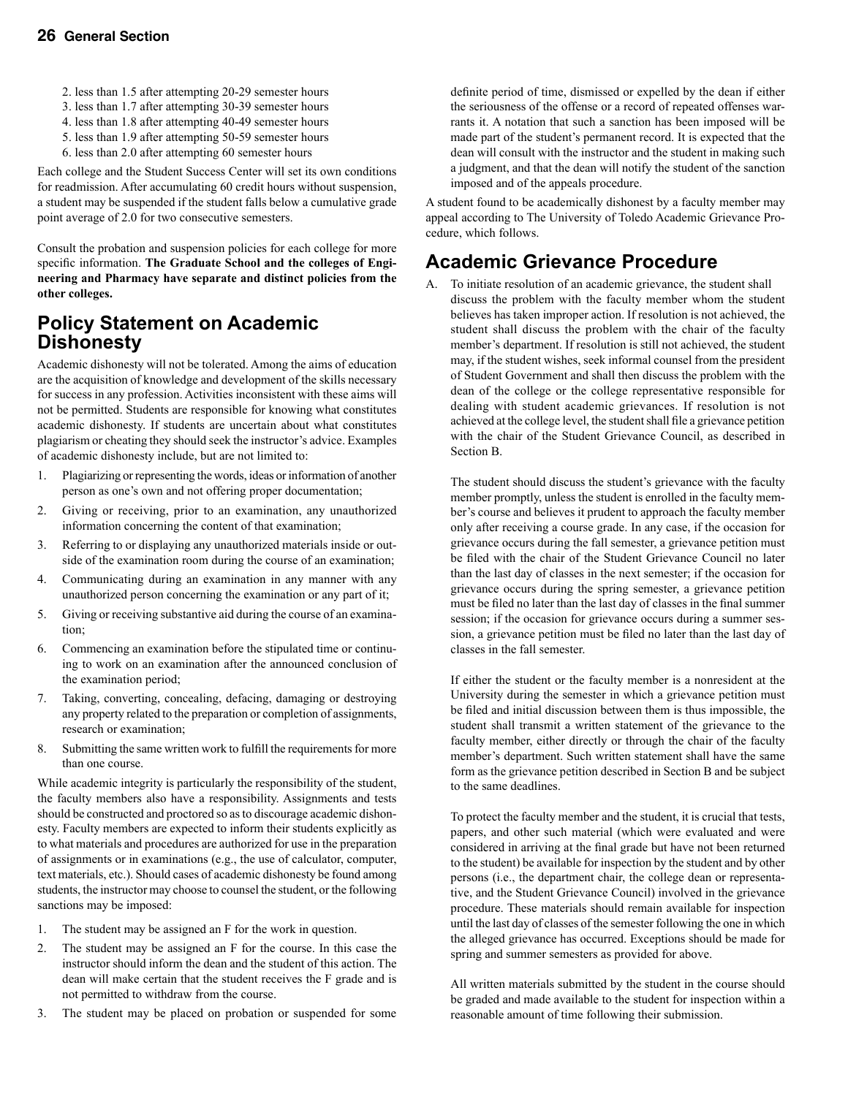- 2. less than 1.5 after attempting 20-29 semester hours
- 3. less than 1.7 after attempting 30-39 semester hours
- 4. less than 1.8 after attempting 40-49 semester hours
- 5. less than 1.9 after attempting 50-59 semester hours
- 6. less than 2.0 after attempting 60 semester hours

Each college and the Student Success Center will set its own conditions for readmission. After accumulating 60 credit hours without suspension, a student may be suspended if the student falls below a cumulative grade point average of 2.0 for two consecutive semesters.

Consult the probation and suspension policies for each college for more specific information. **The Graduate School and the colleges of Engineering and Pharmacy have separate and distinct policies from the other colleges.** 

### **Policy Statement on Academic Dishonesty**

Academic dishonesty will not be tolerated. Among the aims of education are the acquisition of knowledge and development of the skills necessary for success in any profession. Activities inconsistent with these aims will not be permitted. Students are responsible for knowing what constitutes academic dishonesty. If students are uncertain about what constitutes plagiarism or cheating they should seek the instructor's advice. Examples of academic dishonesty include, but are not limited to:

- 1. Plagiarizing or representing the words, ideas or information of another person as one's own and not offering proper documentation;
- 2. Giving or receiving, prior to an examination, any unauthorized information concerning the content of that examination;
- 3. Referring to or displaying any unauthorized materials inside or outside of the examination room during the course of an examination;
- 4. Communicating during an examination in any manner with any unauthorized person concerning the examination or any part of it;
- 5. Giving or receiving substantive aid during the course of an examination;
- 6. Commencing an examination before the stipulated time or continuing to work on an examination after the announced conclusion of the examination period;
- 7. Taking, converting, concealing, defacing, damaging or destroying any property related to the preparation or completion of assignments, research or examination;
- 8. Submitting the same written work to fulfill the requirements for more than one course.

While academic integrity is particularly the responsibility of the student, the faculty members also have a responsibility. Assignments and tests should be constructed and proctored so as to discourage academic dishonesty. Faculty members are expected to inform their students explicitly as to what materials and procedures are authorized for use in the preparation of assignments or in examinations (e.g., the use of calculator, computer, text materials, etc.). Should cases of academic dishonesty be found among students, the instructor may choose to counsel the student, or the following sanctions may be imposed:

- 1. The student may be assigned an F for the work in question.
- 2. The student may be assigned an F for the course. In this case the instructor should inform the dean and the student of this action. The dean will make certain that the student receives the F grade and is not permitted to withdraw from the course.
- 3. The student may be placed on probation or suspended for some

definite period of time, dismissed or expelled by the dean if either the seriousness of the offense or a record of repeated offenses warrants it. A notation that such a sanction has been imposed will be made part of the student's permanent record. It is expected that the dean will consult with the instructor and the student in making such a judgment, and that the dean will notify the student of the sanction imposed and of the appeals procedure.

A student found to be academically dishonest by a faculty member may appeal according to The University of Toledo Academic Grievance Procedure, which follows.

### **Academic Grievance Procedure**

A. To initiate resolution of an academic grievance, the student shall discuss the problem with the faculty member whom the student believes has taken improper action. If resolution is not achieved, the student shall discuss the problem with the chair of the faculty member's department. If resolution is still not achieved, the student may, if the student wishes, seek informal counsel from the president of Student Government and shall then discuss the problem with the dean of the college or the college representative responsible for dealing with student academic grievances. If resolution is not achieved at the college level, the student shall file a grievance petition with the chair of the Student Grievance Council, as described in Section B.

The student should discuss the student's grievance with the faculty member promptly, unless the student is enrolled in the faculty member's course and believes it prudent to approach the faculty member only after receiving a course grade. In any case, if the occasion for grievance occurs during the fall semester, a grievance petition must be filed with the chair of the Student Grievance Council no later than the last day of classes in the next semester; if the occasion for grievance occurs during the spring semester, a grievance petition must be filed no later than the last day of classes in the final summer session; if the occasion for grievance occurs during a summer session, a grievance petition must be filed no later than the last day of classes in the fall semester.

If either the student or the faculty member is a nonresident at the University during the semester in which a grievance petition must be filed and initial discussion between them is thus impossible, the student shall transmit a written statement of the grievance to the faculty member, either directly or through the chair of the faculty member's department. Such written statement shall have the same form as the grievance petition described in Section B and be subject to the same deadlines.

To protect the faculty member and the student, it is crucial that tests, papers, and other such material (which were evaluated and were considered in arriving at the final grade but have not been returned to the student) be available for inspection by the student and by other persons (i.e., the department chair, the college dean or representative, and the Student Grievance Council) involved in the grievance procedure. These materials should remain available for inspection until the last day of classes of the semester following the one in which the alleged grievance has occurred. Exceptions should be made for spring and summer semesters as provided for above.

All written materials submitted by the student in the course should be graded and made available to the student for inspection within a reasonable amount of time following their submission.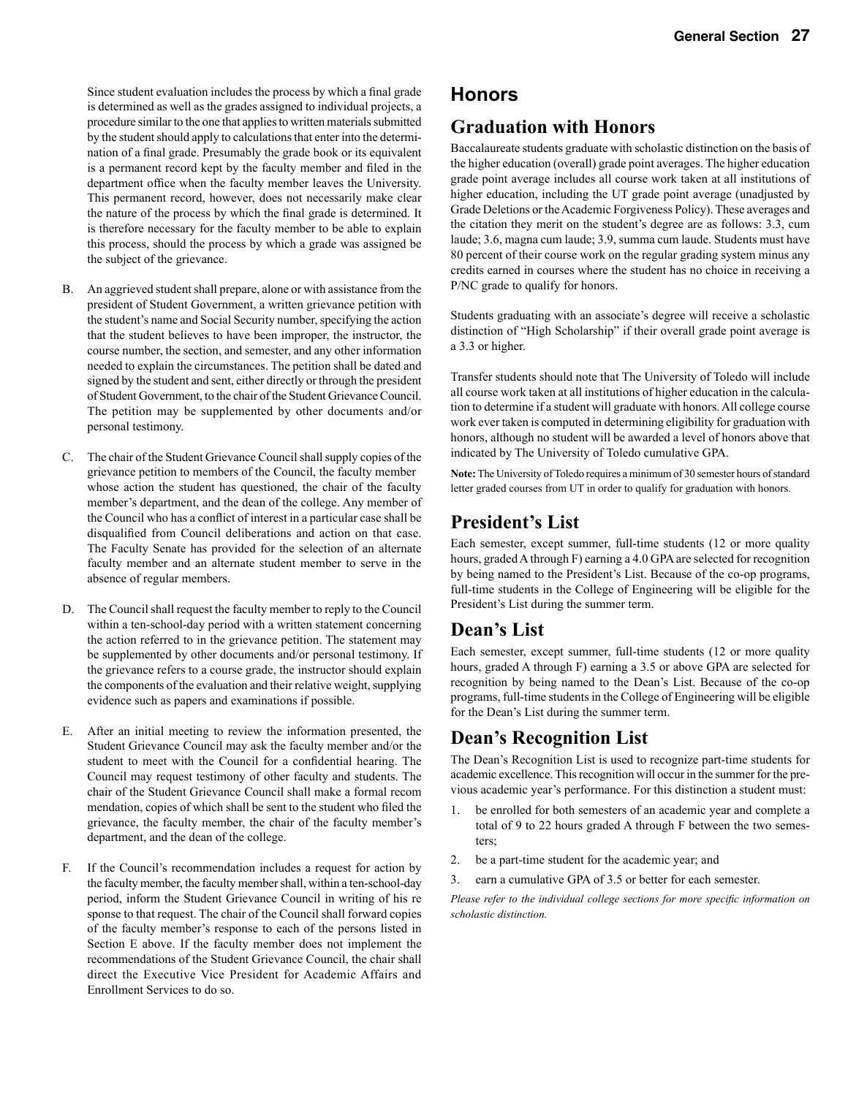Since student evaluation includes the process by which a final grade is determined as well as the grades assigned to individual projects, a procedure similar to the one that applies to written materials submitted by the student should apply to calculations that enter into the determination of a final grade. Presumably the grade book or its equivalent is a permanent record kept by the faculty member and filed in the department office when the faculty member leaves the University. This permanent record, however, does not necessarily make clear the nature of the process by which the final grade is determined. It is therefore necessary for the faculty member to be able to explain this process, should the process by which a grade was assigned be the subject of the grievance.

- B. An aggrieved student shall prepare, alone or with assistance from the president of Student Government, a written grievance petition with the student's name and Social Security number, specifying the action that the student believes to have been improper, the instructor, the course number, the section, and semester, and any other information needed to explain the circumstances. The petition shall be dated and signed by the student and sent, either directly or through the president of Student Government, to the chair of the Student Grievance Council. The petition may be supplemented by other documents and/or personal testimony.
- C. The chair of the Student Grievance Council shall supply copies of the grievance petition to members of the Council, the faculty member whose action the student has questioned, the chair of the faculty member's department, and the dean of the college. Any member of the Council who has a conflict of interest in a particular case shall be disqualified from Council deliberations and action on that case. The Faculty Senate has provided for the selection of an alternate faculty member and an alternate student member to serve in the absence of regular members.
- D. The Council shall request the faculty member to reply to the Council within a ten-school-day period with a written statement concerning the action referred to in the grievance petition. The statement may be supplemented by other documents and/or personal testimony. If the grievance refers to a course grade, the instructor should explain the components of the evaluation and their relative weight, supplying evidence such as papers and examinations if possible.
- E. After an initial meeting to review the information presented, the Student Grievance Council may ask the faculty member and/or the student to meet with the Council for a confidential hearing. The Council may request testimony of other faculty and students. The chair of the Student Grievance Council shall make a formal recom mendation, copies of which shall be sent to the student who filed the grievance, the faculty member, the chair of the faculty member's department, and the dean of the college.
- F. If the Council's recommendation includes a request for action by the faculty member, the faculty member shall, within a ten-school-day period, inform the Student Grievance Council in writing of his re sponse to that request. The chair of the Council shall forward copies of the faculty member's response to each of the persons listed in Section E above. If the faculty member does not implement the recommendations of the Student Grievance Council, the chair shall direct the Executive Vice President for Academic Affairs and Enrollment Services to do so.

### **Honors**

### **Graduation with Honors**

Baccalaureate students graduate with scholastic distinction on the basis of the higher education (overall) grade point averages. The higher education grade point average includes all course work taken at all institutions of higher education, including the UT grade point average (unadjusted by Grade Deletions or the Academic Forgiveness Policy). These averages and the citation they merit on the student's degree are as follows: 3.3, cum laude; 3.6, magna cum laude; 3.9, summa cum laude. Students must have 80 percent of their course work on the regular grading system minus any credits earned in courses where the student has no choice in receiving a P/NC grade to qualify for honors.

Students graduating with an associate's degree will receive a scholastic distinction of "High Scholarship" if their overall grade point average is a 3.3 or higher.

Transfer students should note that The University of Toledo will include all course work taken at all institutions of higher education in the calculation to determine if a student will graduate with honors. All college course work ever taken is computed in determining eligibility for graduation with honors, although no student will be awarded a level of honors above that indicated by The University of Toledo cumulative GPA.

**Note:** The University of Toledo requires a minimum of 30 semester hours of standard letter graded courses from UT in order to qualify for graduation with honors.

### **President's List**

Each semester, except summer, full-time students (12 or more quality hours, graded A through F) earning a 4.0 GPA are selected for recognition by being named to the President's List. Because of the co-op programs, full-time students in the College of Engineering will be eligible for the President's List during the summer term.

### **Dean's List**

Each semester, except summer, full-time students (12 or more quality hours, graded A through F) earning a 3.5 or above GPA are selected for recognition by being named to the Dean's List. Because of the co-op programs, full-time students in the College of Engineering will be eligible for the Dean's List during the summer term.

### **Dean's Recognition List**

The Dean's Recognition List is used to recognize part-time students for academic excellence. This recognition will occur in the summer for the previous academic year's performance. For this distinction a student must:

- 1. be enrolled for both semesters of an academic year and complete a total of 9 to 22 hours graded A through F between the two semesters;
- 2. be a part-time student for the academic year; and
- 3. earn a cumulative GPA of 3.5 or better for each semester.

*Please refer to the individual college sections for more specific information on scholastic distinction.*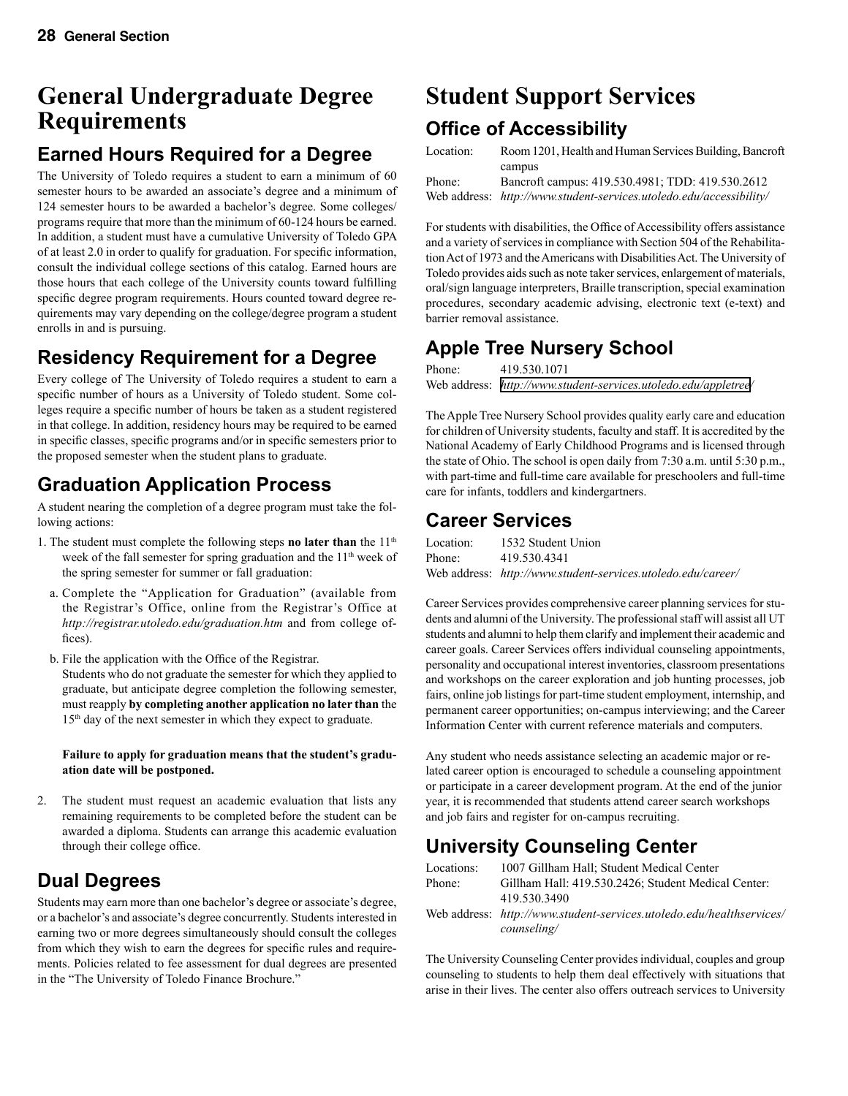# **General Undergraduate Degree Requirements**

### **Earned Hours Required for a Degree**

The University of Toledo requires a student to earn a minimum of 60 semester hours to be awarded an associate's degree and a minimum of 124 semester hours to be awarded a bachelor's degree. Some colleges/ programs require that more than the minimum of 60-124 hours be earned. In addition, a student must have a cumulative University of Toledo GPA of at least 2.0 in order to qualify for graduation. For specific information, consult the individual college sections of this catalog. Earned hours are those hours that each college of the University counts toward fulfilling specific degree program requirements. Hours counted toward degree requirements may vary depending on the college/degree program a student enrolls in and is pursuing.

### **Residency Requirement for a Degree**

Every college of The University of Toledo requires a student to earn a specific number of hours as a University of Toledo student. Some colleges require a specific number of hours be taken as a student registered in that college. In addition, residency hours may be required to be earned in specific classes, specific programs and/or in specific semesters prior to the proposed semester when the student plans to graduate.

## **Graduation Application Process**

A student nearing the completion of a degree program must take the following actions:

- 1. The student must complete the following steps **no later than** the  $11<sup>th</sup>$ week of the fall semester for spring graduation and the  $11<sup>th</sup>$  week of the spring semester for summer or fall graduation:
	- a. Complete the "Application for Graduation" (available from the Registrar's Office, online from the Registrar's Office at *http://registrar.utoledo.edu/graduation.htm* and from college offices).
	- b. File the application with the Office of the Registrar. Students who do not graduate the semester for which they applied to graduate, but anticipate degree completion the following semester, must reapply **by completing another application no later than** the 15<sup>th</sup> day of the next semester in which they expect to graduate.

#### **Failure to apply for graduation means that the student's graduation date will be postponed.**

2. The student must request an academic evaluation that lists any remaining requirements to be completed before the student can be awarded a diploma. Students can arrange this academic evaluation through their college office.

### **Dual Degrees**

Students may earn more than one bachelor's degree or associate's degree, or a bachelor's and associate's degree concurrently. Students interested in earning two or more degrees simultaneously should consult the colleges from which they wish to earn the degrees for specific rules and requirements. Policies related to fee assessment for dual degrees are presented in the "The University of Toledo Finance Brochure."

# **Student Support Services**

### **Office of Accessibility**

| Location: | Room 1201, Health and Human Services Building, Bancroft             |
|-----------|---------------------------------------------------------------------|
|           | campus                                                              |
| Phone:    | Bancroft campus: 419.530.4981; TDD: 419.530.2612                    |
|           | Web address: http://www.student-services.utoledo.edu/accessibility/ |

For students with disabilities, the Office of Accessibility offers assistance and a variety of services in compliance with Section 504 of the Rehabilitation Act of 1973 and the Americans with Disabilities Act. The University of Toledo provides aids such as note taker services, enlargement of materials, oral/sign language interpreters, Braille transcription, special examination procedures, secondary academic advising, electronic text (e-text) and barrier removal assistance.

## **Apple Tree Nursery School**

Phone: 419.530.1071 Web address: *[http://www.student-services.utoledo.edu/appletree/](http://www.student-services.utoledo.edu/appletree)*

The Apple Tree Nursery School provides quality early care and education for children of University students, faculty and staff. It is accredited by the National Academy of Early Childhood Programs and is licensed through the state of Ohio. The school is open daily from 7:30 a.m. until 5:30 p.m., with part-time and full-time care available for preschoolers and full-time care for infants, toddlers and kindergartners.

### **Career Services**

Location: 1532 Student Union Phone: 419.530.4341 Web address: *http://www.student-services.utoledo.edu/career/*

Career Services provides comprehensive career planning services for students and alumni of the University. The professional staff will assist all UT students and alumni to help them clarify and implement their academic and career goals. Career Services offers individual counseling appointments, personality and occupational interest inventories, classroom presentations and workshops on the career exploration and job hunting processes, job fairs, online job listings for part-time student employment, internship, and permanent career opportunities; on-campus interviewing; and the Career Information Center with current reference materials and computers.

Any student who needs assistance selecting an academic major or related career option is encouraged to schedule a counseling appointment or participate in a career development program. At the end of the junior year, it is recommended that students attend career search workshops and job fairs and register for on-campus recruiting.

### **University Counseling Center**

| Locations: | 1007 Gillham Hall; Student Medical Center                            |
|------------|----------------------------------------------------------------------|
| Phone:     | Gillham Hall: 419.530.2426; Student Medical Center:                  |
|            | 419.530.3490                                                         |
|            | Web address: http://www.student-services.utoledo.edu/healthservices/ |
|            | counseling/                                                          |

The University Counseling Center provides individual, couples and group counseling to students to help them deal effectively with situations that arise in their lives. The center also offers outreach services to University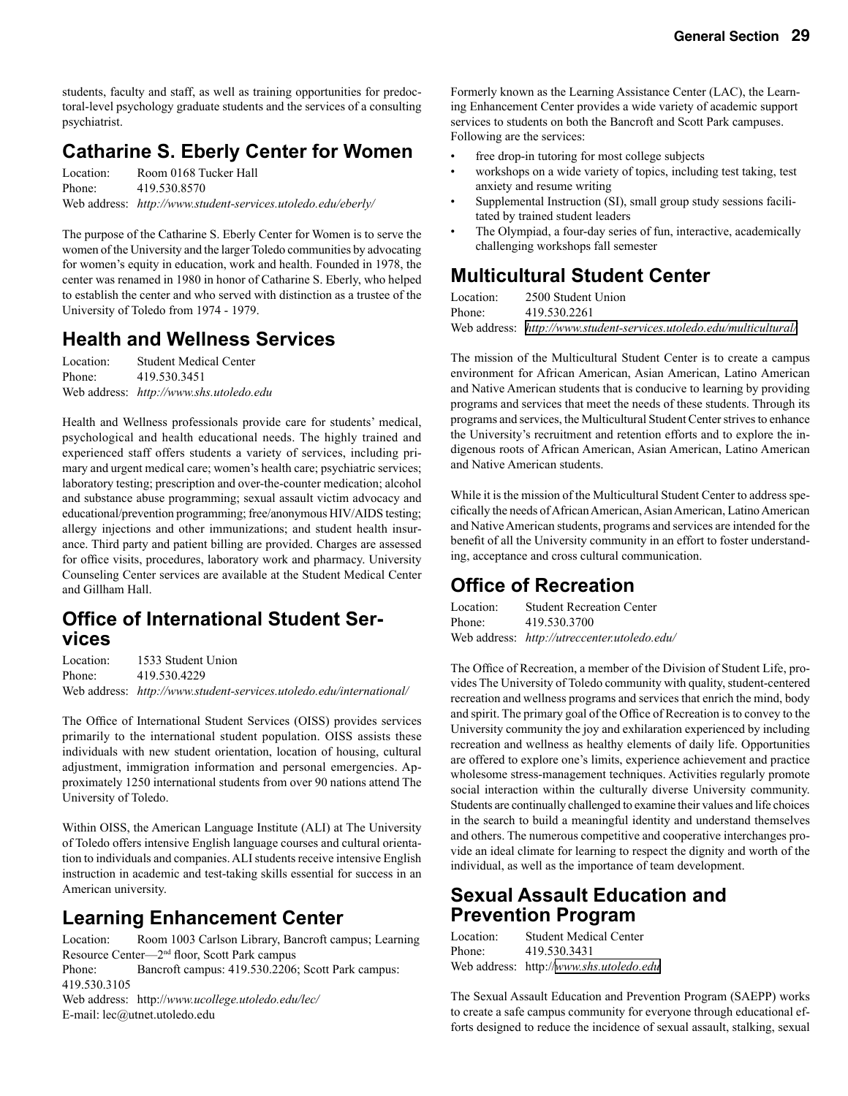students, faculty and staff, as well as training opportunities for predoctoral-level psychology graduate students and the services of a consulting psychiatrist.

### **Catharine S. Eberly Center for Women**

Location: Room 0168 Tucker Hall Phone: 419.530.8570 Web address: *http://www.student-services.utoledo.edu/eberly/*

The purpose of the Catharine S. Eberly Center for Women is to serve the women of the University and the larger Toledo communities by advocating for women's equity in education, work and health. Founded in 1978, the center was renamed in 1980 in honor of Catharine S. Eberly, who helped to establish the center and who served with distinction as a trustee of the University of Toledo from 1974 - 1979.

### **Health and Wellness Services**

| Location: | <b>Student Medical Center</b>           |
|-----------|-----------------------------------------|
| Phone:    | 419.530.3451                            |
|           | Web address: http://www.shs.utoledo.edu |

Health and Wellness professionals provide care for students' medical, psychological and health educational needs. The highly trained and experienced staff offers students a variety of services, including primary and urgent medical care; women's health care; psychiatric services; laboratory testing; prescription and over-the-counter medication; alcohol and substance abuse programming; sexual assault victim advocacy and educational/prevention programming; free/anonymous HIV/AIDS testing; allergy injections and other immunizations; and student health insurance. Third party and patient billing are provided. Charges are assessed for office visits, procedures, laboratory work and pharmacy. University Counseling Center services are available at the Student Medical Center and Gillham Hall.

# **Office of International Student Ser- vices**

Location: 1533 Student Union Phone: 419.530.4229 Web address: *http://www.student-services.utoledo.edu/international/*

The Office of International Student Services (OISS) provides services primarily to the international student population. OISS assists these individuals with new student orientation, location of housing, cultural adjustment, immigration information and personal emergencies. Approximately 1250 international students from over 90 nations attend The University of Toledo.

Within OISS, the American Language Institute (ALI) at The University of Toledo offers intensive English language courses and cultural orientation to individuals and companies. ALI students receive intensive English instruction in academic and test-taking skills essential for success in an American university.

### **Learning Enhancement Center**

Location: Room 1003 Carlson Library, Bancroft campus; Learning Resource Center—2nd floor, Scott Park campus Phone: Bancroft campus: 419.530.2206; Scott Park campus: 419.530.3105 Web address: http://*www.ucollege.utoledo.edu/lec/* E-mail: lec@utnet.utoledo.edu

Formerly known as the Learning Assistance Center (LAC), the Learning Enhancement Center provides a wide variety of academic support services to students on both the Bancroft and Scott Park campuses. Following are the services:

- free drop-in tutoring for most college subjects
- workshops on a wide variety of topics, including test taking, test anxiety and resume writing
- Supplemental Instruction (SI), small group study sessions facilitated by trained student leaders
- The Olympiad, a four-day series of fun, interactive, academically challenging workshops fall semester

### **Multicultural Student Center**

Location: 2500 Student Union Phone: 419.530.2261

Web address: *<http://www.student-services.utoledo.edu/multicultural/>*

The mission of the Multicultural Student Center is to create a campus environment for African American, Asian American, Latino American and Native American students that is conducive to learning by providing programs and services that meet the needs of these students. Through its programs and services, the Multicultural Student Center strives to enhance the University's recruitment and retention efforts and to explore the indigenous roots of African American, Asian American, Latino American and Native American students.

While it is the mission of the Multicultural Student Center to address specifically the needs of African American, Asian American, Latino American and Native American students, programs and services are intended for the benefit of all the University community in an effort to foster understanding, acceptance and cross cultural communication.

### **Office of Recreation**

Location: Student Recreation Center Phone: 419.530.3700 Web address: *http://utreccenter.utoledo.edu/*

The Office of Recreation, a member of the Division of Student Life, provides The University of Toledo community with quality, student-centered recreation and wellness programs and services that enrich the mind, body and spirit. The primary goal of the Office of Recreation is to convey to the University community the joy and exhilaration experienced by including recreation and wellness as healthy elements of daily life. Opportunities are offered to explore one's limits, experience achievement and practice wholesome stress-management techniques. Activities regularly promote social interaction within the culturally diverse University community. Students are continually challenged to examine their values and life choices in the search to build a meaningful identity and understand themselves and others. The numerous competitive and cooperative interchanges provide an ideal climate for learning to respect the dignity and worth of the individual, as well as the importance of team development.

### **Sexual Assault Education and Prevention Program**

| Location: | <b>Student Medical Center</b>           |
|-----------|-----------------------------------------|
| Phone:    | 419.530.3431                            |
|           | Web address: http://www.shs.utoledo.edu |

The Sexual Assault Education and Prevention Program (SAEPP) works to create a safe campus community for everyone through educational efforts designed to reduce the incidence of sexual assault, stalking, sexual